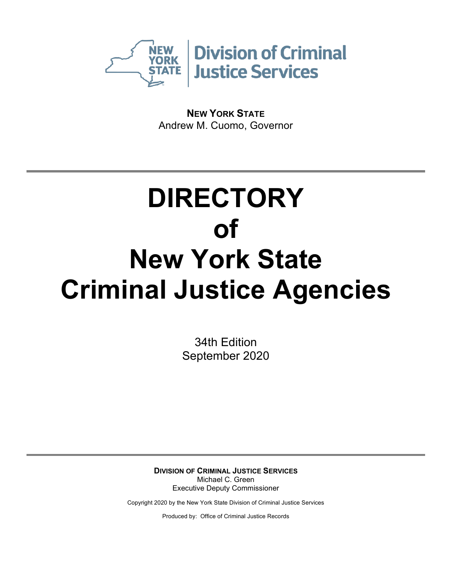

**NEW YORK STATE** Andrew M. Cuomo, Governor

# **DIRECTORY of New York State Criminal Justice Agencies**

34th Edition September 2020

**DIVISION OF CRIMINAL JUSTICE SERVICES** Michael C. Green Executive Deputy Commissioner

Copyright 2020 by the New York State Division of Criminal Justice Services

Produced by: Office of Criminal Justice Records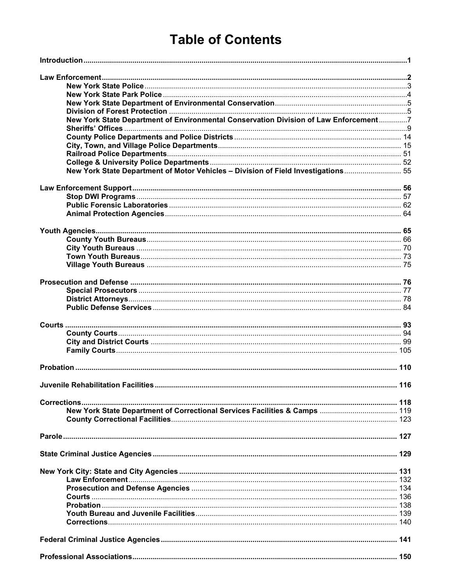# **Table of Contents**

| New York State Department of Environmental Conservation Division of Law Enforcement7 |     |
|--------------------------------------------------------------------------------------|-----|
|                                                                                      |     |
|                                                                                      |     |
|                                                                                      |     |
|                                                                                      |     |
|                                                                                      |     |
|                                                                                      |     |
| New York State Department of Motor Vehicles - Division of Field Investigations 55    |     |
|                                                                                      |     |
|                                                                                      |     |
|                                                                                      |     |
|                                                                                      |     |
|                                                                                      |     |
|                                                                                      |     |
|                                                                                      |     |
|                                                                                      |     |
|                                                                                      |     |
|                                                                                      |     |
|                                                                                      |     |
|                                                                                      |     |
|                                                                                      |     |
|                                                                                      |     |
|                                                                                      |     |
|                                                                                      |     |
|                                                                                      |     |
|                                                                                      |     |
|                                                                                      |     |
|                                                                                      |     |
|                                                                                      |     |
|                                                                                      | 116 |
|                                                                                      |     |
|                                                                                      |     |
|                                                                                      |     |
|                                                                                      |     |
|                                                                                      |     |
|                                                                                      |     |
|                                                                                      |     |
|                                                                                      |     |
|                                                                                      |     |
|                                                                                      |     |
|                                                                                      |     |
|                                                                                      |     |
|                                                                                      |     |
|                                                                                      |     |
|                                                                                      |     |
|                                                                                      |     |
|                                                                                      |     |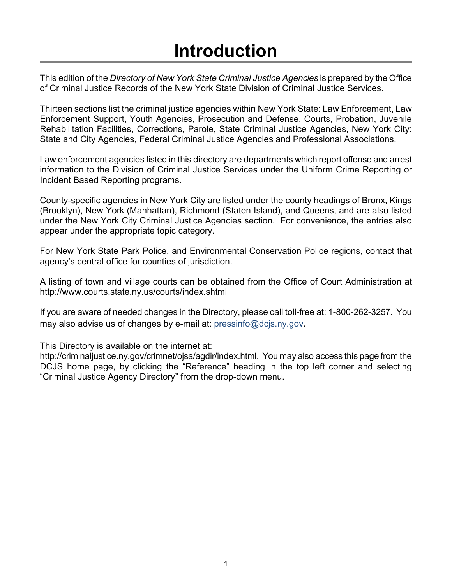# **Introduction**

<span id="page-2-0"></span>This edition of the *Directory of New York State Criminal Justice Agencies* is prepared by the Office of Criminal Justice Records of the New York State Division of Criminal Justice Services.

Thirteen sections list the criminal justice agencies within New York State: Law Enforcement, Law Enforcement Support, Youth Agencies, Prosecution and Defense, Courts, Probation, Juvenile Rehabilitation Facilities, Corrections, Parole, State Criminal Justice Agencies, New York City: State and City Agencies, Federal Criminal Justice Agencies and Professional Associations.

Law enforcement agencies listed in this directory are departments which report offense and arrest information to the Division of Criminal Justice Services under the Uniform Crime Reporting or Incident Based Reporting programs.

County-specific agencies in New York City are listed under the county headings of Bronx, Kings (Brooklyn), New York (Manhattan), Richmond (Staten Island), and Queens, and are also listed under the New York City Criminal Justice Agencies section. For convenience, the entries also appear under the appropriate topic category.

For New York State Park Police, and Environmental Conservation Police regions, contact that agency's central office for counties of jurisdiction.

A listing of town and village courts can be obtained from the Office of Court Administration at http://www.courts.state.ny.us/courts/index.shtml

If you are aware of needed changes in the Directory, please call toll-free at: 1-800-262-3257. You may also advise us of changes by e-mail at: pressinfo@dcjs.ny.gov.

This Directory is available on the internet at:

http://criminaljustice.ny.gov/crimnet/ojsa/agdir/index.html. You may also access this page from the DCJS home page, by clicking the "Reference" heading in the top left corner and selecting "Criminal Justice Agency Directory" from the drop-down menu.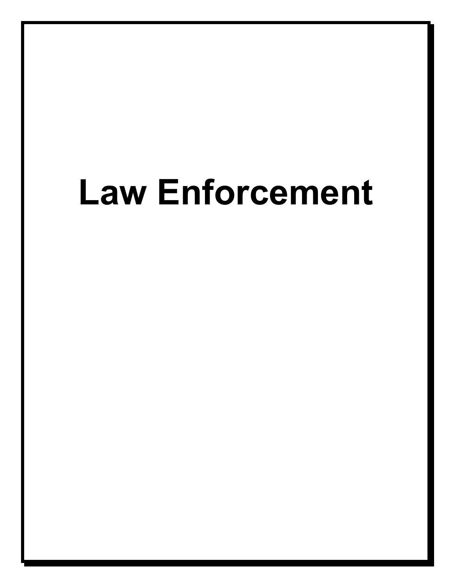# <span id="page-3-0"></span>**Law Enforcement**

2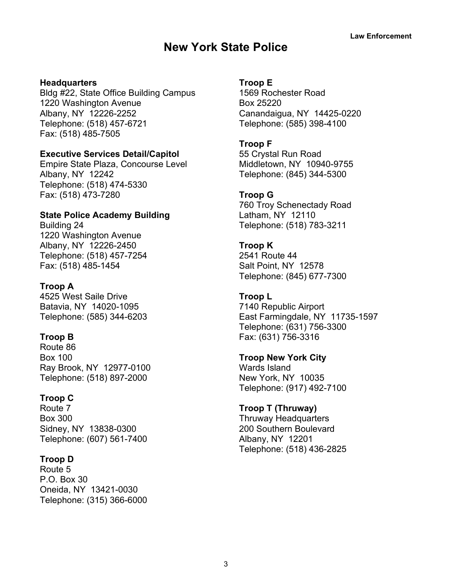# **New York State Police**

#### <span id="page-4-0"></span>**Headquarters**

Bldg #22, State Office Building Campus 1220 Washington Avenue Albany, NY 12226-2252 Telephone: (518) 457-6721 Fax: (518) 485-7505

#### **Executive Services Detail/Capitol**

Empire State Plaza, Concourse Level Albany, NY 12242 Telephone: (518) 474-5330 Fax: (518) 473-7280

# **State Police Academy Building**

Building 24 1220 Washington Avenue Albany, NY 12226-2450 Telephone: (518) 457-7254 Fax: (518) 485-1454

#### **Troop A**

4525 West Saile Drive Batavia, NY 14020-1095 Telephone: (585) 344-6203

#### **Troop B**

Route 86 Box 100 Ray Brook, NY 12977-0100 Telephone: (518) 897-2000

#### **Troop C**

Route 7 Box 300 Sidney, NY 13838-0300 Telephone: (607) 561-7400

#### **Troop D**

Route 5 P.O. Box 30 Oneida, NY 13421-0030 Telephone: (315) 366-6000

#### **Troop E**

1569 Rochester Road Box 25220 Canandaigua, NY 14425-0220 Telephone: (585) 398-4100

#### **Troop F**

55 Crystal Run Road Middletown, NY 10940-9755 Telephone: (845) 344-5300

#### **Troop G**

760 Troy Schenectady Road Latham, NY 12110 Telephone: (518) 783-3211

# **Troop K** 2541 Route 44 Salt Point, NY 12578

Telephone: (845) 677-7300

# **Troop L** 7140 Republic Airport

East Farmingdale, NY 11735-1597 Telephone: (631) 756-3300 Fax: (631) 756-3316

#### **Troop New York City**

Wards Island New York, NY 10035 Telephone: (917) 492-7100

#### **Troop T (Thruway)**

Thruway Headquarters 200 Southern Boulevard Albany, NY 12201 Telephone: (518) 436-2825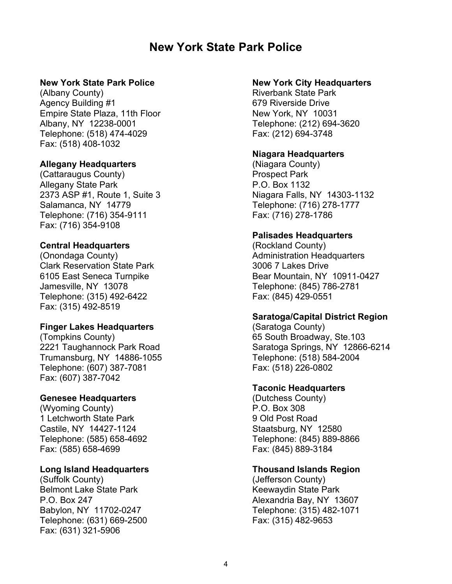# **New York State Park Police**

#### <span id="page-5-0"></span>**New York State Park Police**

(Albany County) Agency Building #1 Empire State Plaza, 11th Floor Albany, NY 12238-0001 Telephone: (518) 474-4029 Fax: (518) 408-1032

#### **Allegany Headquarters**

(Cattaraugus County) Allegany State Park 2373 ASP #1, Route 1, Suite 3 Salamanca, NY 14779 Telephone: (716) 354-9111 Fax: (716) 354-9108

# **Central Headquarters**

(Onondaga County) Clark Reservation State Park 6105 East Seneca Turnpike Jamesville, NY 13078 Telephone: (315) 492-6422 Fax: (315) 492-8519

#### **Finger Lakes Headquarters**

(Tompkins County) 2221 Taughannock Park Road Trumansburg, NY 14886-1055 Telephone: (607) 387-7081 Fax: (607) 387-7042

# **Genesee Headquarters**

(Wyoming County) 1 Letchworth State Park Castile, NY 14427-1124 Telephone: (585) 658-4692 Fax: (585) 658-4699

#### **Long Island Headquarters**

(Suffolk County) Belmont Lake State Park P.O. Box 247 Babylon, NY 11702-0247 Telephone: (631) 669-2500 Fax: (631) 321-5906

#### **New York City Headquarters**

Riverbank State Park 679 Riverside Drive New York, NY 10031 Telephone: (212) 694-3620 Fax: (212) 694-3748

#### **Niagara Headquarters**

(Niagara County) Prospect Park P.O. Box 1132 Niagara Falls, NY 14303-1132 Telephone: (716) 278-1777 Fax: (716) 278-1786

#### **Palisades Headquarters**

(Rockland County) Administration Headquarters 3006 7 Lakes Drive Bear Mountain, NY 10911-0427 Telephone: (845) 786-2781 Fax: (845) 429-0551

# **Saratoga/Capital District Region**

(Saratoga County) 65 South Broadway, Ste.103 Saratoga Springs, NY 12866-6214 Telephone: (518) 584-2004 Fax: (518) 226-0802

# **Taconic Headquarters**

(Dutchess County) P.O. Box 308 9 Old Post Road Staatsburg, NY 12580 Telephone: (845) 889-8866 Fax: (845) 889-3184

# **Thousand Islands Region**

(Jefferson County) Keewaydin State Park Alexandria Bay, NY 13607 Telephone: (315) 482-1071 Fax: (315) 482-9653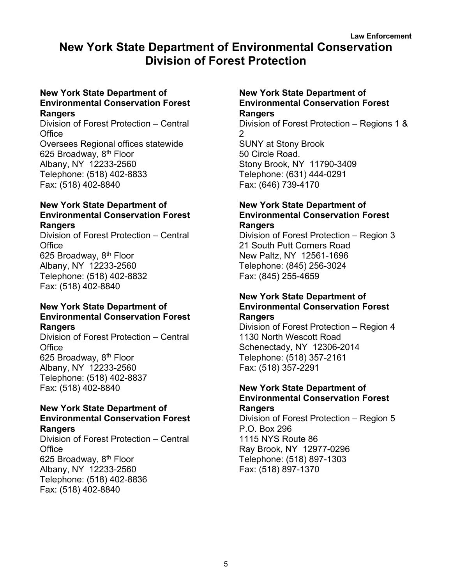# <span id="page-6-1"></span><span id="page-6-0"></span>**New York State Department of Environmental Conservation Division of Forest Protection**

#### **New York State Department of Environmental Conservation Forest Rangers**

Division of Forest Protection – Central **Office** Oversees Regional offices statewide 625 Broadway, 8th Floor Albany, NY 12233-2560 Telephone: (518) 402-8833 Fax: (518) 402-8840

#### **New York State Department of Environmental Conservation Forest Rangers**

Division of Forest Protection – Central **Office** 625 Broadway, 8<sup>th</sup> Floor Albany, NY 12233-2560 Telephone: (518) 402-8832 Fax: (518) 402-8840

#### **New York State Department of Environmental Conservation Forest Rangers**

Division of Forest Protection – Central **Office** 625 Broadway, 8<sup>th</sup> Floor Albany, NY 12233-2560 Telephone: (518) 402-8837 Fax: (518) 402-8840

#### **New York State Department of Environmental Conservation Forest Rangers**

Division of Forest Protection – Central **Office** 625 Broadway, 8<sup>th</sup> Floor Albany, NY 12233-2560 Telephone: (518) 402-8836 Fax: (518) 402-8840

#### **New York State Department of Environmental Conservation Forest Rangers**

Division of Forest Protection – Regions 1 & 2 SUNY at Stony Brook 50 Circle Road. Stony Brook, NY 11790-3409 Telephone: (631) 444-0291

Fax: (646) 739-4170

# **New York State Department of Environmental Conservation Forest Rangers**

Division of Forest Protection – Region 3 21 South Putt Corners Road New Paltz, NY 12561-1696 Telephone: (845) 256-3024 Fax: (845) 255-4659

#### **New York State Department of Environmental Conservation Forest Rangers**

Division of Forest Protection – Region 4 1130 North Wescott Road Schenectady, NY 12306-2014 Telephone: (518) 357-2161 Fax: (518) 357-2291

# **New York State Department of Environmental Conservation Forest**

**Rangers** Division of Forest Protection – Region 5 P.O. Box 296 1115 NYS Route 86 Ray Brook, NY 12977-0296 Telephone: (518) 897-1303 Fax: (518) 897-1370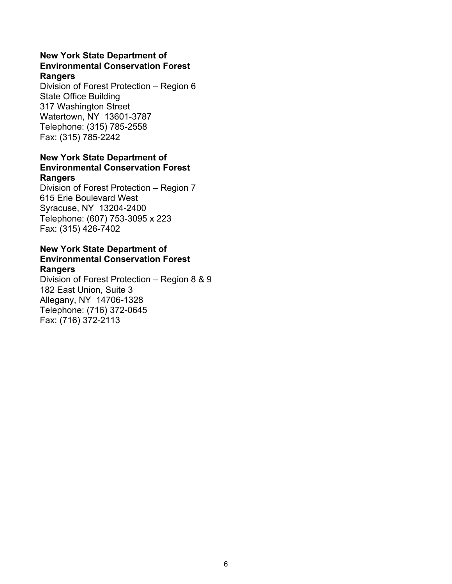#### **New York State Department of Environmental Conservation Forest Rangers**

Division of Forest Protection – Region 6 State Office Building 317 Washington Street Watertown, NY 13601-3787 Telephone: (315) 785-2558 Fax: (315) 785-2242

#### **New York State Department of Environmental Conservation Forest Rangers**

Division of Forest Protection – Region 7 615 Erie Boulevard West Syracuse, NY 13204-2400 Telephone: (607) 753-3095 x 223 Fax: (315) 426-7402

#### **New York State Department of Environmental Conservation Forest Rangers**

Division of Forest Protection – Region 8 & 9 182 East Union, Suite 3 Allegany, NY 14706-1328 Telephone: (716) 372-0645 Fax: (716) 372-2113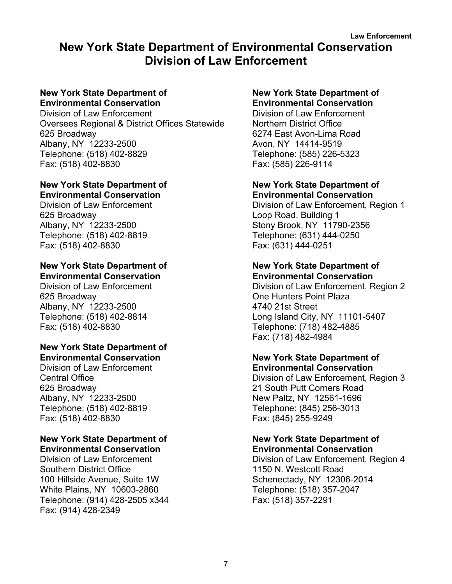# <span id="page-8-0"></span>**New York State Department of Environmental Conservation Division of Law Enforcement**

#### **New York State Department of Environmental Conservation**

Division of Law Enforcement Oversees Regional & District Offices Statewide 625 Broadway Albany, NY 12233-2500 Telephone: (518) 402-8829 Fax: (518) 402-8830

#### **New York State Department of Environmental Conservation**

Division of Law Enforcement 625 Broadway Albany, NY 12233-2500 Telephone: (518) 402-8819 Fax: (518) 402-8830

# **New York State Department of**

**Environmental Conservation** Division of Law Enforcement 625 Broadway Albany, NY 12233-2500 Telephone: (518) 402-8814 Fax: (518) 402-8830

#### **New York State Department of Environmental Conservation**

Division of Law Enforcement Central Office 625 Broadway Albany, NY 12233-2500 Telephone: (518) 402-8819 Fax: (518) 402-8830

#### **New York State Department of Environmental Conservation**

Division of Law Enforcement Southern District Office 100 Hillside Avenue, Suite 1W White Plains, NY 10603-2860 Telephone: (914) 428-2505 x344 Fax: (914) 428-2349

#### **New York State Department of Environmental Conservation**

Division of Law Enforcement Northern District Office 6274 East Avon-Lima Road Avon, NY 14414-9519 Telephone: (585) 226-5323 Fax: (585) 226-9114

#### **New York State Department of Environmental Conservation**

Division of Law Enforcement, Region 1 Loop Road, Building 1 Stony Brook, NY 11790-2356 Telephone: (631) 444-0250 Fax: (631) 444-0251

#### **New York State Department of Environmental Conservation**

Division of Law Enforcement, Region 2 One Hunters Point Plaza 4740 21st Street Long Island City, NY 11101-5407 Telephone: (718) 482-4885 Fax: (718) 482-4984

#### **New York State Department of Environmental Conservation**

Division of Law Enforcement, Region 3 21 South Putt Corners Road New Paltz, NY 12561-1696 Telephone: (845) 256-3013 Fax: (845) 255-9249

#### **New York State Department of Environmental Conservation**

Division of Law Enforcement, Region 4 1150 N. Westcott Road Schenectady, NY 12306-2014 Telephone: (518) 357-2047 Fax: (518) 357-2291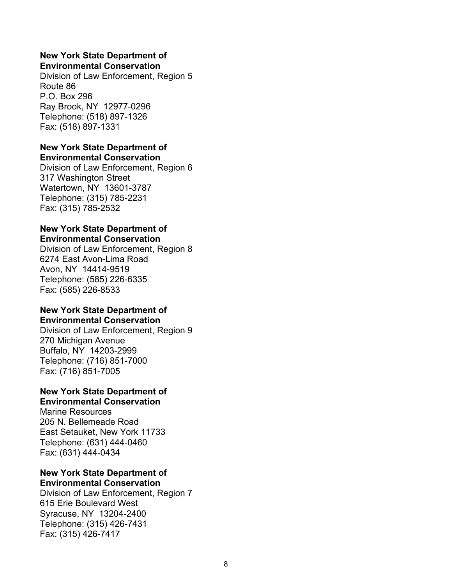#### **New York State Department of Environmental Conservation**

Division of Law Enforcement, Region 5 Route 86 P.O. Box 296 Ray Brook, NY 12977-0296 Telephone: (518) 897-1326 Fax: (518) 897-1331

#### **New York State Department of Environmental Conservation**

Division of Law Enforcement, Region 6 317 Washington Street Watertown, NY 13601-3787 Telephone: (315) 785-2231 Fax: (315) 785-2532

#### **New York State Department of Environmental Conservation**

Division of Law Enforcement, Region 8 6274 East Avon-Lima Road Avon, NY 14414-9519 Telephone: (585) 226-6335 Fax: (585) 226-8533

#### **New York State Department of Environmental Conservation**

Division of Law Enforcement, Region 9 270 Michigan Avenue Buffalo, NY 14203-2999 Telephone: (716) 851-7000 Fax: (716) 851-7005

#### **New York State Department of Environmental Conservation**

Marine Resources 205 N. Bellemeade Road East Setauket, New York 11733 Telephone: (631) 444-0460 Fax: (631) 444-0434

#### **New York State Department of Environmental Conservation**

Division of Law Enforcement, Region 7 615 Erie Boulevard West Syracuse, NY 13204-2400 Telephone: (315) 426-7431 Fax: (315) 426-7417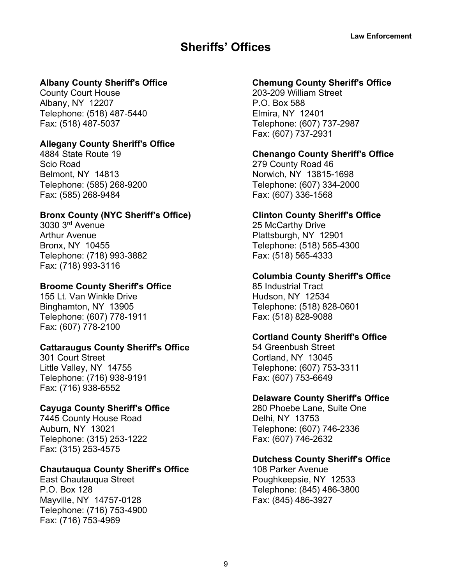# **Sheriffs' Offices**

# <span id="page-10-0"></span>**Albany County Sheriff's Office**

County Court House Albany, NY 12207 Telephone: (518) 487-5440 Fax: (518) 487-5037

#### **Allegany County Sheriff's Office**

4884 State Route 19 Scio Road Belmont, NY 14813 Telephone: (585) 268-9200 Fax: (585) 268-9484

# **Bronx County (NYC Sheriff's Office)**

3030 3rd Avenue Arthur Avenue Bronx, NY 10455 Telephone: (718) 993-3882 Fax: (718) 993-3116

# **Broome County Sheriff's Office**

155 Lt. Van Winkle Drive Binghamton, NY 13905 Telephone: (607) 778-1911 Fax: (607) 778-2100

# **Cattaraugus County Sheriff's Office**

301 Court Street Little Valley, NY 14755 Telephone: (716) 938-9191 Fax: (716) 938-6552

# **Cayuga County Sheriff's Office**

7445 County House Road Auburn, NY 13021 Telephone: (315) 253-1222 Fax: (315) 253-4575

# **Chautauqua County Sheriff's Office**

East Chautauqua Street P.O. Box 128 Mayville, NY 14757-0128 Telephone: (716) 753-4900 Fax: (716) 753-4969

# **Chemung County Sheriff's Office**

203-209 William Street P.O. Box 588 Elmira, NY 12401 Telephone: (607) 737-2987 Fax: (607) 737-2931

#### **Chenango County Sheriff's Office**

279 County Road 46 Norwich, NY 13815-1698 Telephone: (607) 334-2000 Fax: (607) 336-1568

#### **Clinton County Sheriff's Office**

25 McCarthy Drive Plattsburgh, NY 12901 Telephone: (518) 565-4300 Fax: (518) 565-4333

#### **Columbia County Sheriff's Office**

85 Industrial Tract Hudson, NY 12534 Telephone: (518) 828-0601 Fax: (518) 828-9088

# **Cortland County Sheriff's Office**

54 Greenbush Street Cortland, NY 13045 Telephone: (607) 753-3311 Fax: (607) 753-6649

# **Delaware County Sheriff's Office**

280 Phoebe Lane, Suite One Delhi, NY 13753 Telephone: (607) 746-2336 Fax: (607) 746-2632

#### **Dutchess County Sheriff's Office**

108 Parker Avenue Poughkeepsie, NY 12533 Telephone: (845) 486-3800 Fax: (845) 486-3927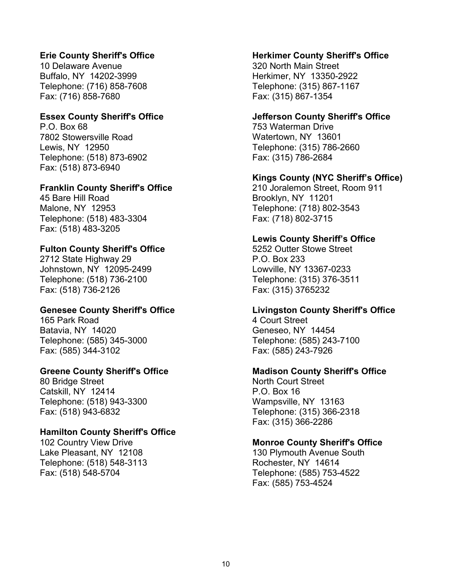# **Erie County Sheriff's Office**

10 Delaware Avenue Buffalo, NY 14202-3999 Telephone: (716) 858-7608 Fax: (716) 858-7680

#### **Essex County Sheriff's Office**

P.O. Box 68 7802 Stowersville Road Lewis, NY 12950 Telephone: (518) 873-6902 Fax: (518) 873-6940

#### **Franklin County Sheriff's Office**

45 Bare Hill Road Malone, NY 12953 Telephone: (518) 483-3304 Fax: (518) 483-3205

#### **Fulton County Sheriff's Office**

2712 State Highway 29 Johnstown, NY 12095-2499 Telephone: (518) 736-2100 Fax: (518) 736-2126

#### **Genesee County Sheriff's Office**

165 Park Road Batavia, NY 14020 Telephone: (585) 345-3000 Fax: (585) 344-3102

#### **Greene County Sheriff's Office**

80 Bridge Street Catskill, NY 12414 Telephone: (518) 943-3300 Fax: (518) 943-6832

#### **Hamilton County Sheriff's Office**

102 Country View Drive Lake Pleasant, NY 12108 Telephone: (518) 548-3113 Fax: (518) 548-5704

#### **Herkimer County Sheriff's Office**

320 North Main Street Herkimer, NY 13350-2922 Telephone: (315) 867-1167 Fax: (315) 867-1354

#### **Jefferson County Sheriff's Office**

753 Waterman Drive Watertown, NY 13601 Telephone: (315) 786-2660 Fax: (315) 786-2684

#### **Kings County (NYC Sheriff's Office)**

210 Joralemon Street, Room 911 Brooklyn, NY 11201 Telephone: (718) 802-3543 Fax: (718) 802-3715

#### **Lewis County Sheriff's Office**

5252 Outter Stowe Street P.O. Box 233 Lowville, NY 13367-0233 Telephone: (315) 376-3511 Fax: (315) 3765232

#### **Livingston County Sheriff's Office**

4 Court Street Geneseo, NY 14454 Telephone: (585) 243-7100 Fax: (585) 243-7926

#### **Madison County Sheriff's Office**

North Court Street P.O. Box 16 Wampsville, NY 13163 Telephone: (315) 366-2318 Fax: (315) 366-2286

#### **Monroe County Sheriff's Office**

130 Plymouth Avenue South Rochester, NY 14614 Telephone: (585) 753-4522 Fax: (585) 753-4524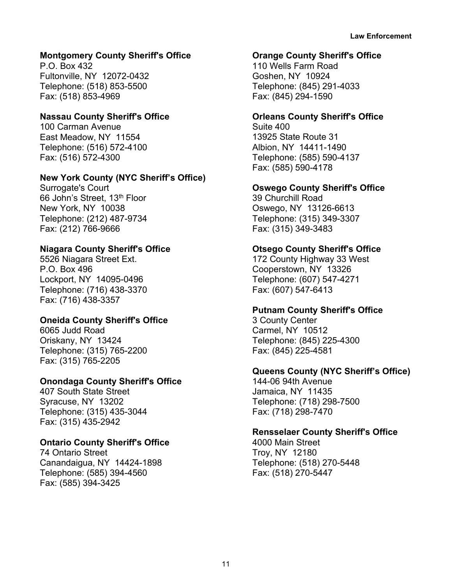# **Montgomery County Sheriff's Office**

P.O. Box 432 Fultonville, NY 12072-0432 Telephone: (518) 853-5500 Fax: (518) 853-4969

#### **Nassau County Sheriff's Office**

100 Carman Avenue East Meadow, NY 11554 Telephone: (516) 572-4100 Fax: (516) 572-4300

# **New York County (NYC Sheriff's Office)**

Surrogate's Court 66 John's Street, 13<sup>th</sup> Floor New York, NY 10038 Telephone: (212) 487-9734 Fax: (212) 766-9666

# **Niagara County Sheriff's Office**

5526 Niagara Street Ext. P.O. Box 496 Lockport, NY 14095-0496 Telephone: (716) 438-3370 Fax: (716) 438-3357

# **Oneida County Sheriff's Office**

6065 Judd Road Oriskany, NY 13424 Telephone: (315) 765-2200 Fax: (315) 765-2205

# **Onondaga County Sheriff's Office**

407 South State Street Syracuse, NY 13202 Telephone: (315) 435-3044 Fax: (315) 435-2942

# **Ontario County Sheriff's Office**

74 Ontario Street Canandaigua, NY 14424-1898 Telephone: (585) 394-4560 Fax: (585) 394-3425

#### **Orange County Sheriff's Office**

110 Wells Farm Road Goshen, NY 10924 Telephone: (845) 291-4033 Fax: (845) 294-1590

#### **Orleans County Sheriff's Office**

Suite 400 13925 State Route 31 Albion, NY 14411-1490 Telephone: (585) 590-4137 Fax: (585) 590-4178

# **Oswego County Sheriff's Office**

39 Churchill Road Oswego, NY 13126-6613 Telephone: (315) 349-3307 Fax: (315) 349-3483

# **Otsego County Sheriff's Office**

172 County Highway 33 West Cooperstown, NY 13326 Telephone: (607) 547-4271 Fax: (607) 547-6413

# **Putnam County Sheriff's Office**

3 County Center Carmel, NY 10512 Telephone: (845) 225-4300 Fax: (845) 225-4581

# **Queens County (NYC Sheriff's Office)**

144-06 94th Avenue Jamaica, NY 11435 Telephone: (718) 298-7500 Fax: (718) 298-7470

# **Rensselaer County Sheriff's Office**

4000 Main Street Troy, NY 12180 Telephone: (518) 270-5448 Fax: (518) 270-5447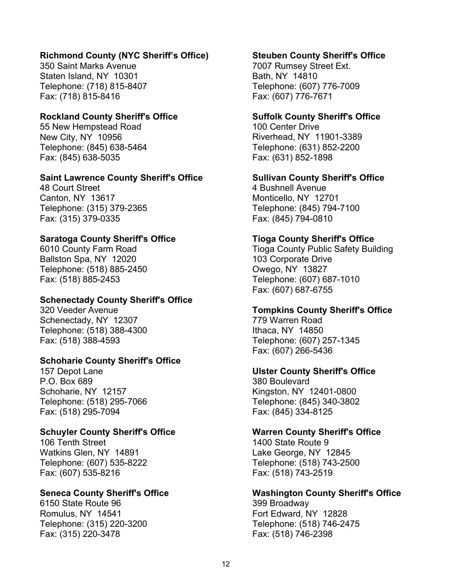#### **Richmond County (NYC Sheriff's Office)**

350 Saint Marks Avenue Staten Island, NY 10301 Telephone: (718) 815-8407 Fax: (718) 815-8416

#### **Rockland County Sheriff's Office**

55 New Hempstead Road New City, NY 10956 Telephone: (845) 638-5464 Fax: (845) 638-5035

#### **Saint Lawrence County Sheriff's Office**

48 Court Street Canton, NY 13617 Telephone: (315) 379-2365 Fax: (315) 379-0335

# **Saratoga County Sheriff's Office**

6010 County Farm Road Ballston Spa, NY 12020 Telephone: (518) 885-2450 Fax: (518) 885-2453

#### **Schenectady County Sheriff's Office**

320 Veeder Avenue Schenectady, NY 12307 Telephone: (518) 388-4300 Fax: (518) 388-4593

# **Schoharie County Sheriff's Office**

157 Depot Lane P.O. Box 689 Schoharie, NY 12157 Telephone: (518) 295-7066 Fax: (518) 295-7094

# **Schuyler County Sheriff's Office**

106 Tenth Street Watkins Glen, NY 14891 Telephone: (607) 535-8222 Fax: (607) 535-8216

#### **Seneca County Sheriff's Office**

6150 State Route 96 Romulus, NY 14541 Telephone: (315) 220-3200 Fax: (315) 220-3478

#### **Steuben County Sheriff's Office**

7007 Rumsey Street Ext. Bath, NY 14810 Telephone: (607) 776-7009 Fax: (607) 776-7671

#### **Suffolk County Sheriff's Office**

100 Center Drive Riverhead, NY 11901-3389 Telephone: (631) 852-2200 Fax: (631) 852-1898

#### **Sullivan County Sheriff's Office**

4 Bushnell Avenue Monticello, NY 12701 Telephone: (845) 794-7100 Fax: (845) 794-0810

#### **Tioga County Sheriff's Office**

Tioga County Public Safety Building 103 Corporate Drive Owego, NY 13827 Telephone: (607) 687-1010 Fax: (607) 687-6755

#### **Tompkins County Sheriff's Office**

779 Warren Road Ithaca, NY 14850 Telephone: (607) 257-1345 Fax: (607) 266-5436

#### **Ulster County Sheriff's Office**

380 Boulevard Kingston, NY 12401-0800 Telephone: (845) 340-3802 Fax: (845) 334-8125

#### **Warren County Sheriff's Office**

1400 State Route 9 Lake George, NY 12845 Telephone: (518) 743-2500 Fax: (518) 743-2519

#### **Washington County Sheriff's Office** 399 Broadway

Fort Edward, NY 12828 Telephone: (518) 746-2475 Fax: (518) 746-2398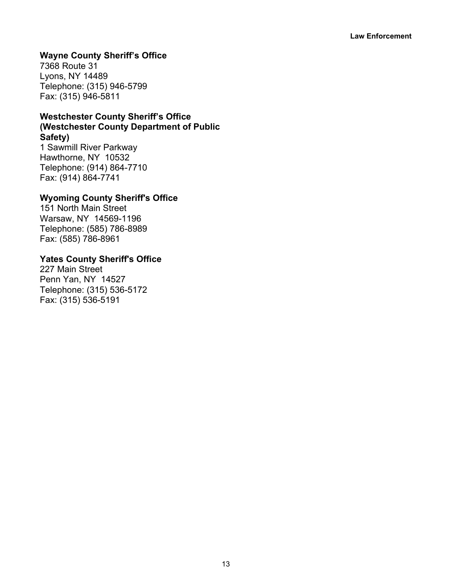# **Wayne County Sheriff's Office**

7368 Route 31 Lyons, NY 14489 Telephone: (315) 946-5799 Fax: (315) 946-5811

# **Westchester County Sheriff's Office (Westchester County Department of Public Safety)**

1 Sawmill River Parkway Hawthorne, NY 10532 Telephone: (914) 864-7710 Fax: (914) 864-7741

#### **Wyoming County Sheriff's Office**

151 North Main Street Warsaw, NY 14569-1196 Telephone: (585) 786-8989 Fax: (585) 786-8961

#### **Yates County Sheriff's Office**

227 Main Street Penn Yan, NY 14527 Telephone: (315) 536-5172 Fax: (315) 536-5191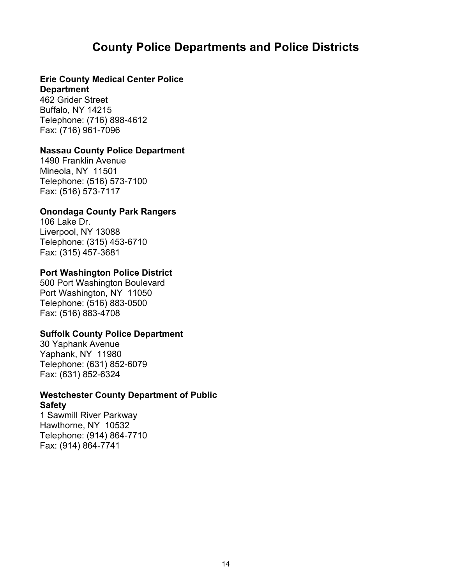# **County Police Departments and Police Districts**

# <span id="page-15-0"></span>**Erie County Medical Center Police**

#### **Department**

462 Grider Street Buffalo, NY 14215 Telephone: (716) 898-4612 Fax: (716) 961-7096

#### **Nassau County Police Department**

1490 Franklin Avenue Mineola, NY 11501 Telephone: (516) 573-7100 Fax: (516) 573-7117

#### **Onondaga County Park Rangers**

106 Lake Dr. Liverpool, NY 13088 Telephone: (315) 453-6710 Fax: (315) 457-3681

#### **Port Washington Police District**

500 Port Washington Boulevard Port Washington, NY 11050 Telephone: (516) 883-0500 Fax: (516) 883-4708

# **Suffolk County Police Department**

30 Yaphank Avenue Yaphank, NY 11980 Telephone: (631) 852-6079 Fax: (631) 852-6324

# **Westchester County Department of Public Safety**

1 Sawmill River Parkway Hawthorne, NY 10532 Telephone: (914) 864-7710 Fax: (914) 864-7741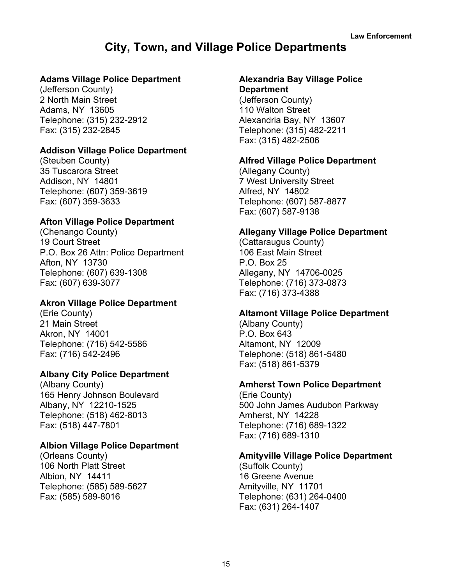# **City, Town, and Village Police Departments**

#### <span id="page-16-0"></span>**Adams Village Police Department**

(Jefferson County) 2 North Main Street Adams, NY 13605 Telephone: (315) 232-2912 Fax: (315) 232-2845

#### **Addison Village Police Department**

(Steuben County) 35 Tuscarora Street Addison, NY 14801 Telephone: (607) 359-3619 Fax: (607) 359-3633

# **Afton Village Police Department**

(Chenango County) 19 Court Street P.O. Box 26 Attn: Police Department Afton, NY 13730 Telephone: (607) 639-1308 Fax: (607) 639-3077

# **Akron Village Police Department**

(Erie County) 21 Main Street Akron, NY 14001 Telephone: (716) 542-5586 Fax: (716) 542-2496

# **Albany City Police Department**

(Albany County) 165 Henry Johnson Boulevard Albany, NY 12210-1525 Telephone: (518) 462-8013 Fax: (518) 447-7801

#### **Albion Village Police Department**

(Orleans County) 106 North Platt Street Albion, NY 14411 Telephone: (585) 589-5627 Fax: (585) 589-8016

# **Alexandria Bay Village Police**

#### **Department**

(Jefferson County) 110 Walton Street Alexandria Bay, NY 13607 Telephone: (315) 482-2211 Fax: (315) 482-2506

#### **Alfred Village Police Department**

(Allegany County) 7 West University Street Alfred, NY 14802 Telephone: (607) 587-8877 Fax: (607) 587-9138

#### **Allegany Village Police Department**

(Cattaraugus County) 106 East Main Street P.O. Box 25 Allegany, NY 14706-0025 Telephone: (716) 373-0873 Fax: (716) 373-4388

# **Altamont Village Police Department**

(Albany County) P.O. Box 643 Altamont, NY 12009 Telephone: (518) 861-5480 Fax: (518) 861-5379

#### **Amherst Town Police Department**

(Erie County) 500 John James Audubon Parkway Amherst, NY 14228 Telephone: (716) 689-1322 Fax: (716) 689-1310

#### **Amityville Village Police Department**

(Suffolk County) 16 Greene Avenue Amityville, NY 11701 Telephone: (631) 264-0400 Fax: (631) 264-1407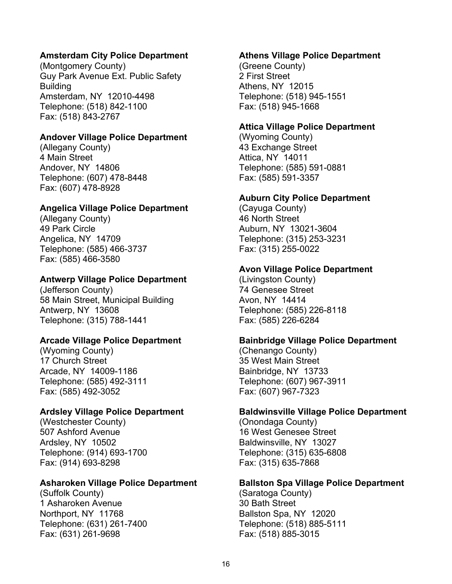# **Amsterdam City Police Department**

(Montgomery County) Guy Park Avenue Ext. Public Safety **Building** Amsterdam, NY 12010-4498 Telephone: (518) 842-1100 Fax: (518) 843-2767

# **Andover Village Police Department**

(Allegany County) 4 Main Street Andover, NY 14806 Telephone: (607) 478-8448 Fax: (607) 478-8928

# **Angelica Village Police Department**

(Allegany County) 49 Park Circle Angelica, NY 14709 Telephone: (585) 466-3737 Fax: (585) 466-3580

# **Antwerp Village Police Department**

(Jefferson County) 58 Main Street, Municipal Building Antwerp, NY 13608 Telephone: (315) 788-1441

# **Arcade Village Police Department**

(Wyoming County) 17 Church Street Arcade, NY 14009-1186 Telephone: (585) 492-3111 Fax: (585) 492-3052

# **Ardsley Village Police Department**

(Westchester County) 507 Ashford Avenue Ardsley, NY 10502 Telephone: (914) 693-1700 Fax: (914) 693-8298

# **Asharoken Village Police Department**

(Suffolk County) 1 Asharoken Avenue Northport, NY 11768 Telephone: (631) 261-7400 Fax: (631) 261-9698

#### **Athens Village Police Department**

(Greene County) 2 First Street Athens, NY 12015 Telephone: (518) 945-1551 Fax: (518) 945-1668

# **Attica Village Police Department**

(Wyoming County) 43 Exchange Street Attica, NY 14011 Telephone: (585) 591-0881 Fax: (585) 591-3357

# **Auburn City Police Department**

(Cayuga County) 46 North Street Auburn, NY 13021-3604 Telephone: (315) 253-3231 Fax: (315) 255-0022

# **Avon Village Police Department**

(Livingston County) 74 Genesee Street Avon, NY 14414 Telephone: (585) 226-8118 Fax: (585) 226-6284

# **Bainbridge Village Police Department**

(Chenango County) 35 West Main Street Bainbridge, NY 13733 Telephone: (607) 967-3911 Fax: (607) 967-7323

# **Baldwinsville Village Police Department**

(Onondaga County) 16 West Genesee Street Baldwinsville, NY 13027 Telephone: (315) 635-6808 Fax: (315) 635-7868

# **Ballston Spa Village Police Department**

(Saratoga County) 30 Bath Street Ballston Spa, NY 12020 Telephone: (518) 885-5111 Fax: (518) 885-3015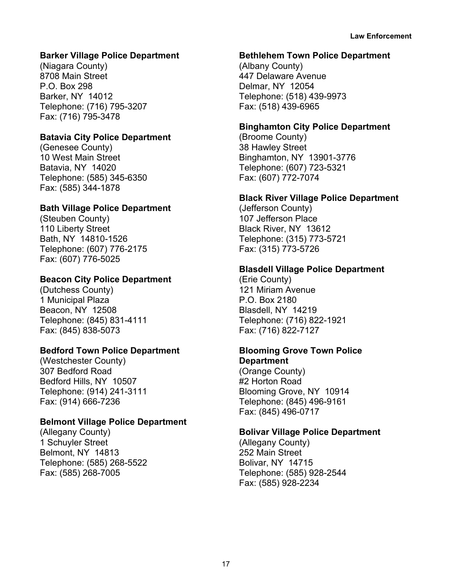# **Barker Village Police Department**

(Niagara County) 8708 Main Street P.O. Box 298 Barker, NY 14012 Telephone: (716) 795-3207 Fax: (716) 795-3478

# **Batavia City Police Department**

(Genesee County) 10 West Main Street Batavia, NY 14020 Telephone: (585) 345-6350 Fax: (585) 344-1878

# **Bath Village Police Department**

(Steuben County) 110 Liberty Street Bath, NY 14810-1526 Telephone: (607) 776-2175 Fax: (607) 776-5025

# **Beacon City Police Department**

(Dutchess County) 1 Municipal Plaza Beacon, NY 12508 Telephone: (845) 831-4111 Fax: (845) 838-5073

# **Bedford Town Police Department**

(Westchester County) 307 Bedford Road Bedford Hills, NY 10507 Telephone: (914) 241-3111 Fax: (914) 666-7236

# **Belmont Village Police Department**

(Allegany County) 1 Schuyler Street Belmont, NY 14813 Telephone: (585) 268-5522 Fax: (585) 268-7005

#### **Bethlehem Town Police Department**

(Albany County) 447 Delaware Avenue Delmar, NY 12054 Telephone: (518) 439-9973 Fax: (518) 439-6965

# **Binghamton City Police Department**

(Broome County) 38 Hawley Street Binghamton, NY 13901-3776 Telephone: (607) 723-5321 Fax: (607) 772-7074

# **Black River Village Police Department**

(Jefferson County) 107 Jefferson Place Black River, NY 13612 Telephone: (315) 773-5721 Fax: (315) 773-5726

# **Blasdell Village Police Department**

(Erie County) 121 Miriam Avenue P.O. Box 2180 Blasdell, NY 14219 Telephone: (716) 822-1921 Fax: (716) 822-7127

# **Blooming Grove Town Police Department**

(Orange County) #2 Horton Road Blooming Grove, NY 10914 Telephone: (845) 496-9161 Fax: (845) 496-0717

# **Bolivar Village Police Department**

(Allegany County) 252 Main Street Bolivar, NY 14715 Telephone: (585) 928-2544 Fax: (585) 928-2234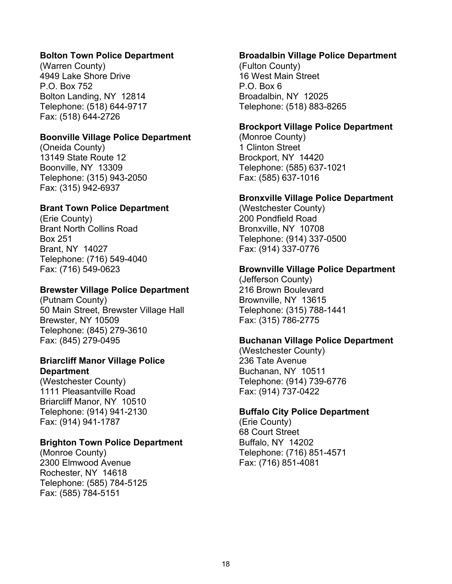#### **Bolton Town Police Department**

(Warren County) 4949 Lake Shore Drive P.O. Box 752 Bolton Landing, NY 12814 Telephone: (518) 644-9717 Fax: (518) 644-2726

#### **Boonville Village Police Department**

(Oneida County) 13149 State Route 12 Boonville, NY 13309 Telephone: (315) 943-2050 Fax: (315) 942-6937

#### **Brant Town Police Department**

(Erie County) Brant North Collins Road Box 251 Brant, NY 14027 Telephone: (716) 549-4040 Fax: (716) 549-0623

#### **Brewster Village Police Department**

(Putnam County) 50 Main Street, Brewster Village Hall Brewster, NY 10509 Telephone: (845) 279-3610 Fax: (845) 279-0495

#### **Briarcliff Manor Village Police Department**

(Westchester County) 1111 Pleasantville Road Briarcliff Manor, NY 10510 Telephone: (914) 941-2130 Fax: (914) 941-1787

#### **Brighton Town Police Department**

(Monroe County) 2300 Elmwood Avenue Rochester, NY 14618 Telephone: (585) 784-5125 Fax: (585) 784-5151

#### **Broadalbin Village Police Department**

(Fulton County) 16 West Main Street P.O. Box 6 Broadalbin, NY 12025 Telephone: (518) 883-8265

#### **Brockport Village Police Department**

(Monroe County) 1 Clinton Street Brockport, NY 14420 Telephone: (585) 637-1021 Fax: (585) 637-1016

#### **Bronxville Village Police Department**

(Westchester County) 200 Pondfield Road Bronxville, NY 10708 Telephone: (914) 337-0500 Fax: (914) 337-0776

#### **Brownville Village Police Department**

(Jefferson County) 216 Brown Boulevard Brownville, NY 13615 Telephone: (315) 788-1441 Fax: (315) 786-2775

#### **Buchanan Village Police Department**

(Westchester County) 236 Tate Avenue Buchanan, NY 10511 Telephone: (914) 739-6776 Fax: (914) 737-0422

#### **Buffalo City Police Department**

(Erie County) 68 Court Street Buffalo, NY 14202 Telephone: (716) 851-4571 Fax: (716) 851-4081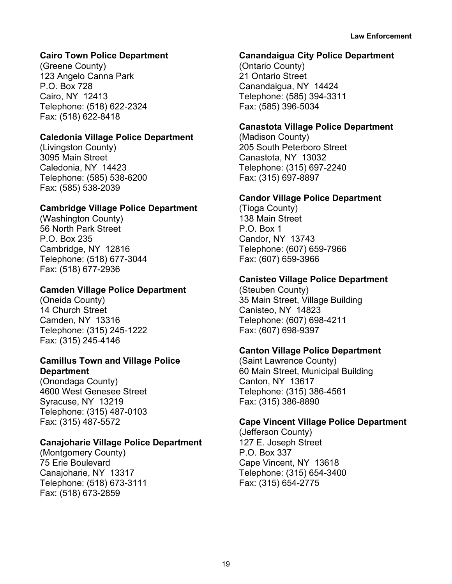# **Cairo Town Police Department**

(Greene County) 123 Angelo Canna Park P.O. Box 728 Cairo, NY 12413 Telephone: (518) 622-2324 Fax: (518) 622-8418

#### **Caledonia Village Police Department**

(Livingston County) 3095 Main Street Caledonia, NY 14423 Telephone: (585) 538-6200 Fax: (585) 538-2039

#### **Cambridge Village Police Department**

(Washington County) 56 North Park Street P.O. Box 235 Cambridge, NY 12816 Telephone: (518) 677-3044 Fax: (518) 677-2936

#### **Camden Village Police Department**

(Oneida County) 14 Church Street Camden, NY 13316 Telephone: (315) 245-1222 Fax: (315) 245-4146

#### **Camillus Town and Village Police Department**

(Onondaga County) 4600 West Genesee Street Syracuse, NY 13219 Telephone: (315) 487-0103 Fax: (315) 487-5572

#### **Canajoharie Village Police Department**

(Montgomery County) 75 Erie Boulevard Canajoharie, NY 13317 Telephone: (518) 673-3111 Fax: (518) 673-2859

#### **Canandaigua City Police Department**

(Ontario County) 21 Ontario Street Canandaigua, NY 14424 Telephone: (585) 394-3311 Fax: (585) 396-5034

#### **Canastota Village Police Department**

(Madison County) 205 South Peterboro Street Canastota, NY 13032 Telephone: (315) 697-2240 Fax: (315) 697-8897

#### **Candor Village Police Department**

(Tioga County) 138 Main Street P.O. Box 1 Candor, NY 13743 Telephone: (607) 659-7966 Fax: (607) 659-3966

#### **Canisteo Village Police Department**

(Steuben County) 35 Main Street, Village Building Canisteo, NY 14823 Telephone: (607) 698-4211 Fax: (607) 698-9397

#### **Canton Village Police Department**

(Saint Lawrence County) 60 Main Street, Municipal Building Canton, NY 13617 Telephone: (315) 386-4561 Fax: (315) 386-8890

#### **Cape Vincent Village Police Department**

(Jefferson County) 127 E. Joseph Street P.O. Box 337 Cape Vincent, NY 13618 Telephone: (315) 654-3400 Fax: (315) 654-2775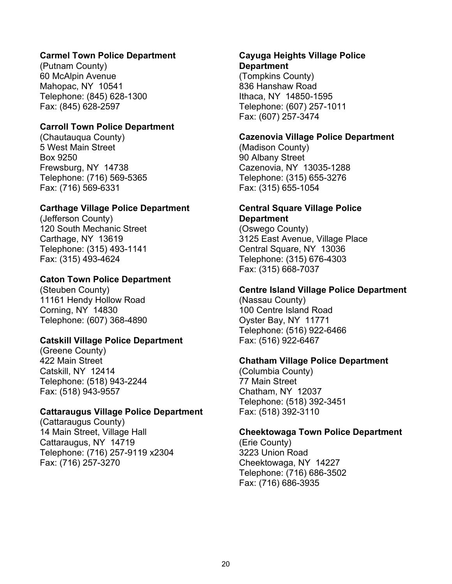#### **Carmel Town Police Department**

(Putnam County) 60 McAlpin Avenue Mahopac, NY 10541 Telephone: (845) 628-1300 Fax: (845) 628-2597

#### **Carroll Town Police Department**

(Chautauqua County) 5 West Main Street Box 9250 Frewsburg, NY 14738 Telephone: (716) 569-5365 Fax: (716) 569-6331

#### **Carthage Village Police Department**

(Jefferson County) 120 South Mechanic Street Carthage, NY 13619 Telephone: (315) 493-1141 Fax: (315) 493-4624

# **Caton Town Police Department**

(Steuben County) 11161 Hendy Hollow Road Corning, NY 14830 Telephone: (607) 368-4890

#### **Catskill Village Police Department**

(Greene County) 422 Main Street Catskill, NY 12414 Telephone: (518) 943-2244 Fax: (518) 943-9557

#### **Cattaraugus Village Police Department**

(Cattaraugus County) 14 Main Street, Village Hall Cattaraugus, NY 14719 Telephone: (716) 257-9119 x2304 Fax: (716) 257-3270

# **Cayuga Heights Village Police Department**

(Tompkins County) 836 Hanshaw Road Ithaca, NY 14850-1595 Telephone: (607) 257-1011 Fax: (607) 257-3474

#### **Cazenovia Village Police Department**

(Madison County) 90 Albany Street Cazenovia, NY 13035-1288 Telephone: (315) 655-3276 Fax: (315) 655-1054

#### **Central Square Village Police Department**

(Oswego County) 3125 East Avenue, Village Place Central Square, NY 13036 Telephone: (315) 676-4303 Fax: (315) 668-7037

#### **Centre Island Village Police Department**

(Nassau County) 100 Centre Island Road Oyster Bay, NY 11771 Telephone: (516) 922-6466 Fax: (516) 922-6467

#### **Chatham Village Police Department**

(Columbia County) 77 Main Street Chatham, NY 12037 Telephone: (518) 392-3451 Fax: (518) 392-3110

#### **Cheektowaga Town Police Department**

(Erie County) 3223 Union Road Cheektowaga, NY 14227 Telephone: (716) 686-3502 Fax: (716) 686-3935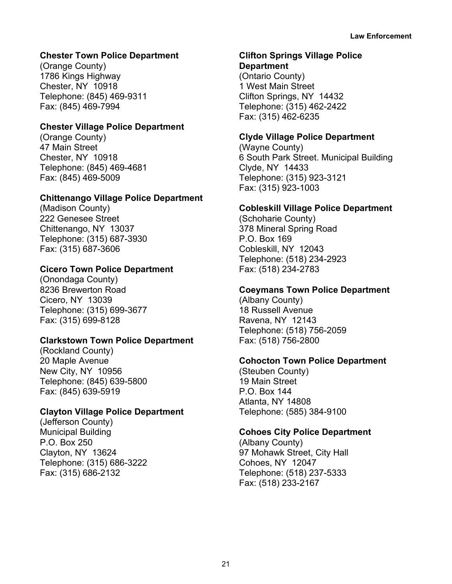# **Chester Town Police Department**

(Orange County) 1786 Kings Highway Chester, NY 10918 Telephone: (845) 469-9311 Fax: (845) 469-7994

#### **Chester Village Police Department**

(Orange County) 47 Main Street Chester, NY 10918 Telephone: (845) 469-4681 Fax: (845) 469-5009

#### **Chittenango Village Police Department**

(Madison County) 222 Genesee Street Chittenango, NY 13037 Telephone: (315) 687-3930 Fax: (315) 687-3606

# **Cicero Town Police Department**

(Onondaga County) 8236 Brewerton Road Cicero, NY 13039 Telephone: (315) 699-3677 Fax: (315) 699-8128

# **Clarkstown Town Police Department**

(Rockland County) 20 Maple Avenue New City, NY 10956 Telephone: (845) 639-5800 Fax: (845) 639-5919

# **Clayton Village Police Department**

(Jefferson County) Municipal Building P.O. Box 250 Clayton, NY 13624 Telephone: (315) 686-3222 Fax: (315) 686-2132

# **Clifton Springs Village Police**

**Department** (Ontario County) 1 West Main Street Clifton Springs, NY 14432 Telephone: (315) 462-2422 Fax: (315) 462-6235

# **Clyde Village Police Department**

(Wayne County) 6 South Park Street. Municipal Building Clyde, NY 14433 Telephone: (315) 923-3121 Fax: (315) 923-1003

# **Cobleskill Village Police Department**

(Schoharie County) 378 Mineral Spring Road P.O. Box 169 Cobleskill, NY 12043 Telephone: (518) 234-2923 Fax: (518) 234-2783

# **Coeymans Town Police Department**

(Albany County) 18 Russell Avenue Ravena, NY 12143 Telephone: (518) 756-2059 Fax: (518) 756-2800

# **Cohocton Town Police Department**

(Steuben County) 19 Main Street P.O. Box 144 Atlanta, NY 14808 Telephone: (585) 384-9100

# **Cohoes City Police Department**

(Albany County) 97 Mohawk Street, City Hall Cohoes, NY 12047 Telephone: (518) 237-5333 Fax: (518) 233-2167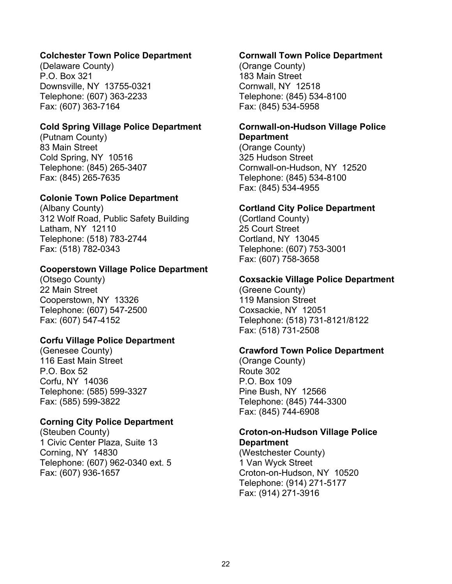# **Colchester Town Police Department**

(Delaware County) P.O. Box 321 Downsville, NY 13755-0321 Telephone: (607) 363-2233 Fax: (607) 363-7164

#### **Cold Spring Village Police Department**

(Putnam County) 83 Main Street Cold Spring, NY 10516 Telephone: (845) 265-3407 Fax: (845) 265-7635

#### **Colonie Town Police Department**

(Albany County) 312 Wolf Road, Public Safety Building Latham, NY 12110 Telephone: (518) 783-2744 Fax: (518) 782-0343

#### **Cooperstown Village Police Department**

(Otsego County) 22 Main Street Cooperstown, NY 13326 Telephone: (607) 547-2500 Fax: (607) 547-4152

#### **Corfu Village Police Department**

(Genesee County) 116 East Main Street P.O. Box 52 Corfu, NY 14036 Telephone: (585) 599-3327 Fax: (585) 599-3822

#### **Corning City Police Department**

(Steuben County) 1 Civic Center Plaza, Suite 13 Corning, NY 14830 Telephone: (607) 962-0340 ext. 5 Fax: (607) 936-1657

#### **Cornwall Town Police Department**

(Orange County) 183 Main Street Cornwall, NY 12518 Telephone: (845) 534-8100 Fax: (845) 534-5958

#### **Cornwall-on-Hudson Village Police Department**

(Orange County) 325 Hudson Street Cornwall-on-Hudson, NY 12520 Telephone: (845) 534-8100 Fax: (845) 534-4955

#### **Cortland City Police Department**

(Cortland County) 25 Court Street Cortland, NY 13045 Telephone: (607) 753-3001 Fax: (607) 758-3658

#### **Coxsackie Village Police Department**

(Greene County) 119 Mansion Street Coxsackie, NY 12051 Telephone: (518) 731-8121/8122 Fax: (518) 731-2508

#### **Crawford Town Police Department**

(Orange County) Route 302 P.O. Box 109 Pine Bush, NY 12566 Telephone: (845) 744-3300 Fax: (845) 744-6908

#### **Croton-on-Hudson Village Police Department**

(Westchester County) 1 Van Wyck Street Croton-on-Hudson, NY 10520 Telephone: (914) 271-5177 Fax: (914) 271-3916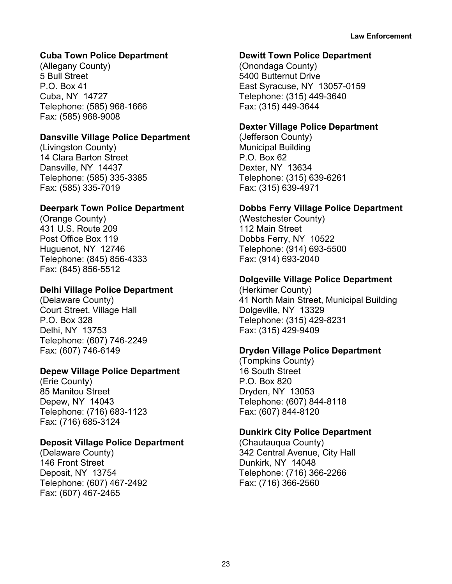# **Cuba Town Police Department**

(Allegany County) 5 Bull Street P.O. Box 41 Cuba, NY 14727 Telephone: (585) 968-1666 Fax: (585) 968-9008

#### **Dansville Village Police Department**

(Livingston County) 14 Clara Barton Street Dansville, NY 14437 Telephone: (585) 335-3385 Fax: (585) 335-7019

#### **Deerpark Town Police Department**

(Orange County) 431 U.S. Route 209 Post Office Box 119 Huguenot, NY 12746 Telephone: (845) 856-4333 Fax: (845) 856-5512

#### **Delhi Village Police Department**

(Delaware County) Court Street, Village Hall P.O. Box 328 Delhi, NY 13753 Telephone: (607) 746-2249 Fax: (607) 746-6149

#### **Depew Village Police Department**

(Erie County) 85 Manitou Street Depew, NY 14043 Telephone: (716) 683-1123 Fax: (716) 685-3124

# **Deposit Village Police Department**

(Delaware County) 146 Front Street Deposit, NY 13754 Telephone: (607) 467-2492 Fax: (607) 467-2465

#### **Dewitt Town Police Department**

(Onondaga County) 5400 Butternut Drive East Syracuse, NY 13057-0159 Telephone: (315) 449-3640 Fax: (315) 449-3644

#### **Dexter Village Police Department**

(Jefferson County) Municipal Building P.O. Box 62 Dexter, NY 13634 Telephone: (315) 639-6261 Fax: (315) 639-4971

#### **Dobbs Ferry Village Police Department**

(Westchester County) 112 Main Street Dobbs Ferry, NY 10522 Telephone: (914) 693-5500 Fax: (914) 693-2040

# **Dolgeville Village Police Department**

(Herkimer County) 41 North Main Street, Municipal Building Dolgeville, NY 13329 Telephone: (315) 429-8231 Fax: (315) 429-9409

#### **Dryden Village Police Department**

(Tompkins County) 16 South Street P.O. Box 820 Dryden, NY 13053 Telephone: (607) 844-8118 Fax: (607) 844-8120

#### **Dunkirk City Police Department**

(Chautauqua County) 342 Central Avenue, City Hall Dunkirk, NY 14048 Telephone: (716) 366-2266 Fax: (716) 366-2560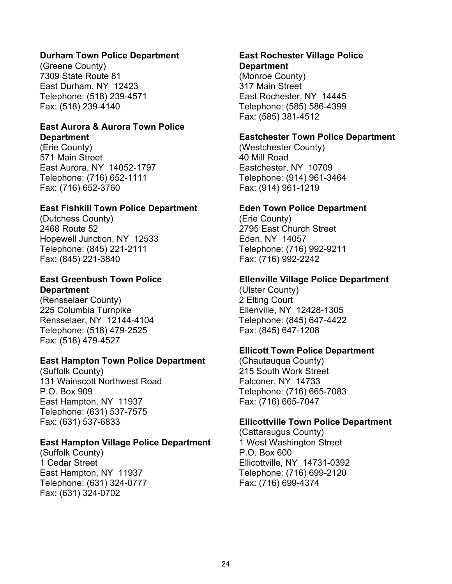#### **Durham Town Police Department**

(Greene County) 7309 State Route 81 East Durham, NY 12423 Telephone: (518) 239-4571 Fax: (518) 239-4140

#### **East Aurora & Aurora Town Police Department**

(Erie County) 571 Main Street East Aurora, NY 14052-1797 Telephone: (716) 652-1111 Fax: (716) 652-3760

#### **East Fishkill Town Police Department**

(Dutchess County) 2468 Route 52 Hopewell Junction, NY 12533 Telephone: (845) 221-2111 Fax: (845) 221-3840

# **East Greenbush Town Police Department**

(Rensselaer County) 225 Columbia Turnpike Rensselaer, NY 12144-4104 Telephone: (518) 479-2525 Fax: (518) 479-4527

# **East Hampton Town Police Department**

(Suffolk County) 131 Wainscott Northwest Road P.O. Box 909 East Hampton, NY 11937 Telephone: (631) 537-7575 Fax: (631) 537-6833

# **East Hampton Village Police Department**

(Suffolk County) 1 Cedar Street East Hampton, NY 11937 Telephone: (631) 324-0777 Fax: (631) 324-0702

# **East Rochester Village Police Department**

(Monroe County) 317 Main Street East Rochester, NY 14445 Telephone: (585) 586-4399 Fax: (585) 381-4512

#### **Eastchester Town Police Department**

(Westchester County) 40 Mill Road Eastchester, NY 10709 Telephone: (914) 961-3464 Fax: (914) 961-1219

#### **Eden Town Police Department**

(Erie County) 2795 East Church Street Eden, NY 14057 Telephone: (716) 992-9211 Fax: (716) 992-2242

#### **Ellenville Village Police Department**

(Ulster County) 2 Elting Court Ellenville, NY 12428-1305 Telephone: (845) 647-4422 Fax: (845) 647-1208

# **Ellicott Town Police Department**

(Chautauqua County) 215 South Work Street Falconer, NY 14733 Telephone: (716) 665-7083 Fax: (716) 665-7047

#### **Ellicottville Town Police Department**

(Cattaraugus County) 1 West Washington Street P.O. Box 600 Ellicottville, NY 14731-0392 Telephone: (716) 699-2120 Fax: (716) 699-4374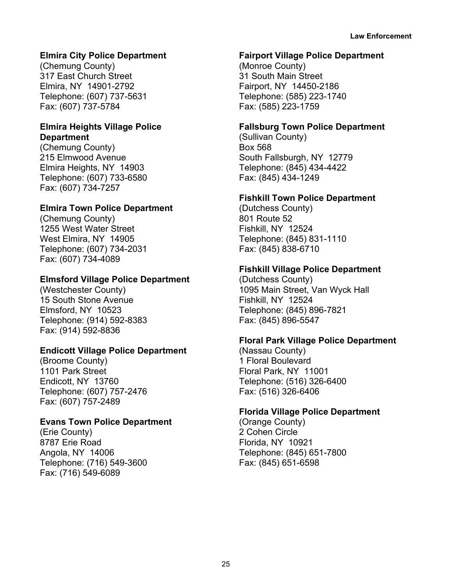# **Elmira City Police Department**

(Chemung County) 317 East Church Street Elmira, NY 14901-2792 Telephone: (607) 737-5631 Fax: (607) 737-5784

#### **Elmira Heights Village Police Department**

(Chemung County) 215 Elmwood Avenue Elmira Heights, NY 14903 Telephone: (607) 733-6580 Fax: (607) 734-7257

# **Elmira Town Police Department**

(Chemung County) 1255 West Water Street West Elmira, NY 14905 Telephone: (607) 734-2031 Fax: (607) 734-4089

# **Elmsford Village Police Department**

(Westchester County) 15 South Stone Avenue Elmsford, NY 10523 Telephone: (914) 592-8383 Fax: (914) 592-8836

# **Endicott Village Police Department**

(Broome County) 1101 Park Street Endicott, NY 13760 Telephone: (607) 757-2476 Fax: (607) 757-2489

# **Evans Town Police Department**

(Erie County) 8787 Erie Road Angola, NY 14006 Telephone: (716) 549-3600 Fax: (716) 549-6089

#### **Fairport Village Police Department**

(Monroe County) 31 South Main Street Fairport, NY 14450-2186 Telephone: (585) 223-1740 Fax: (585) 223-1759

# **Fallsburg Town Police Department**

(Sullivan County) Box 568 South Fallsburgh, NY 12779 Telephone: (845) 434-4422 Fax: (845) 434-1249

# **Fishkill Town Police Department**

(Dutchess County) 801 Route 52 Fishkill, NY 12524 Telephone: (845) 831-1110 Fax: (845) 838-6710

# **Fishkill Village Police Department**

(Dutchess County) 1095 Main Street, Van Wyck Hall Fishkill, NY 12524 Telephone: (845) 896-7821 Fax: (845) 896-5547

# **Floral Park Village Police Department**

(Nassau County) 1 Floral Boulevard Floral Park, NY 11001 Telephone: (516) 326-6400 Fax: (516) 326-6406

# **Florida Village Police Department**

(Orange County) 2 Cohen Circle Florida, NY 10921 Telephone: (845) 651-7800 Fax: (845) 651-6598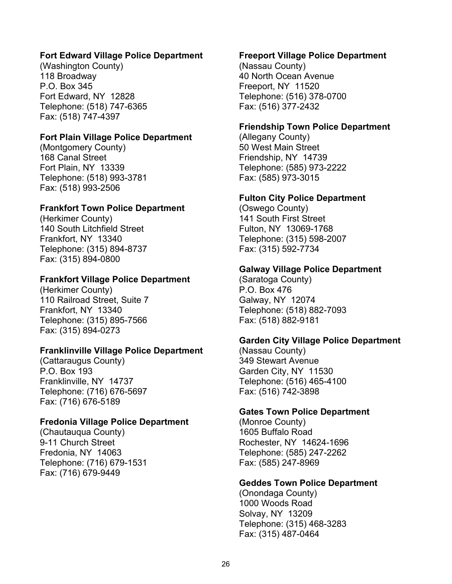#### **Fort Edward Village Police Department**

(Washington County) 118 Broadway P.O. Box 345 Fort Edward, NY 12828 Telephone: (518) 747-6365 Fax: (518) 747-4397

#### **Fort Plain Village Police Department**

(Montgomery County) 168 Canal Street Fort Plain, NY 13339 Telephone: (518) 993-3781 Fax: (518) 993-2506

#### **Frankfort Town Police Department**

(Herkimer County) 140 South Litchfield Street Frankfort, NY 13340 Telephone: (315) 894-8737 Fax: (315) 894-0800

#### **Frankfort Village Police Department**

(Herkimer County) 110 Railroad Street, Suite 7 Frankfort, NY 13340 Telephone: (315) 895-7566 Fax: (315) 894-0273

#### **Franklinville Village Police Department**

(Cattaraugus County) P.O. Box 193 Franklinville, NY 14737 Telephone: (716) 676-5697 Fax: (716) 676-5189

#### **Fredonia Village Police Department**

(Chautauqua County) 9-11 Church Street Fredonia, NY 14063 Telephone: (716) 679-1531 Fax: (716) 679-9449

#### **Freeport Village Police Department**

(Nassau County) 40 North Ocean Avenue Freeport, NY 11520 Telephone: (516) 378-0700 Fax: (516) 377-2432

#### **Friendship Town Police Department**

(Allegany County) 50 West Main Street Friendship, NY 14739 Telephone: (585) 973-2222 Fax: (585) 973-3015

#### **Fulton City Police Department**

(Oswego County) 141 South First Street Fulton, NY 13069-1768 Telephone: (315) 598-2007 Fax: (315) 592-7734

#### **Galway Village Police Department**

(Saratoga County) P.O. Box 476 Galway, NY 12074 Telephone: (518) 882-7093 Fax: (518) 882-9181

#### **Garden City Village Police Department**

(Nassau County) 349 Stewart Avenue Garden City, NY 11530 Telephone: (516) 465-4100 Fax: (516) 742-3898

#### **Gates Town Police Department**

(Monroe County) 1605 Buffalo Road Rochester, NY 14624-1696 Telephone: (585) 247-2262 Fax: (585) 247-8969

#### **Geddes Town Police Department**

(Onondaga County) 1000 Woods Road Solvay, NY 13209 Telephone: (315) 468-3283 Fax: (315) 487-0464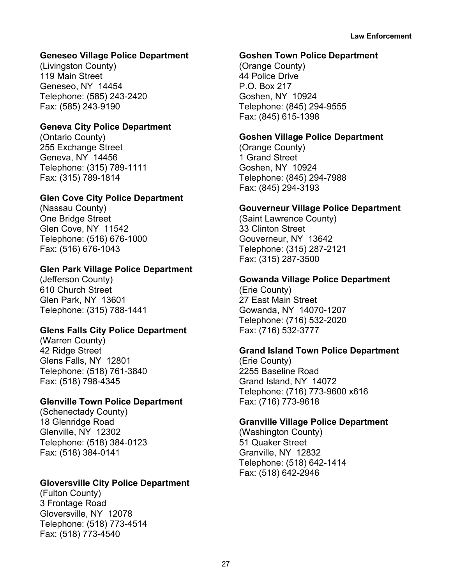# **Geneseo Village Police Department**

(Livingston County) 119 Main Street Geneseo, NY 14454 Telephone: (585) 243-2420 Fax: (585) 243-9190

# **Geneva City Police Department**

(Ontario County) 255 Exchange Street Geneva, NY 14456 Telephone: (315) 789-1111 Fax: (315) 789-1814

# **Glen Cove City Police Department**

(Nassau County) One Bridge Street Glen Cove, NY 11542 Telephone: (516) 676-1000 Fax: (516) 676-1043

# **Glen Park Village Police Department**

(Jefferson County) 610 Church Street Glen Park, NY 13601 Telephone: (315) 788-1441

# **Glens Falls City Police Department**

(Warren County) 42 Ridge Street Glens Falls, NY 12801 Telephone: (518) 761-3840 Fax: (518) 798-4345

# **Glenville Town Police Department**

(Schenectady County) 18 Glenridge Road Glenville, NY 12302 Telephone: (518) 384-0123 Fax: (518) 384-0141

# **Gloversville City Police Department**

(Fulton County) 3 Frontage Road Gloversville, NY 12078 Telephone: (518) 773-4514 Fax: (518) 773-4540

#### **Goshen Town Police Department**

(Orange County) 44 Police Drive P.O. Box 217 Goshen, NY 10924 Telephone: (845) 294-9555 Fax: (845) 615-1398

# **Goshen Village Police Department**

(Orange County) 1 Grand Street Goshen, NY 10924 Telephone: (845) 294-7988 Fax: (845) 294-3193

# **Gouverneur Village Police Department**

(Saint Lawrence County) 33 Clinton Street Gouverneur, NY 13642 Telephone: (315) 287-2121 Fax: (315) 287-3500

# **Gowanda Village Police Department**

(Erie County) 27 East Main Street Gowanda, NY 14070-1207 Telephone: (716) 532-2020 Fax: (716) 532-3777

# **Grand Island Town Police Department**

(Erie County) 2255 Baseline Road Grand Island, NY 14072 Telephone: (716) 773-9600 x616 Fax: (716) 773-9618

# **Granville Village Police Department**

(Washington County) 51 Quaker Street Granville, NY 12832 Telephone: (518) 642-1414 Fax: (518) 642-2946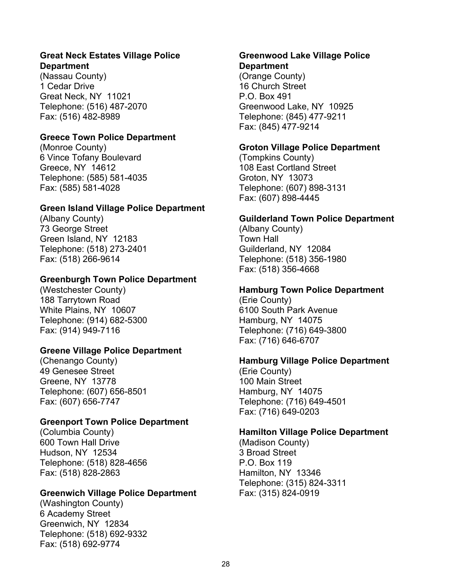#### **Great Neck Estates Village Police Department**

(Nassau County) 1 Cedar Drive Great Neck, NY 11021 Telephone: (516) 487-2070 Fax: (516) 482-8989

# **Greece Town Police Department**

(Monroe County) 6 Vince Tofany Boulevard Greece, NY 14612 Telephone: (585) 581-4035 Fax: (585) 581-4028

# **Green Island Village Police Department**

(Albany County) 73 George Street Green Island, NY 12183 Telephone: (518) 273-2401 Fax: (518) 266-9614

# **Greenburgh Town Police Department**

(Westchester County) 188 Tarrytown Road White Plains, NY 10607 Telephone: (914) 682-5300 Fax: (914) 949-7116

# **Greene Village Police Department**

(Chenango County) 49 Genesee Street Greene, NY 13778 Telephone: (607) 656-8501 Fax: (607) 656-7747

# **Greenport Town Police Department**

(Columbia County) 600 Town Hall Drive Hudson, NY 12534 Telephone: (518) 828-4656 Fax: (518) 828-2863

# **Greenwich Village Police Department**

(Washington County) 6 Academy Street Greenwich, NY 12834 Telephone: (518) 692-9332 Fax: (518) 692-9774

# **Greenwood Lake Village Police Department**

(Orange County) 16 Church Street P.O. Box 491 Greenwood Lake, NY 10925 Telephone: (845) 477-9211 Fax: (845) 477-9214

# **Groton Village Police Department**

(Tompkins County) 108 East Cortland Street Groton, NY 13073 Telephone: (607) 898-3131 Fax: (607) 898-4445

# **Guilderland Town Police Department**

(Albany County) Town Hall Guilderland, NY 12084 Telephone: (518) 356-1980 Fax: (518) 356-4668

# **Hamburg Town Police Department**

(Erie County) 6100 South Park Avenue Hamburg, NY 14075 Telephone: (716) 649-3800 Fax: (716) 646-6707

# **Hamburg Village Police Department**

(Erie County) 100 Main Street Hamburg, NY 14075 Telephone: (716) 649-4501 Fax: (716) 649-0203

# **Hamilton Village Police Department**

(Madison County) 3 Broad Street P.O. Box 119 Hamilton, NY 13346 Telephone: (315) 824-3311 Fax: (315) 824-0919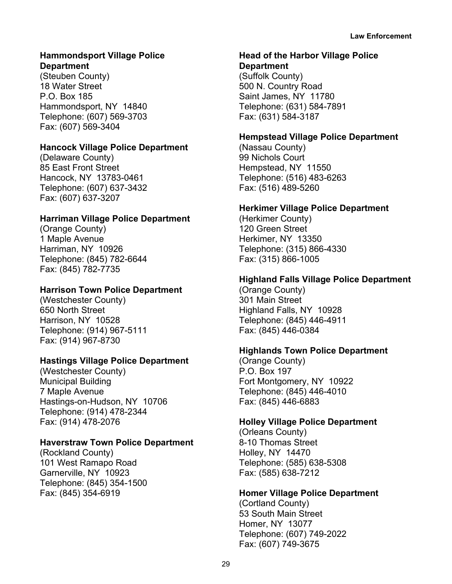# **Hammondsport Village Police Department**

(Steuben County) 18 Water Street P.O. Box 185 Hammondsport, NY 14840 Telephone: (607) 569-3703 Fax: (607) 569-3404

# **Hancock Village Police Department**

(Delaware County) 85 East Front Street Hancock, NY 13783-0461 Telephone: (607) 637-3432 Fax: (607) 637-3207

# **Harriman Village Police Department**

(Orange County) 1 Maple Avenue Harriman, NY 10926 Telephone: (845) 782-6644 Fax: (845) 782-7735

# **Harrison Town Police Department**

(Westchester County) 650 North Street Harrison, NY 10528 Telephone: (914) 967-5111 Fax: (914) 967-8730

# **Hastings Village Police Department**

(Westchester County) Municipal Building 7 Maple Avenue Hastings-on-Hudson, NY 10706 Telephone: (914) 478-2344 Fax: (914) 478-2076

# **Haverstraw Town Police Department**

(Rockland County) 101 West Ramapo Road Garnerville, NY 10923 Telephone: (845) 354-1500 Fax: (845) 354-6919

# **Head of the Harbor Village Police**

**Department** (Suffolk County) 500 N. Country Road Saint James, NY 11780 Telephone: (631) 584-7891 Fax: (631) 584-3187

# **Hempstead Village Police Department**

(Nassau County) 99 Nichols Court Hempstead, NY 11550 Telephone: (516) 483-6263 Fax: (516) 489-5260

# **Herkimer Village Police Department**

(Herkimer County) 120 Green Street Herkimer, NY 13350 Telephone: (315) 866-4330 Fax: (315) 866-1005

# **Highland Falls Village Police Department**

(Orange County) 301 Main Street Highland Falls, NY 10928 Telephone: (845) 446-4911 Fax: (845) 446-0384

# **Highlands Town Police Department**

(Orange County) P.O. Box 197 Fort Montgomery, NY 10922 Telephone: (845) 446-4010 Fax: (845) 446-6883

# **Holley Village Police Department**

(Orleans County) 8-10 Thomas Street Holley, NY 14470 Telephone: (585) 638-5308 Fax: (585) 638-7212

#### **Homer Village Police Department**

(Cortland County) 53 South Main Street Homer, NY 13077 Telephone: (607) 749-2022 Fax: (607) 749-3675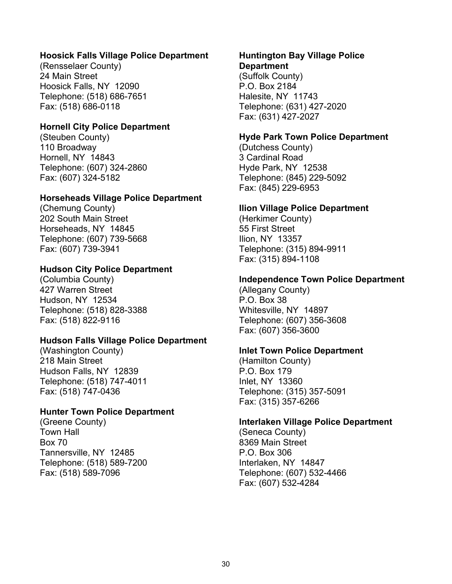#### **Hoosick Falls Village Police Department**

(Rensselaer County) 24 Main Street Hoosick Falls, NY 12090 Telephone: (518) 686-7651 Fax: (518) 686-0118

#### **Hornell City Police Department**

(Steuben County) 110 Broadway Hornell, NY 14843 Telephone: (607) 324-2860 Fax: (607) 324-5182

#### **Horseheads Village Police Department**

(Chemung County) 202 South Main Street Horseheads, NY 14845 Telephone: (607) 739-5668 Fax: (607) 739-3941

#### **Hudson City Police Department**

(Columbia County) 427 Warren Street Hudson, NY 12534 Telephone: (518) 828-3388 Fax: (518) 822-9116

#### **Hudson Falls Village Police Department**

(Washington County) 218 Main Street Hudson Falls, NY 12839 Telephone: (518) 747-4011 Fax: (518) 747-0436

# **Hunter Town Police Department**

(Greene County) Town Hall Box 70 Tannersville, NY 12485 Telephone: (518) 589-7200 Fax: (518) 589-7096

#### **Huntington Bay Village Police Department**

(Suffolk County) P.O. Box 2184 Halesite, NY 11743 Telephone: (631) 427-2020 Fax: (631) 427-2027

#### **Hyde Park Town Police Department**

(Dutchess County) 3 Cardinal Road Hyde Park, NY 12538 Telephone: (845) 229-5092 Fax: (845) 229-6953

#### **Ilion Village Police Department**

(Herkimer County) 55 First Street Ilion, NY 13357 Telephone: (315) 894-9911 Fax: (315) 894-1108

#### **Independence Town Police Department**

(Allegany County) P.O. Box 38 Whitesville, NY 14897 Telephone: (607) 356-3608 Fax: (607) 356-3600

# **Inlet Town Police Department**

(Hamilton County) P.O. Box 179 Inlet, NY 13360 Telephone: (315) 357-5091 Fax: (315) 357-6266

#### **Interlaken Village Police Department**

(Seneca County) 8369 Main Street P.O. Box 306 Interlaken, NY 14847 Telephone: (607) 532-4466 Fax: (607) 532-4284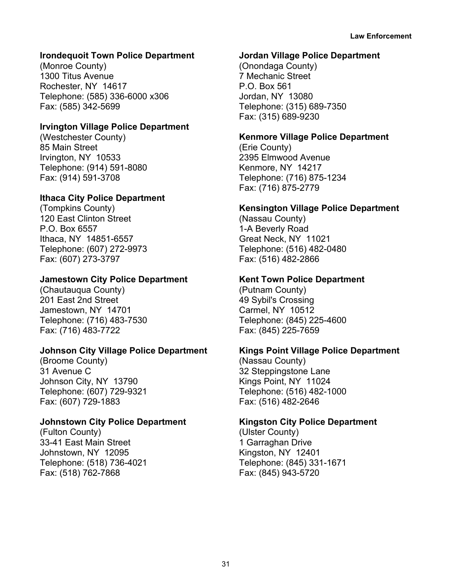# **Irondequoit Town Police Department**

(Monroe County) 1300 Titus Avenue Rochester, NY 14617 Telephone: (585) 336-6000 x306 Fax: (585) 342-5699

#### **Irvington Village Police Department**

(Westchester County) 85 Main Street Irvington, NY 10533 Telephone: (914) 591-8080 Fax: (914) 591-3708

# **Ithaca City Police Department**

(Tompkins County) 120 East Clinton Street P.O. Box 6557 Ithaca, NY 14851-6557 Telephone: (607) 272-9973 Fax: (607) 273-3797

# **Jamestown City Police Department**

(Chautauqua County) 201 East 2nd Street Jamestown, NY 14701 Telephone: (716) 483-7530 Fax: (716) 483-7722

# **Johnson City Village Police Department**

(Broome County) 31 Avenue C Johnson City, NY 13790 Telephone: (607) 729-9321 Fax: (607) 729-1883

# **Johnstown City Police Department**

(Fulton County) 33-41 East Main Street Johnstown, NY 12095 Telephone: (518) 736-4021 Fax: (518) 762-7868

#### **Jordan Village Police Department**

(Onondaga County) 7 Mechanic Street P.O. Box 561 Jordan, NY 13080 Telephone: (315) 689-7350 Fax: (315) 689-9230

# **Kenmore Village Police Department**

(Erie County) 2395 Elmwood Avenue Kenmore, NY 14217 Telephone: (716) 875-1234 Fax: (716) 875-2779

# **Kensington Village Police Department**

(Nassau County) 1-A Beverly Road Great Neck, NY 11021 Telephone: (516) 482-0480 Fax: (516) 482-2866

# **Kent Town Police Department**

(Putnam County) 49 Sybil's Crossing Carmel, NY 10512 Telephone: (845) 225-4600 Fax: (845) 225-7659

# **Kings Point Village Police Department**

(Nassau County) 32 Steppingstone Lane Kings Point, NY 11024 Telephone: (516) 482-1000 Fax: (516) 482-2646

# **Kingston City Police Department**

(Ulster County) 1 Garraghan Drive Kingston, NY 12401 Telephone: (845) 331-1671 Fax: (845) 943-5720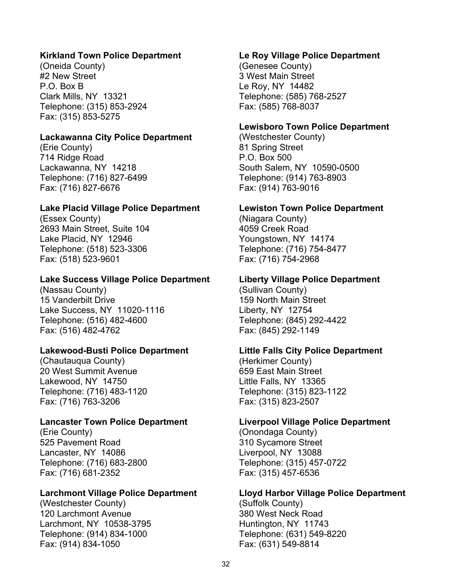#### **Kirkland Town Police Department**

(Oneida County) #2 New Street P.O. Box B Clark Mills, NY 13321 Telephone: (315) 853-2924 Fax: (315) 853-5275

#### **Lackawanna City Police Department**

(Erie County) 714 Ridge Road Lackawanna, NY 14218 Telephone: (716) 827-6499 Fax: (716) 827-6676

#### **Lake Placid Village Police Department**

(Essex County) 2693 Main Street, Suite 104 Lake Placid, NY 12946 Telephone: (518) 523-3306 Fax: (518) 523-9601

#### **Lake Success Village Police Department**

(Nassau County) 15 Vanderbilt Drive Lake Success, NY 11020-1116 Telephone: (516) 482-4600 Fax: (516) 482-4762

#### **Lakewood-Busti Police Department**

(Chautauqua County) 20 West Summit Avenue Lakewood, NY 14750 Telephone: (716) 483-1120 Fax: (716) 763-3206

#### **Lancaster Town Police Department**

(Erie County) 525 Pavement Road Lancaster, NY 14086 Telephone: (716) 683-2800 Fax: (716) 681-2352

#### **Larchmont Village Police Department**

(Westchester County) 120 Larchmont Avenue Larchmont, NY 10538-3795 Telephone: (914) 834-1000 Fax: (914) 834-1050

#### **Le Roy Village Police Department**

(Genesee County) 3 West Main Street Le Roy, NY 14482 Telephone: (585) 768-2527 Fax: (585) 768-8037

#### **Lewisboro Town Police Department**

(Westchester County) 81 Spring Street P.O. Box 500 South Salem, NY 10590-0500 Telephone: (914) 763-8903 Fax: (914) 763-9016

#### **Lewiston Town Police Department**

(Niagara County) 4059 Creek Road Youngstown, NY 14174 Telephone: (716) 754-8477 Fax: (716) 754-2968

#### **Liberty Village Police Department**

(Sullivan County) 159 North Main Street Liberty, NY 12754 Telephone: (845) 292-4422 Fax: (845) 292-1149

#### **Little Falls City Police Department**

(Herkimer County) 659 East Main Street Little Falls, NY 13365 Telephone: (315) 823-1122 Fax: (315) 823-2507

#### **Liverpool Village Police Department**

(Onondaga County) 310 Sycamore Street Liverpool, NY 13088 Telephone: (315) 457-0722 Fax: (315) 457-6536

#### **Lloyd Harbor Village Police Department**

(Suffolk County) 380 West Neck Road Huntington, NY 11743 Telephone: (631) 549-8220 Fax: (631) 549-8814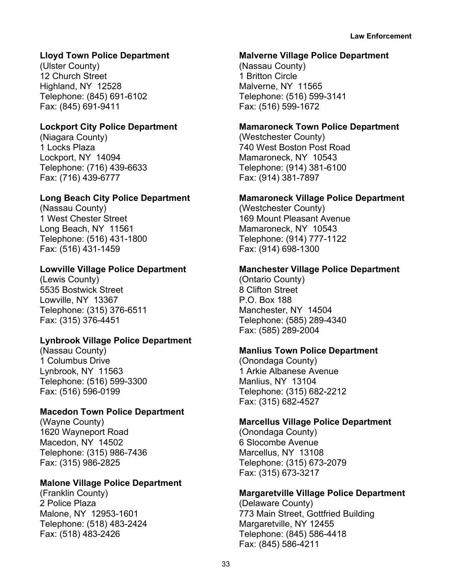# **Lloyd Town Police Department**

(Ulster County) 12 Church Street Highland, NY 12528 Telephone: (845) 691-6102 Fax: (845) 691-9411

# **Lockport City Police Department**

(Niagara County) 1 Locks Plaza Lockport, NY 14094 Telephone: (716) 439-6633 Fax: (716) 439-6777

# **Long Beach City Police Department**

(Nassau County) 1 West Chester Street Long Beach, NY 11561 Telephone: (516) 431-1800 Fax: (516) 431-1459

# **Lowville Village Police Department**

(Lewis County) 5535 Bostwick Street Lowville, NY 13367 Telephone: (315) 376-6511 Fax: (315) 376-4451

# **Lynbrook Village Police Department**

(Nassau County) 1 Columbus Drive Lynbrook, NY 11563 Telephone: (516) 599-3300 Fax: (516) 596-0199

# **Macedon Town Police Department**

(Wayne County) 1620 Wayneport Road Macedon, NY 14502 Telephone: (315) 986-7436 Fax: (315) 986-2825

# **Malone Village Police Department**

(Franklin County) 2 Police Plaza Malone, NY 12953-1601 Telephone: (518) 483-2424 Fax: (518) 483-2426

#### **Malverne Village Police Department**

(Nassau County) 1 Britton Circle Malverne, NY 11565 Telephone: (516) 599-3141 Fax: (516) 599-1672

# **Mamaroneck Town Police Department**

(Westchester County) 740 West Boston Post Road Mamaroneck, NY 10543 Telephone: (914) 381-6100 Fax: (914) 381-7897

# **Mamaroneck Village Police Department**

(Westchester County) 169 Mount Pleasant Avenue Mamaroneck, NY 10543 Telephone: (914) 777-1122 Fax: (914) 698-1300

# **Manchester Village Police Department**

(Ontario County) 8 Clifton Street P.O. Box 188 Manchester, NY 14504 Telephone: (585) 289-4340 Fax: (585) 289-2004

# **Manlius Town Police Department**

(Onondaga County) 1 Arkie Albanese Avenue Manlius, NY 13104 Telephone: (315) 682-2212 Fax: (315) 682-4527

# **Marcellus Village Police Department**

(Onondaga County) 6 Slocombe Avenue Marcellus, NY 13108 Telephone: (315) 673-2079 Fax: (315) 673-3217

# **Margaretville Village Police Department**

(Delaware County) 773 Main Street, Gottfried Building Margaretville, NY 12455 Telephone: (845) 586-4418 Fax: (845) 586-4211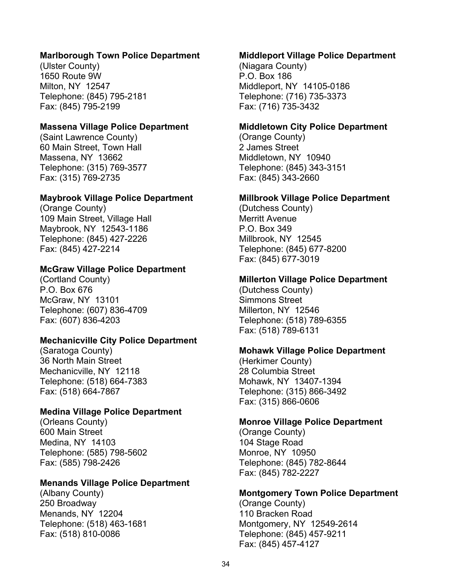#### **Marlborough Town Police Department**

(Ulster County) 1650 Route 9W Milton, NY 12547 Telephone: (845) 795-2181 Fax: (845) 795-2199

#### **Massena Village Police Department**

(Saint Lawrence County) 60 Main Street, Town Hall Massena, NY 13662 Telephone: (315) 769-3577 Fax: (315) 769-2735

#### **Maybrook Village Police Department**

(Orange County) 109 Main Street, Village Hall Maybrook, NY 12543-1186 Telephone: (845) 427-2226 Fax: (845) 427-2214

#### **McGraw Village Police Department**

(Cortland County) P.O. Box 676 McGraw, NY 13101 Telephone: (607) 836-4709 Fax: (607) 836-4203

#### **Mechanicville City Police Department**

(Saratoga County) 36 North Main Street Mechanicville, NY 12118 Telephone: (518) 664-7383 Fax: (518) 664-7867

#### **Medina Village Police Department**

(Orleans County) 600 Main Street Medina, NY 14103 Telephone: (585) 798-5602 Fax: (585) 798-2426

#### **Menands Village Police Department**

(Albany County) 250 Broadway Menands, NY 12204 Telephone: (518) 463-1681 Fax: (518) 810-0086

#### **Middleport Village Police Department**

(Niagara County) P.O. Box 186 Middleport, NY 14105-0186 Telephone: (716) 735-3373 Fax: (716) 735-3432

#### **Middletown City Police Department**

(Orange County) 2 James Street Middletown, NY 10940 Telephone: (845) 343-3151 Fax: (845) 343-2660

#### **Millbrook Village Police Department**

(Dutchess County) Merritt Avenue P.O. Box 349 Millbrook, NY 12545 Telephone: (845) 677-8200 Fax: (845) 677-3019

#### **Millerton Village Police Department**

(Dutchess County) Simmons Street Millerton, NY 12546 Telephone: (518) 789-6355 Fax: (518) 789-6131

#### **Mohawk Village Police Department**

(Herkimer County) 28 Columbia Street Mohawk, NY 13407-1394 Telephone: (315) 866-3492 Fax: (315) 866-0606

#### **Monroe Village Police Department**

(Orange County) 104 Stage Road Monroe, NY 10950 Telephone: (845) 782-8644 Fax: (845) 782-2227

#### **Montgomery Town Police Department**

(Orange County) 110 Bracken Road Montgomery, NY 12549-2614 Telephone: (845) 457-9211 Fax: (845) 457-4127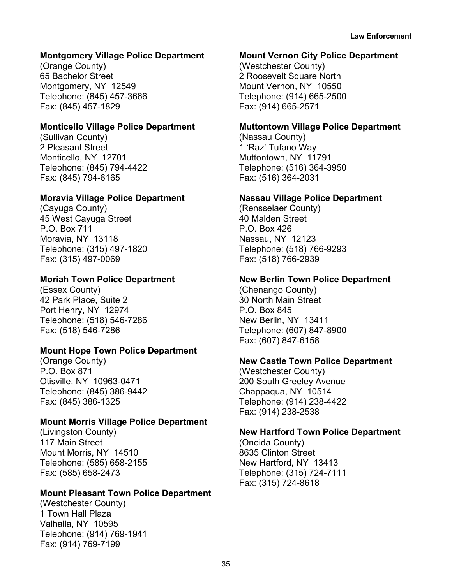# **Montgomery Village Police Department**

(Orange County) 65 Bachelor Street Montgomery, NY 12549 Telephone: (845) 457-3666 Fax: (845) 457-1829

## **Monticello Village Police Department**

(Sullivan County) 2 Pleasant Street Monticello, NY 12701 Telephone: (845) 794-4422 Fax: (845) 794-6165

## **Moravia Village Police Department**

(Cayuga County) 45 West Cayuga Street P.O. Box 711 Moravia, NY 13118 Telephone: (315) 497-1820 Fax: (315) 497-0069

# **Moriah Town Police Department**

(Essex County) 42 Park Place, Suite 2 Port Henry, NY 12974 Telephone: (518) 546-7286 Fax: (518) 546-7286

# **Mount Hope Town Police Department**

(Orange County) P.O. Box 871 Otisville, NY 10963-0471 Telephone: (845) 386-9442 Fax: (845) 386-1325

#### **Mount Morris Village Police Department**

(Livingston County) 117 Main Street Mount Morris, NY 14510 Telephone: (585) 658-2155 Fax: (585) 658-2473

#### **Mount Pleasant Town Police Department**

(Westchester County) 1 Town Hall Plaza Valhalla, NY 10595 Telephone: (914) 769-1941 Fax: (914) 769-7199

#### **Mount Vernon City Police Department**

(Westchester County) 2 Roosevelt Square North Mount Vernon, NY 10550 Telephone: (914) 665-2500 Fax: (914) 665-2571

## **Muttontown Village Police Department**

(Nassau County) 1 'Raz' Tufano Way Muttontown, NY 11791 Telephone: (516) 364-3950 Fax: (516) 364-2031

## **Nassau Village Police Department**

(Rensselaer County) 40 Malden Street P.O. Box 426 Nassau, NY 12123 Telephone: (518) 766-9293 Fax: (518) 766-2939

# **New Berlin Town Police Department**

(Chenango County) 30 North Main Street P.O. Box 845 New Berlin, NY 13411 Telephone: (607) 847-8900 Fax: (607) 847-6158

#### **New Castle Town Police Department**

(Westchester County) 200 South Greeley Avenue Chappaqua, NY 10514 Telephone: (914) 238-4422 Fax: (914) 238-2538

#### **New Hartford Town Police Department**

(Oneida County) 8635 Clinton Street New Hartford, NY 13413 Telephone: (315) 724-7111 Fax: (315) 724-8618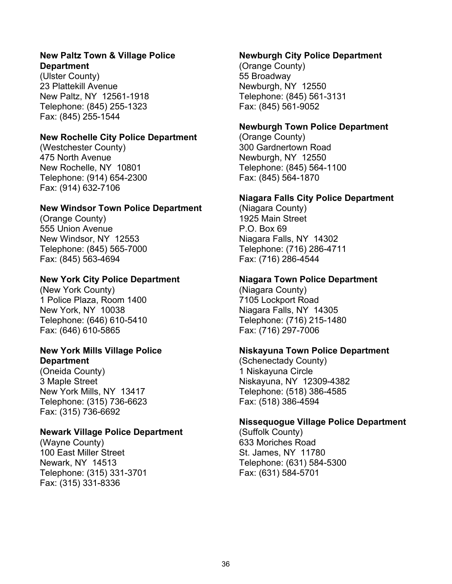## **New Paltz Town & Village Police Department**

(Ulster County) 23 Plattekill Avenue New Paltz, NY 12561-1918 Telephone: (845) 255-1323 Fax: (845) 255-1544

# **New Rochelle City Police Department**

(Westchester County) 475 North Avenue New Rochelle, NY 10801 Telephone: (914) 654-2300 Fax: (914) 632-7106

# **New Windsor Town Police Department**

(Orange County) 555 Union Avenue New Windsor, NY 12553 Telephone: (845) 565-7000 Fax: (845) 563-4694

# **New York City Police Department**

(New York County) 1 Police Plaza, Room 1400 New York, NY 10038 Telephone: (646) 610-5410 Fax: (646) 610-5865

# **New York Mills Village Police Department**

(Oneida County) 3 Maple Street New York Mills, NY 13417 Telephone: (315) 736-6623 Fax: (315) 736-6692

# **Newark Village Police Department**

(Wayne County) 100 East Miller Street Newark, NY 14513 Telephone: (315) 331-3701 Fax: (315) 331-8336

# **Newburgh City Police Department**

(Orange County) 55 Broadway Newburgh, NY 12550 Telephone: (845) 561-3131 Fax: (845) 561-9052

# **Newburgh Town Police Department**

(Orange County) 300 Gardnertown Road Newburgh, NY 12550 Telephone: (845) 564-1100 Fax: (845) 564-1870

# **Niagara Falls City Police Department**

(Niagara County) 1925 Main Street P.O. Box 69 Niagara Falls, NY 14302 Telephone: (716) 286-4711 Fax: (716) 286-4544

# **Niagara Town Police Department**

(Niagara County) 7105 Lockport Road Niagara Falls, NY 14305 Telephone: (716) 215-1480 Fax: (716) 297-7006

# **Niskayuna Town Police Department**

(Schenectady County) 1 Niskayuna Circle Niskayuna, NY 12309-4382 Telephone: (518) 386-4585 Fax: (518) 386-4594

# **Nissequogue Village Police Department**

(Suffolk County) 633 Moriches Road St. James, NY 11780 Telephone: (631) 584-5300 Fax: (631) 584-5701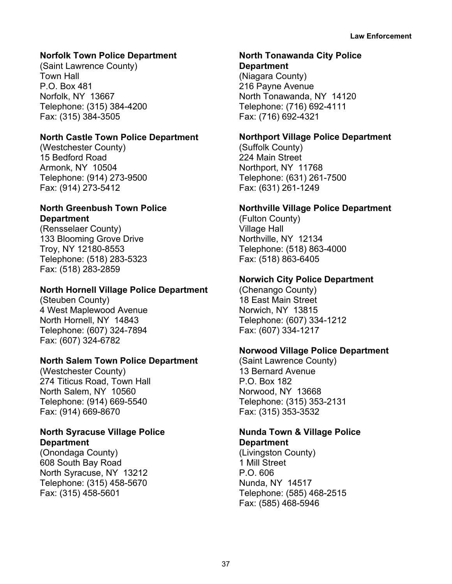# **Norfolk Town Police Department**

(Saint Lawrence County) Town Hall P.O. Box 481 Norfolk, NY 13667 Telephone: (315) 384-4200 Fax: (315) 384-3505

# **North Castle Town Police Department**

(Westchester County) 15 Bedford Road Armonk, NY 10504 Telephone: (914) 273-9500 Fax: (914) 273-5412

# **North Greenbush Town Police Department**

(Rensselaer County) 133 Blooming Grove Drive Troy, NY 12180-8553 Telephone: (518) 283-5323 Fax: (518) 283-2859

# **North Hornell Village Police Department**

(Steuben County) 4 West Maplewood Avenue North Hornell, NY 14843 Telephone: (607) 324-7894 Fax: (607) 324-6782

# **North Salem Town Police Department**

(Westchester County) 274 Titicus Road, Town Hall North Salem, NY 10560 Telephone: (914) 669-5540 Fax: (914) 669-8670

# **North Syracuse Village Police Department**

(Onondaga County) 608 South Bay Road North Syracuse, NY 13212 Telephone: (315) 458-5670 Fax: (315) 458-5601

# **North Tonawanda City Police**

**Department** (Niagara County) 216 Payne Avenue North Tonawanda, NY 14120 Telephone: (716) 692-4111 Fax: (716) 692-4321

# **Northport Village Police Department**

(Suffolk County) 224 Main Street Northport, NY 11768 Telephone: (631) 261-7500 Fax: (631) 261-1249

# **Northville Village Police Department**

(Fulton County) Village Hall Northville, NY 12134 Telephone: (518) 863-4000 Fax: (518) 863-6405

# **Norwich City Police Department**

(Chenango County) 18 East Main Street Norwich, NY 13815 Telephone: (607) 334-1212 Fax: (607) 334-1217

# **Norwood Village Police Department**

(Saint Lawrence County) 13 Bernard Avenue P.O. Box 182 Norwood, NY 13668 Telephone: (315) 353-2131 Fax: (315) 353-3532

## **Nunda Town & Village Police Department**

(Livingston County) 1 Mill Street P.O. 606 Nunda, NY 14517 Telephone: (585) 468-2515 Fax: (585) 468-5946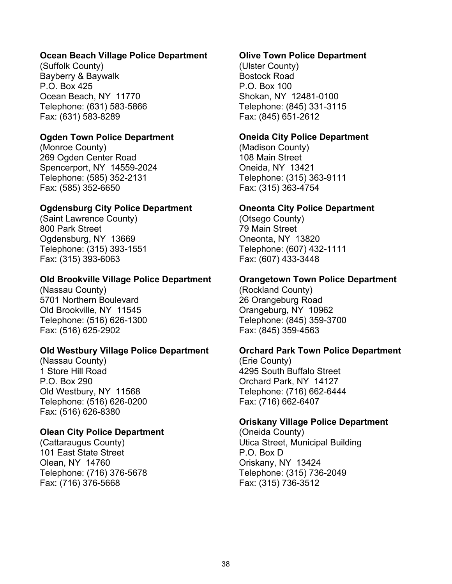## **Ocean Beach Village Police Department**

(Suffolk County) Bayberry & Baywalk P.O. Box 425 Ocean Beach, NY 11770 Telephone: (631) 583-5866 Fax: (631) 583-8289

## **Ogden Town Police Department**

(Monroe County) 269 Ogden Center Road Spencerport, NY 14559-2024 Telephone: (585) 352-2131 Fax: (585) 352-6650

## **Ogdensburg City Police Department**

(Saint Lawrence County) 800 Park Street Ogdensburg, NY 13669 Telephone: (315) 393-1551 Fax: (315) 393-6063

#### **Old Brookville Village Police Department**

(Nassau County) 5701 Northern Boulevard Old Brookville, NY 11545 Telephone: (516) 626-1300 Fax: (516) 625-2902

#### **Old Westbury Village Police Department**

(Nassau County) 1 Store Hill Road P.O. Box 290 Old Westbury, NY 11568 Telephone: (516) 626-0200 Fax: (516) 626-8380

#### **Olean City Police Department**

(Cattaraugus County) 101 East State Street Olean, NY 14760 Telephone: (716) 376-5678 Fax: (716) 376-5668

#### **Olive Town Police Department**

(Ulster County) Bostock Road P.O. Box 100 Shokan, NY 12481-0100 Telephone: (845) 331-3115 Fax: (845) 651-2612

#### **Oneida City Police Department**

(Madison County) 108 Main Street Oneida, NY 13421 Telephone: (315) 363-9111 Fax: (315) 363-4754

#### **Oneonta City Police Department**

(Otsego County) 79 Main Street Oneonta, NY 13820 Telephone: (607) 432-1111 Fax: (607) 433-3448

## **Orangetown Town Police Department**

(Rockland County) 26 Orangeburg Road Orangeburg, NY 10962 Telephone: (845) 359-3700 Fax: (845) 359-4563

#### **Orchard Park Town Police Department**

(Erie County) 4295 South Buffalo Street Orchard Park, NY 14127 Telephone: (716) 662-6444 Fax: (716) 662-6407

#### **Oriskany Village Police Department**

(Oneida County) Utica Street, Municipal Building P.O. Box D Oriskany, NY 13424 Telephone: (315) 736-2049 Fax: (315) 736-3512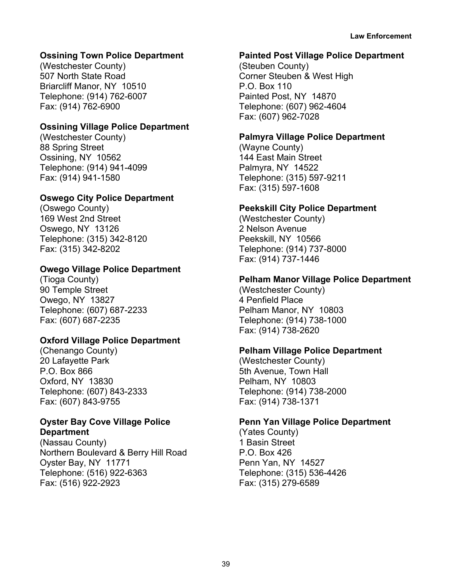# **Ossining Town Police Department**

(Westchester County) 507 North State Road Briarcliff Manor, NY 10510 Telephone: (914) 762-6007 Fax: (914) 762-6900

# **Ossining Village Police Department**

(Westchester County) 88 Spring Street Ossining, NY 10562 Telephone: (914) 941-4099 Fax: (914) 941-1580

# **Oswego City Police Department**

(Oswego County) 169 West 2nd Street Oswego, NY 13126 Telephone: (315) 342-8120 Fax: (315) 342-8202

# **Owego Village Police Department**

(Tioga County) 90 Temple Street Owego, NY 13827 Telephone: (607) 687-2233 Fax: (607) 687-2235

# **Oxford Village Police Department**

(Chenango County) 20 Lafayette Park P.O. Box 866 Oxford, NY 13830 Telephone: (607) 843-2333 Fax: (607) 843-9755

# **Oyster Bay Cove Village Police Department**

(Nassau County) Northern Boulevard & Berry Hill Road Oyster Bay, NY 11771 Telephone: (516) 922-6363 Fax: (516) 922-2923

### **Painted Post Village Police Department**

(Steuben County) Corner Steuben & West High P.O. Box 110 Painted Post, NY 14870 Telephone: (607) 962-4604 Fax: (607) 962-7028

# **Palmyra Village Police Department**

(Wayne County) 144 East Main Street Palmyra, NY 14522 Telephone: (315) 597-9211 Fax: (315) 597-1608

## **Peekskill City Police Department**

(Westchester County) 2 Nelson Avenue Peekskill, NY 10566 Telephone: (914) 737-8000 Fax: (914) 737-1446

# **Pelham Manor Village Police Department**

(Westchester County) 4 Penfield Place Pelham Manor, NY 10803 Telephone: (914) 738-1000 Fax: (914) 738-2620

# **Pelham Village Police Department**

(Westchester County) 5th Avenue, Town Hall Pelham, NY 10803 Telephone: (914) 738-2000 Fax: (914) 738-1371

#### **Penn Yan Village Police Department**

(Yates County) 1 Basin Street P.O. Box 426 Penn Yan, NY 14527 Telephone: (315) 536-4426 Fax: (315) 279-6589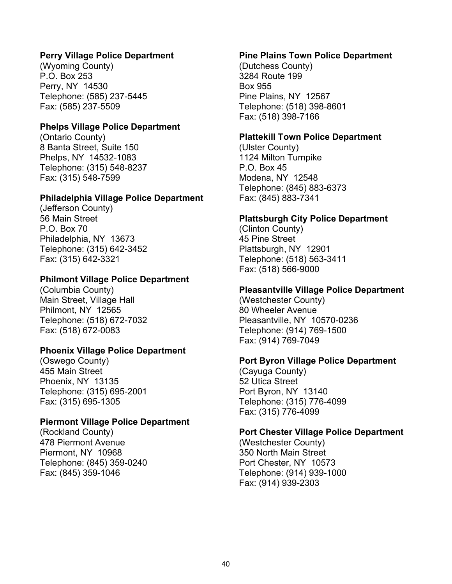# **Perry Village Police Department**

(Wyoming County) P.O. Box 253 Perry, NY 14530 Telephone: (585) 237-5445 Fax: (585) 237-5509

#### **Phelps Village Police Department**

(Ontario County) 8 Banta Street, Suite 150 Phelps, NY 14532-1083 Telephone: (315) 548-8237 Fax: (315) 548-7599

#### **Philadelphia Village Police Department**

(Jefferson County) 56 Main Street P.O. Box 70 Philadelphia, NY 13673 Telephone: (315) 642-3452 Fax: (315) 642-3321

#### **Philmont Village Police Department**

(Columbia County) Main Street, Village Hall Philmont, NY 12565 Telephone: (518) 672-7032 Fax: (518) 672-0083

#### **Phoenix Village Police Department**

(Oswego County) 455 Main Street Phoenix, NY 13135 Telephone: (315) 695-2001 Fax: (315) 695-1305

#### **Piermont Village Police Department**

(Rockland County) 478 Piermont Avenue Piermont, NY 10968 Telephone: (845) 359-0240 Fax: (845) 359-1046

#### **Pine Plains Town Police Department**

(Dutchess County) 3284 Route 199 Box 955 Pine Plains, NY 12567 Telephone: (518) 398-8601 Fax: (518) 398-7166

#### **Plattekill Town Police Department**

(Ulster County) 1124 Milton Turnpike P.O. Box 45 Modena, NY 12548 Telephone: (845) 883-6373 Fax: (845) 883-7341

## **Plattsburgh City Police Department**

(Clinton County) 45 Pine Street Plattsburgh, NY 12901 Telephone: (518) 563-3411 Fax: (518) 566-9000

#### **Pleasantville Village Police Department**

(Westchester County) 80 Wheeler Avenue Pleasantville, NY 10570-0236 Telephone: (914) 769-1500 Fax: (914) 769-7049

#### **Port Byron Village Police Department**

(Cayuga County) 52 Utica Street Port Byron, NY 13140 Telephone: (315) 776-4099 Fax: (315) 776-4099

#### **Port Chester Village Police Department**

(Westchester County) 350 North Main Street Port Chester, NY 10573 Telephone: (914) 939-1000 Fax: (914) 939-2303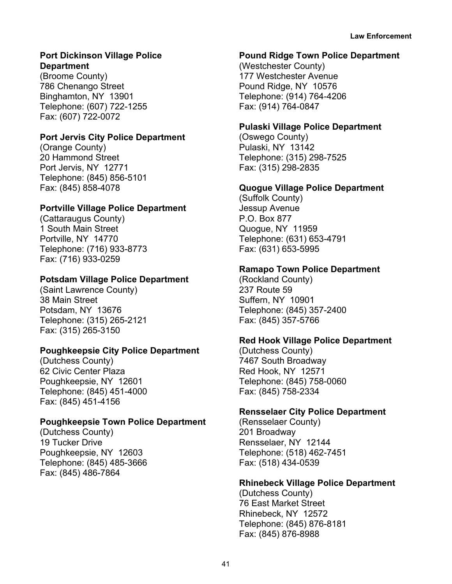# **Port Dickinson Village Police Department**

(Broome County) 786 Chenango Street Binghamton, NY 13901 Telephone: (607) 722-1255 Fax: (607) 722-0072

# **Port Jervis City Police Department**

(Orange County) 20 Hammond Street Port Jervis, NY 12771 Telephone: (845) 856-5101 Fax: (845) 858-4078

# **Portville Village Police Department**

(Cattaraugus County) 1 South Main Street Portville, NY 14770 Telephone: (716) 933-8773 Fax: (716) 933-0259

# **Potsdam Village Police Department**

(Saint Lawrence County) 38 Main Street Potsdam, NY 13676 Telephone: (315) 265-2121 Fax: (315) 265-3150

# **Poughkeepsie City Police Department**

(Dutchess County) 62 Civic Center Plaza Poughkeepsie, NY 12601 Telephone: (845) 451-4000 Fax: (845) 451-4156

# **Poughkeepsie Town Police Department**

(Dutchess County) 19 Tucker Drive Poughkeepsie, NY 12603 Telephone: (845) 485-3666 Fax: (845) 486-7864

# **Pound Ridge Town Police Department**

(Westchester County) 177 Westchester Avenue Pound Ridge, NY 10576 Telephone: (914) 764-4206 Fax: (914) 764-0847

# **Pulaski Village Police Department**

(Oswego County) Pulaski, NY 13142 Telephone: (315) 298-7525 Fax: (315) 298-2835

# **Quogue Village Police Department**

(Suffolk County) Jessup Avenue P.O. Box 877 Quogue, NY 11959 Telephone: (631) 653-4791 Fax: (631) 653-5995

# **Ramapo Town Police Department**

(Rockland County) 237 Route 59 Suffern, NY 10901 Telephone: (845) 357-2400 Fax: (845) 357-5766

# **Red Hook Village Police Department**

(Dutchess County) 7467 South Broadway Red Hook, NY 12571 Telephone: (845) 758-0060 Fax: (845) 758-2334

# **Rensselaer City Police Department**

(Rensselaer County) 201 Broadway Rensselaer, NY 12144 Telephone: (518) 462-7451 Fax: (518) 434-0539

# **Rhinebeck Village Police Department**

(Dutchess County) 76 East Market Street Rhinebeck, NY 12572 Telephone: (845) 876-8181 Fax: (845) 876-8988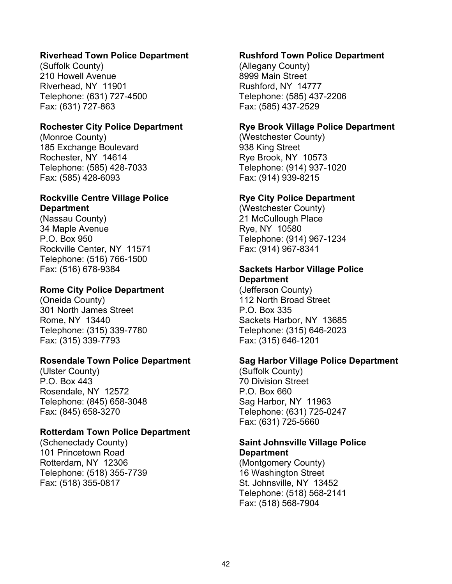# **Riverhead Town Police Department**

(Suffolk County) 210 Howell Avenue Riverhead, NY 11901 Telephone: (631) 727-4500 Fax: (631) 727-863

#### **Rochester City Police Department**

(Monroe County) 185 Exchange Boulevard Rochester, NY 14614 Telephone: (585) 428-7033 Fax: (585) 428-6093

# **Rockville Centre Village Police Department**

(Nassau County) 34 Maple Avenue P.O. Box 950 Rockville Center, NY 11571 Telephone: (516) 766-1500 Fax: (516) 678-9384

# **Rome City Police Department**

(Oneida County) 301 North James Street Rome, NY 13440 Telephone: (315) 339-7780 Fax: (315) 339-7793

## **Rosendale Town Police Department**

(Ulster County) P.O. Box 443 Rosendale, NY 12572 Telephone: (845) 658-3048 Fax: (845) 658-3270

#### **Rotterdam Town Police Department**

(Schenectady County) 101 Princetown Road Rotterdam, NY 12306 Telephone: (518) 355-7739 Fax: (518) 355-0817

#### **Rushford Town Police Department**

(Allegany County) 8999 Main Street Rushford, NY 14777 Telephone: (585) 437-2206 Fax: (585) 437-2529

#### **Rye Brook Village Police Department**

(Westchester County) 938 King Street Rye Brook, NY 10573 Telephone: (914) 937-1020 Fax: (914) 939-8215

#### **Rye City Police Department**

(Westchester County) 21 McCullough Place Rye, NY 10580 Telephone: (914) 967-1234 Fax: (914) 967-8341

# **Sackets Harbor Village Police Department**

(Jefferson County) 112 North Broad Street P.O. Box 335 Sackets Harbor, NY 13685 Telephone: (315) 646-2023 Fax: (315) 646-1201

#### **Sag Harbor Village Police Department**

(Suffolk County) 70 Division Street P.O. Box 660 Sag Harbor, NY 11963 Telephone: (631) 725-0247 Fax: (631) 725-5660

# **Saint Johnsville Village Police Department**

(Montgomery County) 16 Washington Street St. Johnsville, NY 13452 Telephone: (518) 568-2141 Fax: (518) 568-7904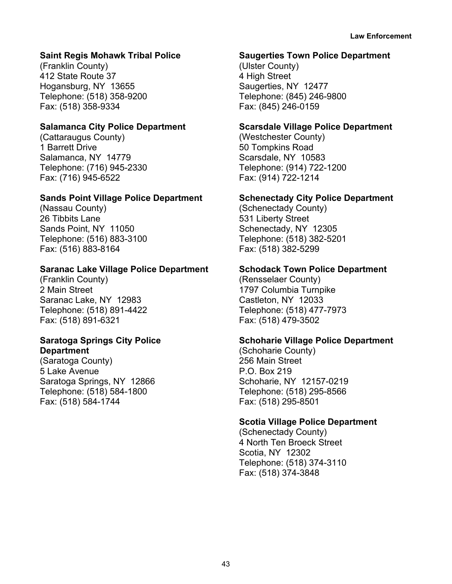# **Saint Regis Mohawk Tribal Police**

(Franklin County) 412 State Route 37 Hogansburg, NY 13655 Telephone: (518) 358-9200 Fax: (518) 358-9334

# **Salamanca City Police Department**

(Cattaraugus County) 1 Barrett Drive Salamanca, NY 14779 Telephone: (716) 945-2330 Fax: (716) 945-6522

## **Sands Point Village Police Department**

(Nassau County) 26 Tibbits Lane Sands Point, NY 11050 Telephone: (516) 883-3100 Fax: (516) 883-8164

## **Saranac Lake Village Police Department**

(Franklin County) 2 Main Street Saranac Lake, NY 12983 Telephone: (518) 891-4422 Fax: (518) 891-6321

#### **Saratoga Springs City Police Department**

(Saratoga County) 5 Lake Avenue Saratoga Springs, NY 12866 Telephone: (518) 584-1800 Fax: (518) 584-1744

#### **Saugerties Town Police Department**

(Ulster County) 4 High Street Saugerties, NY 12477 Telephone: (845) 246-9800 Fax: (845) 246-0159

# **Scarsdale Village Police Department**

(Westchester County) 50 Tompkins Road Scarsdale, NY 10583 Telephone: (914) 722-1200 Fax: (914) 722-1214

# **Schenectady City Police Department**

(Schenectady County) 531 Liberty Street Schenectady, NY 12305 Telephone: (518) 382-5201 Fax: (518) 382-5299

## **Schodack Town Police Department**

(Rensselaer County) 1797 Columbia Turnpike Castleton, NY 12033 Telephone: (518) 477-7973 Fax: (518) 479-3502

# **Schoharie Village Police Department**

(Schoharie County) 256 Main Street P.O. Box 219 Schoharie, NY 12157-0219 Telephone: (518) 295-8566 Fax: (518) 295-8501

#### **Scotia Village Police Department**

(Schenectady County) 4 North Ten Broeck Street Scotia, NY 12302 Telephone: (518) 374-3110 Fax: (518) 374-3848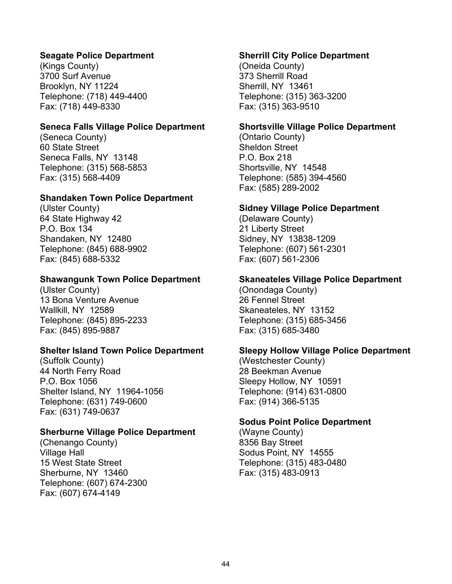# **Seagate Police Department**

(Kings County) 3700 Surf Avenue Brooklyn, NY 11224 Telephone: (718) 449-4400 Fax: (718) 449-8330

#### **Seneca Falls Village Police Department**

(Seneca County) 60 State Street Seneca Falls, NY 13148 Telephone: (315) 568-5853 Fax: (315) 568-4409

#### **Shandaken Town Police Department**

(Ulster County) 64 State Highway 42 P.O. Box 134 Shandaken, NY 12480 Telephone: (845) 688-9902 Fax: (845) 688-5332

#### **Shawangunk Town Police Department**

(Ulster County) 13 Bona Venture Avenue Wallkill, NY 12589 Telephone: (845) 895-2233 Fax: (845) 895-9887

#### **Shelter Island Town Police Department**

(Suffolk County) 44 North Ferry Road P.O. Box 1056 Shelter Island, NY 11964-1056 Telephone: (631) 749-0600 Fax: (631) 749-0637

#### **Sherburne Village Police Department**

(Chenango County) Village Hall 15 West State Street Sherburne, NY 13460 Telephone: (607) 674-2300 Fax: (607) 674-4149

#### **Sherrill City Police Department**

(Oneida County) 373 Sherrill Road Sherrill, NY 13461 Telephone: (315) 363-3200 Fax: (315) 363-9510

#### **Shortsville Village Police Department**

(Ontario County) Sheldon Street P.O. Box 218 Shortsville, NY 14548 Telephone: (585) 394-4560 Fax: (585) 289-2002

#### **Sidney Village Police Department**

(Delaware County) 21 Liberty Street Sidney, NY 13838-1209 Telephone: (607) 561-2301 Fax: (607) 561-2306

#### **Skaneateles Village Police Department**

(Onondaga County) 26 Fennel Street Skaneateles, NY 13152 Telephone: (315) 685-3456 Fax: (315) 685-3480

#### **Sleepy Hollow Village Police Department**

(Westchester County) 28 Beekman Avenue Sleepy Hollow, NY 10591 Telephone: (914) 631-0800 Fax: (914) 366-5135

#### **Sodus Point Police Department**

(Wayne County) 8356 Bay Street Sodus Point, NY 14555 Telephone: (315) 483-0480 Fax: (315) 483-0913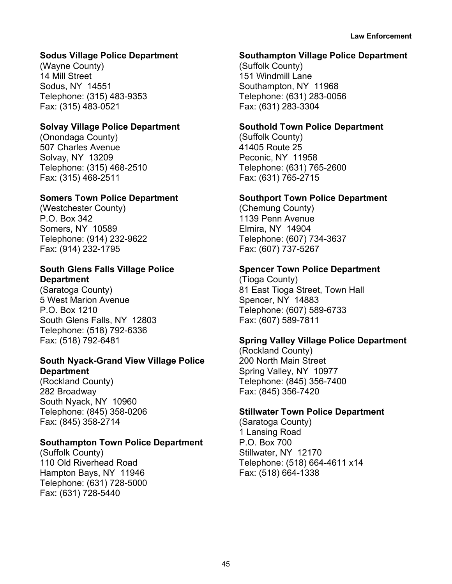# **Sodus Village Police Department**

(Wayne County) 14 Mill Street Sodus, NY 14551 Telephone: (315) 483-9353 Fax: (315) 483-0521

# **Solvay Village Police Department**

(Onondaga County) 507 Charles Avenue Solvay, NY 13209 Telephone: (315) 468-2510 Fax: (315) 468-2511

# **Somers Town Police Department**

(Westchester County) P.O. Box 342 Somers, NY 10589 Telephone: (914) 232-9622 Fax: (914) 232-1795

# **South Glens Falls Village Police Department**

(Saratoga County) 5 West Marion Avenue P.O. Box 1210 South Glens Falls, NY 12803 Telephone: (518) 792-6336 Fax: (518) 792-6481

# **South Nyack-Grand View Village Police Department**

(Rockland County) 282 Broadway South Nyack, NY 10960 Telephone: (845) 358-0206 Fax: (845) 358-2714

# **Southampton Town Police Department**

(Suffolk County) 110 Old Riverhead Road Hampton Bays, NY 11946 Telephone: (631) 728-5000 Fax: (631) 728-5440

## **Southampton Village Police Department**

(Suffolk County) 151 Windmill Lane Southampton, NY 11968 Telephone: (631) 283-0056 Fax: (631) 283-3304

# **Southold Town Police Department**

(Suffolk County) 41405 Route 25 Peconic, NY 11958 Telephone: (631) 765-2600 Fax: (631) 765-2715

## **Southport Town Police Department**

(Chemung County) 1139 Penn Avenue Elmira, NY 14904 Telephone: (607) 734-3637 Fax: (607) 737-5267

# **Spencer Town Police Department**

(Tioga County) 81 East Tioga Street, Town Hall Spencer, NY 14883 Telephone: (607) 589-6733 Fax: (607) 589-7811

# **Spring Valley Village Police Department**

(Rockland County) 200 North Main Street Spring Valley, NY 10977 Telephone: (845) 356-7400 Fax: (845) 356-7420

# **Stillwater Town Police Department**

(Saratoga County) 1 Lansing Road P.O. Box 700 Stillwater, NY 12170 Telephone: (518) 664-4611 x14 Fax: (518) 664-1338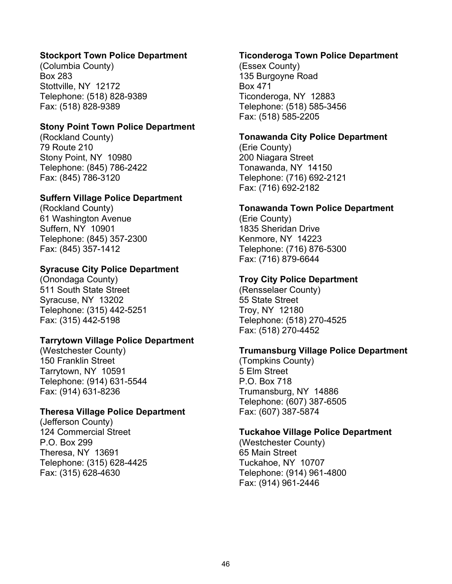# **Stockport Town Police Department**

(Columbia County) Box 283 Stottville, NY 12172 Telephone: (518) 828-9389 Fax: (518) 828-9389

#### **Stony Point Town Police Department**

(Rockland County) 79 Route 210 Stony Point, NY 10980 Telephone: (845) 786-2422 Fax: (845) 786-3120

## **Suffern Village Police Department**

(Rockland County) 61 Washington Avenue Suffern, NY 10901 Telephone: (845) 357-2300 Fax: (845) 357-1412

# **Syracuse City Police Department**

(Onondaga County) 511 South State Street Syracuse, NY 13202 Telephone: (315) 442-5251 Fax: (315) 442-5198

#### **Tarrytown Village Police Department**

(Westchester County) 150 Franklin Street Tarrytown, NY 10591 Telephone: (914) 631-5544 Fax: (914) 631-8236

#### **Theresa Village Police Department**

(Jefferson County) 124 Commercial Street P.O. Box 299 Theresa, NY 13691 Telephone: (315) 628-4425 Fax: (315) 628-4630

#### **Ticonderoga Town Police Department**

(Essex County) 135 Burgoyne Road Box 471 Ticonderoga, NY 12883 Telephone: (518) 585-3456 Fax: (518) 585-2205

#### **Tonawanda City Police Department**

(Erie County) 200 Niagara Street Tonawanda, NY 14150 Telephone: (716) 692-2121 Fax: (716) 692-2182

#### **Tonawanda Town Police Department**

(Erie County) 1835 Sheridan Drive Kenmore, NY 14223 Telephone: (716) 876-5300 Fax: (716) 879-6644

# **Troy City Police Department**

(Rensselaer County) 55 State Street Troy, NY 12180 Telephone: (518) 270-4525 Fax: (518) 270-4452

#### **Trumansburg Village Police Department**

(Tompkins County) 5 Elm Street P.O. Box 718 Trumansburg, NY 14886 Telephone: (607) 387-6505 Fax: (607) 387-5874

#### **Tuckahoe Village Police Department**

(Westchester County) 65 Main Street Tuckahoe, NY 10707 Telephone: (914) 961-4800 Fax: (914) 961-2446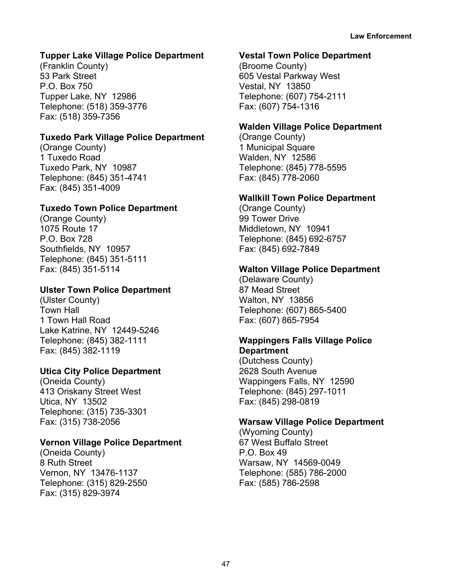# **Tupper Lake Village Police Department**

(Franklin County) 53 Park Street P.O. Box 750 Tupper Lake, NY 12986 Telephone: (518) 359-3776 Fax: (518) 359-7356

# **Tuxedo Park Village Police Department**

(Orange County) 1 Tuxedo Road Tuxedo Park, NY 10987 Telephone: (845) 351-4741 Fax: (845) 351-4009

## **Tuxedo Town Police Department**

(Orange County) 1075 Route 17 P.O. Box 728 Southfields, NY 10957 Telephone: (845) 351-5111 Fax: (845) 351-5114

## **Ulster Town Police Department**

(Ulster County) Town Hall 1 Town Hall Road Lake Katrine, NY 12449-5246 Telephone: (845) 382-1111 Fax: (845) 382-1119

# **Utica City Police Department**

(Oneida County) 413 Oriskany Street West Utica, NY 13502 Telephone: (315) 735-3301 Fax: (315) 738-2056

#### **Vernon Village Police Department**

(Oneida County) 8 Ruth Street Vernon, NY 13476-1137 Telephone: (315) 829-2550 Fax: (315) 829-3974

#### **Vestal Town Police Department**

(Broome County) 605 Vestal Parkway West Vestal, NY 13850 Telephone: (607) 754-2111 Fax: (607) 754-1316

#### **Walden Village Police Department**

(Orange County) 1 Municipal Square Walden, NY 12586 Telephone: (845) 778-5595 Fax: (845) 778-2060

# **Wallkill Town Police Department**

(Orange County) 99 Tower Drive Middletown, NY 10941 Telephone: (845) 692-6757 Fax: (845) 692-7849

#### **Walton Village Police Department**

(Delaware County) 87 Mead Street Walton, NY 13856 Telephone: (607) 865-5400 Fax: (607) 865-7954

#### **Wappingers Falls Village Police Department**

(Dutchess County) 2628 South Avenue Wappingers Falls, NY 12590 Telephone: (845) 297-1011 Fax: (845) 298-0819

#### **Warsaw Village Police Department**

(Wyoming County) 67 West Buffalo Street P.O. Box 49 Warsaw, NY 14569-0049 Telephone: (585) 786-2000 Fax: (585) 786-2598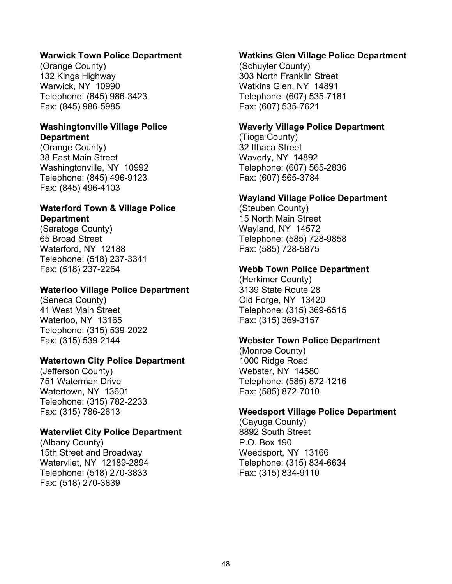## **Warwick Town Police Department**

(Orange County) 132 Kings Highway Warwick, NY 10990 Telephone: (845) 986-3423 Fax: (845) 986-5985

#### **Washingtonville Village Police Department**

(Orange County) 38 East Main Street Washingtonville, NY 10992 Telephone: (845) 496-9123 Fax: (845) 496-4103

# **Waterford Town & Village Police Department**

(Saratoga County) 65 Broad Street Waterford, NY 12188 Telephone: (518) 237-3341 Fax: (518) 237-2264

# **Waterloo Village Police Department**

(Seneca County) 41 West Main Street Waterloo, NY 13165 Telephone: (315) 539-2022 Fax: (315) 539-2144

## **Watertown City Police Department**

(Jefferson County) 751 Waterman Drive Watertown, NY 13601 Telephone: (315) 782-2233 Fax: (315) 786-2613

# **Watervliet City Police Department**

(Albany County) 15th Street and Broadway Watervliet, NY 12189-2894 Telephone: (518) 270-3833 Fax: (518) 270-3839

#### **Watkins Glen Village Police Department**

(Schuyler County) 303 North Franklin Street Watkins Glen, NY 14891 Telephone: (607) 535-7181 Fax: (607) 535-7621

#### **Waverly Village Police Department**

(Tioga County) 32 Ithaca Street Waverly, NY 14892 Telephone: (607) 565-2836 Fax: (607) 565-3784

#### **Wayland Village Police Department**

(Steuben County) 15 North Main Street Wayland, NY 14572 Telephone: (585) 728-9858 Fax: (585) 728-5875

#### **Webb Town Police Department**

(Herkimer County) 3139 State Route 28 Old Forge, NY 13420 Telephone: (315) 369-6515 Fax: (315) 369-3157

#### **Webster Town Police Department**

(Monroe County) 1000 Ridge Road Webster, NY 14580 Telephone: (585) 872-1216 Fax: (585) 872-7010

#### **Weedsport Village Police Department**

(Cayuga County) 8892 South Street P.O. Box 190 Weedsport, NY 13166 Telephone: (315) 834-6634 Fax: (315) 834-9110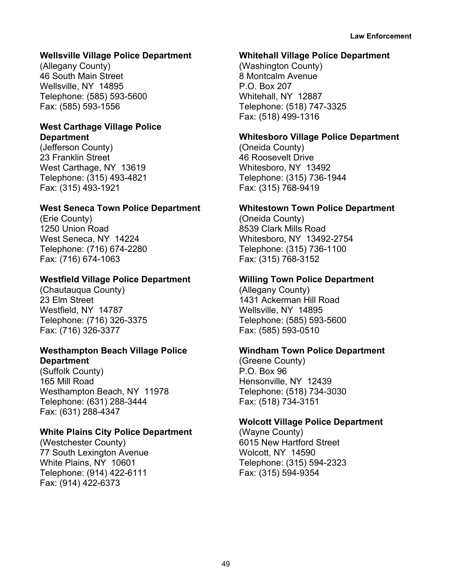# **Wellsville Village Police Department**

(Allegany County) 46 South Main Street Wellsville, NY 14895 Telephone: (585) 593-5600 Fax: (585) 593-1556

# **West Carthage Village Police Department**

(Jefferson County) 23 Franklin Street West Carthage, NY 13619 Telephone: (315) 493-4821 Fax: (315) 493-1921

# **West Seneca Town Police Department**

(Erie County) 1250 Union Road West Seneca, NY 14224 Telephone: (716) 674-2280 Fax: (716) 674-1063

# **Westfield Village Police Department**

(Chautauqua County) 23 Elm Street Westfield, NY 14787 Telephone: (716) 326-3375 Fax: (716) 326-3377

#### **Westhampton Beach Village Police Department**

(Suffolk County) 165 Mill Road Westhampton Beach, NY 11978 Telephone: (631) 288-3444 Fax: (631) 288-4347

# **White Plains City Police Department**

(Westchester County) 77 South Lexington Avenue White Plains, NY 10601 Telephone: (914) 422-6111 Fax: (914) 422-6373

### **Whitehall Village Police Department**

(Washington County) 8 Montcalm Avenue P.O. Box 207 Whitehall, NY 12887 Telephone: (518) 747-3325 Fax: (518) 499-1316

# **Whitesboro Village Police Department**

(Oneida County) 46 Roosevelt Drive Whitesboro, NY 13492 Telephone: (315) 736-1944 Fax: (315) 768-9419

# **Whitestown Town Police Department**

(Oneida County) 8539 Clark Mills Road Whitesboro, NY 13492-2754 Telephone: (315) 736-1100 Fax: (315) 768-3152

# **Willing Town Police Department**

(Allegany County) 1431 Ackerman Hill Road Wellsville, NY 14895 Telephone: (585) 593-5600 Fax: (585) 593-0510

# **Windham Town Police Department**

(Greene County) P.O. Box 96 Hensonville, NY 12439 Telephone: (518) 734-3030 Fax: (518) 734-3151

# **Wolcott Village Police Department**

(Wayne County) 6015 New Hartford Street Wolcott, NY 14590 Telephone: (315) 594-2323 Fax: (315) 594-9354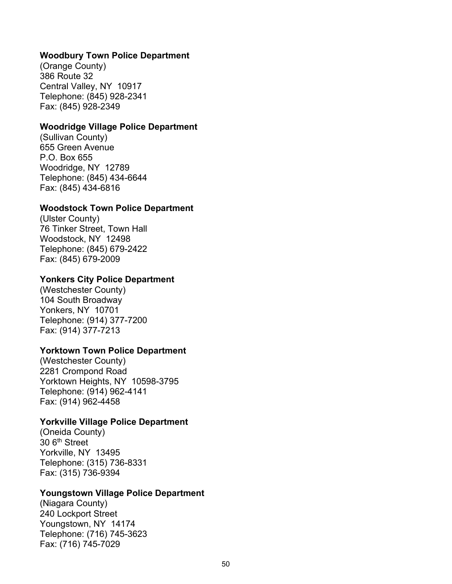#### **Woodbury Town Police Department**

(Orange County) 386 Route 32 Central Valley, NY 10917 Telephone: (845) 928-2341 Fax: (845) 928-2349

#### **Woodridge Village Police Department**

(Sullivan County) 655 Green Avenue P.O. Box 655 Woodridge, NY 12789 Telephone: (845) 434-6644 Fax: (845) 434-6816

#### **Woodstock Town Police Department**

(Ulster County) 76 Tinker Street, Town Hall Woodstock, NY 12498 Telephone: (845) 679-2422 Fax: (845) 679-2009

#### **Yonkers City Police Department**

(Westchester County) 104 South Broadway Yonkers, NY 10701 Telephone: (914) 377-7200 Fax: (914) 377-7213

#### **Yorktown Town Police Department**

(Westchester County) 2281 Crompond Road Yorktown Heights, NY 10598-3795 Telephone: (914) 962-4141 Fax: (914) 962-4458

#### **Yorkville Village Police Department**

(Oneida County) 30 6<sup>th</sup> Street Yorkville, NY 13495 Telephone: (315) 736-8331 Fax: (315) 736-9394

#### **Youngstown Village Police Department**

(Niagara County) 240 Lockport Street Youngstown, NY 14174 Telephone: (716) 745-3623 Fax: (716) 745-7029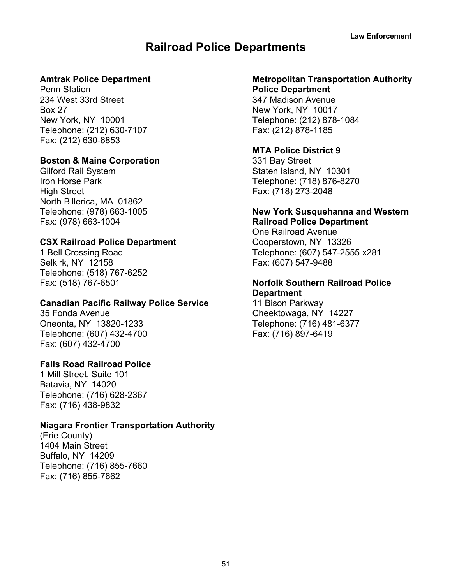# **Railroad Police Departments**

# **Amtrak Police Department**

Penn Station 234 West 33rd Street Box 27 New York, NY 10001 Telephone: (212) 630-7107 Fax: (212) 630-6853

#### **Boston & Maine Corporation**

Gilford Rail System Iron Horse Park High Street North Billerica, MA 01862 Telephone: (978) 663-1005 Fax: (978) 663-1004

# **CSX Railroad Police Department**

1 Bell Crossing Road Selkirk, NY 12158 Telephone: (518) 767-6252 Fax: (518) 767-6501

# **Canadian Pacific Railway Police Service**

35 Fonda Avenue Oneonta, NY 13820-1233 Telephone: (607) 432-4700 Fax: (607) 432-4700

# **Falls Road Railroad Police**

1 Mill Street, Suite 101 Batavia, NY 14020 Telephone: (716) 628-2367 Fax: (716) 438-9832

# **Niagara Frontier Transportation Authority**

(Erie County) 1404 Main Street Buffalo, NY 14209 Telephone: (716) 855-7660 Fax: (716) 855-7662

#### **Metropolitan Transportation Authority Police Department**

347 Madison Avenue New York, NY 10017 Telephone: (212) 878-1084 Fax: (212) 878-1185

# **MTA Police District 9**

331 Bay Street Staten Island, NY 10301 Telephone: (718) 876-8270 Fax: (718) 273-2048

# **New York Susquehanna and Western Railroad Police Department**

One Railroad Avenue Cooperstown, NY 13326 Telephone: (607) 547-2555 x281 Fax: (607) 547-9488

#### **Norfolk Southern Railroad Police Department**

11 Bison Parkway Cheektowaga, NY 14227 Telephone: (716) 481-6377 Fax: (716) 897-6419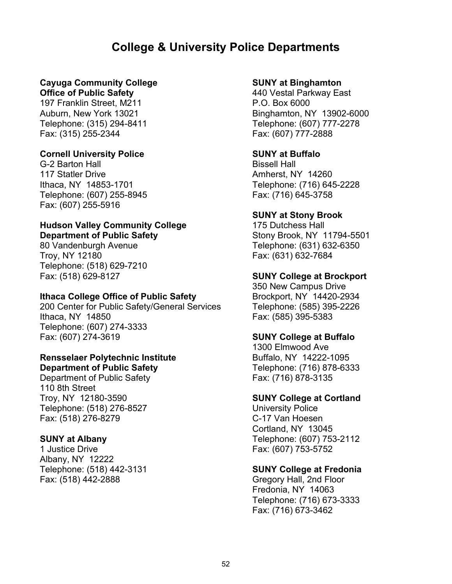# **College & University Police Departments**

# **Cayuga Community College**

**Office of Public Safety** 197 Franklin Street, M211 Auburn, New York 13021 Telephone: (315) 294-8411 Fax: (315) 255-2344

## **Cornell University Police**

G-2 Barton Hall 117 Statler Drive Ithaca, NY 14853-1701 Telephone: (607) 255-8945 Fax: (607) 255-5916

#### **Hudson Valley Community College Department of Public Safety**

80 Vandenburgh Avenue Troy, NY 12180 Telephone: (518) 629-7210 Fax: (518) 629-8127

#### **Ithaca College Office of Public Safety**

200 Center for Public Safety/General Services Ithaca, NY 14850 Telephone: (607) 274-3333 Fax: (607) 274-3619

#### **Rensselaer Polytechnic Institute Department of Public Safety**

Department of Public Safety 110 8th Street Troy, NY 12180-3590 Telephone: (518) 276-8527 Fax: (518) 276-8279

#### **SUNY at Albany**

1 Justice Drive Albany, NY 12222 Telephone: (518) 442-3131 Fax: (518) 442-2888

#### **SUNY at Binghamton**

440 Vestal Parkway East P.O. Box 6000 Binghamton, NY 13902-6000 Telephone: (607) 777-2278 Fax: (607) 777-2888

## **SUNY at Buffalo**

Bissell Hall Amherst, NY 14260 Telephone: (716) 645-2228 Fax: (716) 645-3758

## **SUNY at Stony Brook**

175 Dutchess Hall Stony Brook, NY 11794-5501 Telephone: (631) 632-6350 Fax: (631) 632-7684

## **SUNY College at Brockport**

350 New Campus Drive Brockport, NY 14420-2934 Telephone: (585) 395-2226 Fax: (585) 395-5383

#### **SUNY College at Buffalo**

1300 Elmwood Ave Buffalo, NY 14222-1095 Telephone: (716) 878-6333 Fax: (716) 878-3135

#### **SUNY College at Cortland**

University Police C-17 Van Hoesen Cortland, NY 13045 Telephone: (607) 753-2112 Fax: (607) 753-5752

# **SUNY College at Fredonia**

Gregory Hall, 2nd Floor Fredonia, NY 14063 Telephone: (716) 673-3333 Fax: (716) 673-3462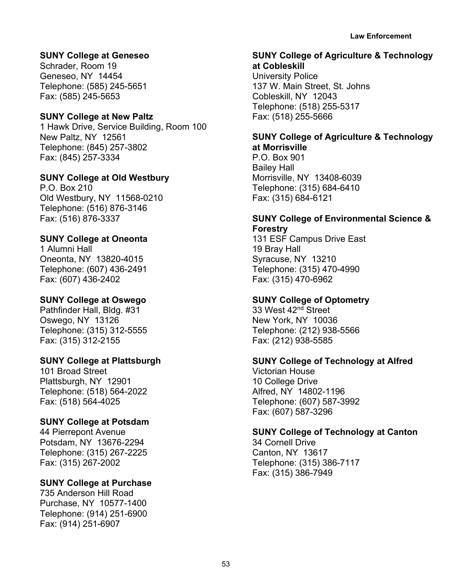**Law Enforcement**

# **SUNY College at Geneseo**

Schrader, Room 19 Geneseo, NY 14454 Telephone: (585) 245-5651 Fax: (585) 245-5653

# **SUNY College at New Paltz**

1 Hawk Drive, Service Building, Room 100 New Paltz, NY 12561 Telephone: (845) 257-3802 Fax: (845) 257-3334

#### **SUNY College at Old Westbury**

P.O. Box 210 Old Westbury, NY 11568-0210 Telephone: (516) 876-3146 Fax: (516) 876-3337

# **SUNY College at Oneonta**

1 Alumni Hall Oneonta, NY 13820-4015 Telephone: (607) 436-2491 Fax: (607) 436-2402

#### **SUNY College at Oswego**

Pathfinder Hall, Bldg. #31 Oswego, NY 13126 Telephone: (315) 312-5555 Fax: (315) 312-2155

## **SUNY College at Plattsburgh**

101 Broad Street Plattsburgh, NY 12901 Telephone: (518) 564-2022 Fax: (518) 564-4025

#### **SUNY College at Potsdam**

44 Pierrepont Avenue Potsdam, NY 13676-2294 Telephone: (315) 267-2225 Fax: (315) 267-2002

# **SUNY College at Purchase**

735 Anderson Hill Road Purchase, NY 10577-1400 Telephone: (914) 251-6900 Fax: (914) 251-6907

#### **SUNY College of Agriculture & Technology at Cobleskill**

University Police 137 W. Main Street, St. Johns Cobleskill, NY 12043 Telephone: (518) 255-5317 Fax: (518) 255-5666

# **SUNY College of Agriculture & Technology at Morrisville**

P.O. Box 901 Bailey Hall Morrisville, NY 13408-6039 Telephone: (315) 684-6410 Fax: (315) 684-6121

# **SUNY College of Environmental Science & Forestry**

131 ESF Campus Drive East 19 Bray Hall Syracuse, NY 13210 Telephone: (315) 470-4990 Fax: (315) 470-6962

# **SUNY College of Optometry**

33 West 42nd Street New York, NY 10036 Telephone: (212) 938-5566 Fax: (212) 938-5585

# **SUNY College of Technology at Alfred**

Victorian House 10 College Drive Alfred, NY 14802-1196 Telephone: (607) 587-3992 Fax: (607) 587-3296

# **SUNY College of Technology at Canton**

34 Cornell Drive Canton, NY 13617 Telephone: (315) 386-7117 Fax: (315) 386-7949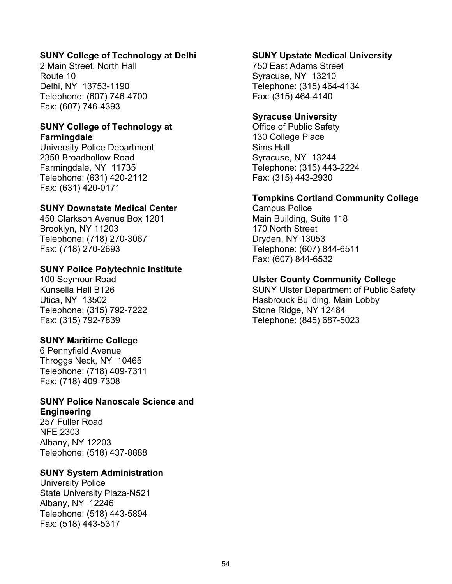# **SUNY College of Technology at Delhi**

2 Main Street, North Hall Route 10 Delhi, NY 13753-1190 Telephone: (607) 746-4700 Fax: (607) 746-4393

#### **SUNY College of Technology at Farmingdale**

University Police Department 2350 Broadhollow Road Farmingdale, NY 11735 Telephone: (631) 420-2112 Fax: (631) 420-0171

## **SUNY Downstate Medical Center**

450 Clarkson Avenue Box 1201 Brooklyn, NY 11203 Telephone: (718) 270-3067 Fax: (718) 270-2693

## **SUNY Police Polytechnic Institute**

100 Seymour Road Kunsella Hall B126 Utica, NY 13502 Telephone: (315) 792-7222 Fax: (315) 792-7839

# **SUNY Maritime College**

6 Pennyfield Avenue Throggs Neck, NY 10465 Telephone: (718) 409-7311 Fax: (718) 409-7308

#### **SUNY Police Nanoscale Science and Engineering**

257 Fuller Road NFE 2303 Albany, NY 12203 Telephone: (518) 437-8888

#### **SUNY System Administration**

University Police State University Plaza-N521 Albany, NY 12246 Telephone: (518) 443-5894 Fax: (518) 443-5317

#### **SUNY Upstate Medical University**

750 East Adams Street Syracuse, NY 13210 Telephone: (315) 464-4134 Fax: (315) 464-4140

#### **Syracuse University**

Office of Public Safety 130 College Place Sims Hall Syracuse, NY 13244 Telephone: (315) 443-2224 Fax: (315) 443-2930

#### **Tompkins Cortland Community College**

Campus Police Main Building, Suite 118 170 North Street Dryden, NY 13053 Telephone: (607) 844-6511 Fax: (607) 844-6532

## **Ulster County Community College**

SUNY Ulster Department of Public Safety Hasbrouck Building, Main Lobby Stone Ridge, NY 12484 Telephone: (845) 687-5023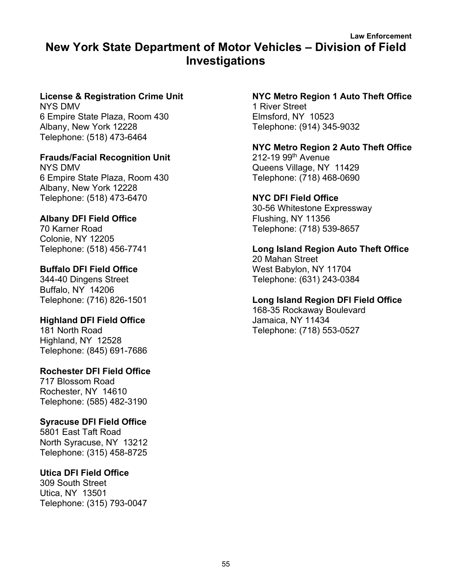# **Law Enforcement New York State Department of Motor Vehicles – Division of Field Investigations**

# **License & Registration Crime Unit**

NYS DMV 6 Empire State Plaza, Room 430 Albany, New York 12228 Telephone: (518) 473-6464

# **Frauds/Facial Recognition Unit**

NYS DMV 6 Empire State Plaza, Room 430 Albany, New York 12228 Telephone: (518) 473-6470

# **Albany DFI Field Office**

70 Karner Road Colonie, NY 12205 Telephone: (518) 456-7741

# **Buffalo DFI Field Office**

344-40 Dingens Street Buffalo, NY 14206 Telephone: (716) 826-1501

# **Highland DFI Field Office**

181 North Road Highland, NY 12528 Telephone: (845) 691-7686

# **Rochester DFI Field Office**

717 Blossom Road Rochester, NY 14610 Telephone: (585) 482-3190

# **Syracuse DFI Field Office**

5801 East Taft Road North Syracuse, NY 13212 Telephone: (315) 458-8725

# **Utica DFI Field Office**

309 South Street Utica, NY 13501 Telephone: (315) 793-0047

#### **NYC Metro Region 1 Auto Theft Office** 1 River Street Elmsford, NY 10523 Telephone: (914) 345-9032

# **NYC Metro Region 2 Auto Theft Office** 212-19 99th Avenue Queens Village, NY 11429

Telephone: (718) 468-0690

# **NYC DFI Field Office**

30-56 Whitestone Expressway Flushing, NY 11356 Telephone: (718) 539-8657

# **Long Island Region Auto Theft Office**

20 Mahan Street West Babylon, NY 11704 Telephone: (631) 243-0384

# **Long Island Region DFI Field Office**

168-35 Rockaway Boulevard Jamaica, NY 11434 Telephone: (718) 553-0527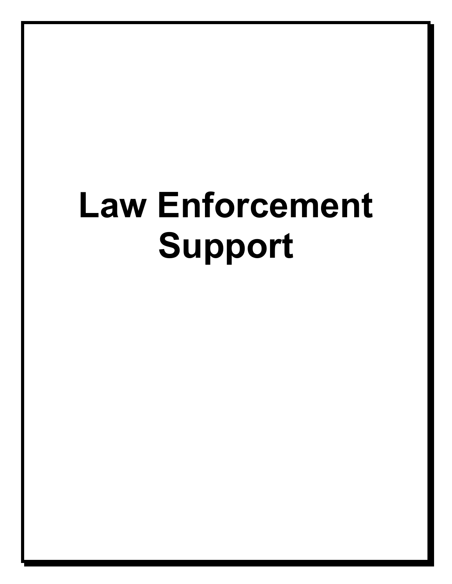# **Law Enforcement Support**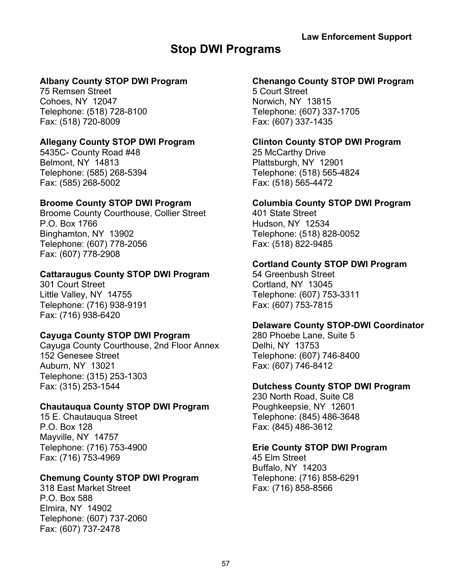# **Stop DWI Programs**

# **Albany County STOP DWI Program**

75 Remsen Street Cohoes, NY 12047 Telephone: (518) 728-8100 Fax: (518) 720-8009

# **Allegany County STOP DWI Program**

5435C- County Road #48 Belmont, NY 14813 Telephone: (585) 268-5394 Fax: (585) 268-5002

# **Broome County STOP DWI Program**

Broome County Courthouse, Collier Street P.O. Box 1766 Binghamton, NY 13902 Telephone: (607) 778-2056 Fax: (607) 778-2908

# **Cattaraugus County STOP DWI Program**

301 Court Street Little Valley, NY 14755 Telephone: (716) 938-9191 Fax: (716) 938-6420

# **Cayuga County STOP DWI Program**

Cayuga County Courthouse, 2nd Floor Annex 152 Genesee Street Auburn, NY 13021 Telephone: (315) 253-1303 Fax: (315) 253-1544

# **Chautauqua County STOP DWI Program**

15 E. Chautauqua Street P.O. Box 128 Mayville, NY 14757 Telephone: (716) 753-4900 Fax: (716) 753-4969

# **Chemung County STOP DWI Program**

318 East Market Street P.O. Box 588 Elmira, NY 14902 Telephone: (607) 737-2060 Fax: (607) 737-2478

# **Chenango County STOP DWI Program**

5 Court Street Norwich, NY 13815 Telephone: (607) 337-1705 Fax: (607) 337-1435

# **Clinton County STOP DWI Program**

25 McCarthy Drive Plattsburgh, NY 12901 Telephone: (518) 565-4824 Fax: (518) 565-4472

# **Columbia County STOP DWI Program**

401 State Street Hudson, NY 12534 Telephone: (518) 828-0052 Fax: (518) 822-9485

# **Cortland County STOP DWI Program**

54 Greenbush Street Cortland, NY 13045 Telephone: (607) 753-3311 Fax: (607) 753-7815

# **Delaware County STOP-DWI Coordinator**

280 Phoebe Lane, Suite 5 Delhi, NY 13753 Telephone: (607) 746-8400 Fax: (607) 746-8412

# **Dutchess County STOP DWI Program**

230 North Road, Suite C8 Poughkeepsie, NY 12601 Telephone: (845) 486-3648 Fax: (845) 486-3612

# **Erie County STOP DWI Program**

45 Elm Street Buffalo, NY 14203 Telephone: (716) 858-6291 Fax: (716) 858-8566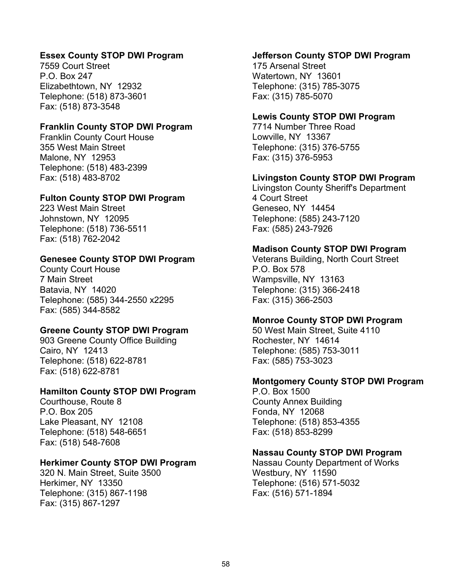### **Essex County STOP DWI Program**

7559 Court Street P.O. Box 247 Elizabethtown, NY 12932 Telephone: (518) 873-3601 Fax: (518) 873-3548

## **Franklin County STOP DWI Program**

Franklin County Court House 355 West Main Street Malone, NY 12953 Telephone: (518) 483-2399 Fax: (518) 483-8702

#### **Fulton County STOP DWI Program**

223 West Main Street Johnstown, NY 12095 Telephone: (518) 736-5511 Fax: (518) 762-2042

## **Genesee County STOP DWI Program**

County Court House 7 Main Street Batavia, NY 14020 Telephone: (585) 344-2550 x2295 Fax: (585) 344-8582

# **Greene County STOP DWI Program**

903 Greene County Office Building Cairo, NY 12413 Telephone: (518) 622-8781 Fax: (518) 622-8781

#### **Hamilton County STOP DWI Program**

Courthouse, Route 8 P.O. Box 205 Lake Pleasant, NY 12108 Telephone: (518) 548-6651 Fax: (518) 548-7608

# **Herkimer County STOP DWI Program**

320 N. Main Street, Suite 3500 Herkimer, NY 13350 Telephone: (315) 867-1198 Fax: (315) 867-1297

#### **Jefferson County STOP DWI Program**

175 Arsenal Street Watertown, NY 13601 Telephone: (315) 785-3075 Fax: (315) 785-5070

#### **Lewis County STOP DWI Program**

7714 Number Three Road Lowville, NY 13367 Telephone: (315) 376-5755 Fax: (315) 376-5953

## **Livingston County STOP DWI Program**

Livingston County Sheriff's Department 4 Court Street Geneseo, NY 14454 Telephone: (585) 243-7120 Fax: (585) 243-7926

#### **Madison County STOP DWI Program**

Veterans Building, North Court Street P.O. Box 578 Wampsville, NY 13163 Telephone: (315) 366-2418 Fax: (315) 366-2503

#### **Monroe County STOP DWI Program**

50 West Main Street, Suite 4110 Rochester, NY 14614 Telephone: (585) 753-3011 Fax: (585) 753-3023

#### **Montgomery County STOP DWI Program**

P.O. Box 1500 County Annex Building Fonda, NY 12068 Telephone: (518) 853-4355 Fax: (518) 853-8299

#### **Nassau County STOP DWI Program**

Nassau County Department of Works Westbury, NY 11590 Telephone: (516) 571-5032 Fax: (516) 571-1894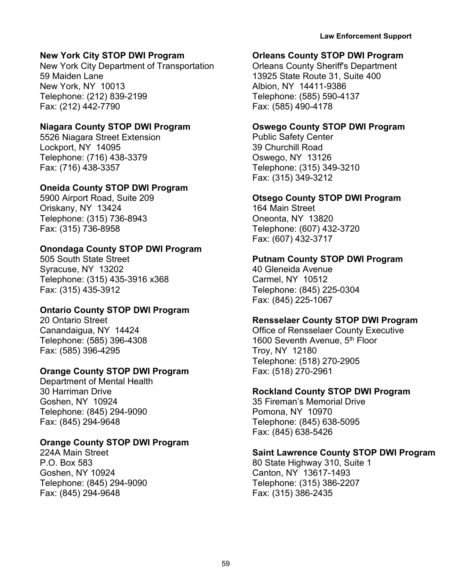# **New York City STOP DWI Program**

New York City Department of Transportation 59 Maiden Lane New York, NY 10013 Telephone: (212) 839-2199 Fax: (212) 442-7790

# **Niagara County STOP DWI Program**

5526 Niagara Street Extension Lockport, NY 14095 Telephone: (716) 438-3379 Fax: (716) 438-3357

# **Oneida County STOP DWI Program**

5900 Airport Road, Suite 209 Oriskany, NY 13424 Telephone: (315) 736-8943 Fax: (315) 736-8958

# **Onondaga County STOP DWI Program**

505 South State Street Syracuse, NY 13202 Telephone: (315) 435-3916 x368 Fax: (315) 435-3912

# **Ontario County STOP DWI Program**

20 Ontario Street Canandaigua, NY 14424 Telephone: (585) 396-4308 Fax: (585) 396-4295

# **Orange County STOP DWI Program**

Department of Mental Health 30 Harriman Drive Goshen, NY 10924 Telephone: (845) 294-9090 Fax: (845) 294-9648

# **Orange County STOP DWI Program**

224A Main Street P.O. Box 583 Goshen, NY 10924 Telephone: (845) 294-9090 Fax: (845) 294-9648

# **Orleans County STOP DWI Program**

Orleans County Sheriff's Department 13925 State Route 31, Suite 400 Albion, NY 14411-9386 Telephone: (585) 590-4137 Fax: (585) 490-4178

# **Oswego County STOP DWI Program**

Public Safety Center 39 Churchill Road Oswego, NY 13126 Telephone: (315) 349-3210 Fax: (315) 349-3212

# **Otsego County STOP DWI Program**

164 Main Street Oneonta, NY 13820 Telephone: (607) 432-3720 Fax: (607) 432-3717

# **Putnam County STOP DWI Program**

40 Gleneida Avenue Carmel, NY 10512 Telephone: (845) 225-0304 Fax: (845) 225-1067

# **Rensselaer County STOP DWI Program**

Office of Rensselaer County Executive 1600 Seventh Avenue, 5<sup>th</sup> Floor Troy, NY 12180 Telephone: (518) 270-2905 Fax: (518) 270-2961

# **Rockland County STOP DWI Program**

35 Fireman's Memorial Drive Pomona, NY 10970 Telephone: (845) 638-5095 Fax: (845) 638-5426

# **Saint Lawrence County STOP DWI Program**

80 State Highway 310, Suite 1 Canton, NY 13617-1493 Telephone: (315) 386-2207 Fax: (315) 386-2435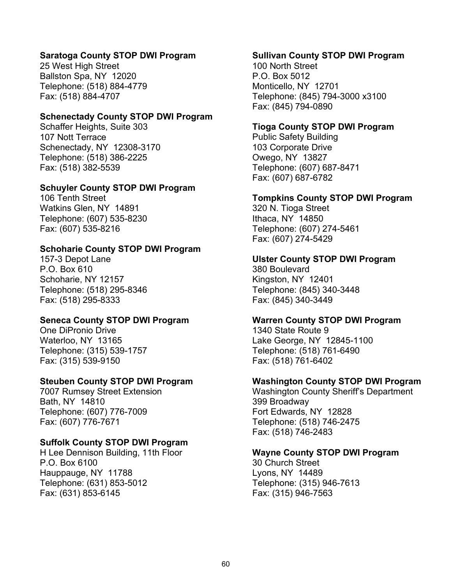#### **Saratoga County STOP DWI Program**

25 West High Street Ballston Spa, NY 12020 Telephone: (518) 884-4779 Fax: (518) 884-4707

#### **Schenectady County STOP DWI Program**

Schaffer Heights, Suite 303 107 Nott Terrace Schenectady, NY 12308-3170 Telephone: (518) 386-2225 Fax: (518) 382-5539

#### **Schuyler County STOP DWI Program**

106 Tenth Street Watkins Glen, NY 14891 Telephone: (607) 535-8230 Fax: (607) 535-8216

#### **Schoharie County STOP DWI Program**

157-3 Depot Lane P.O. Box 610 Schoharie, NY 12157 Telephone: (518) 295-8346 Fax: (518) 295-8333

#### **Seneca County STOP DWI Program**

One DiPronio Drive Waterloo, NY 13165 Telephone: (315) 539-1757 Fax: (315) 539-9150

#### **Steuben County STOP DWI Program**

7007 Rumsey Street Extension Bath, NY 14810 Telephone: (607) 776-7009 Fax: (607) 776-7671

#### **Suffolk County STOP DWI Program**

H Lee Dennison Building, 11th Floor P.O. Box 6100 Hauppauge, NY 11788 Telephone: (631) 853-5012 Fax: (631) 853-6145

#### **Sullivan County STOP DWI Program**

100 North Street P.O. Box 5012 Monticello, NY 12701 Telephone: (845) 794-3000 x3100 Fax: (845) 794-0890

#### **Tioga County STOP DWI Program**

Public Safety Building 103 Corporate Drive Owego, NY 13827 Telephone: (607) 687-8471 Fax: (607) 687-6782

#### **Tompkins County STOP DWI Program**

320 N. Tioga Street Ithaca, NY 14850 Telephone: (607) 274-5461 Fax: (607) 274-5429

#### **Ulster County STOP DWI Program**

380 Boulevard Kingston, NY 12401 Telephone: (845) 340-3448 Fax: (845) 340-3449

#### **Warren County STOP DWI Program**

1340 State Route 9 Lake George, NY 12845-1100 Telephone: (518) 761-6490 Fax: (518) 761-6402

#### **Washington County STOP DWI Program**

Washington County Sheriff's Department 399 Broadway Fort Edwards, NY 12828 Telephone: (518) 746-2475 Fax: (518) 746-2483

#### **Wayne County STOP DWI Program**

30 Church Street Lyons, NY 14489 Telephone: (315) 946-7613 Fax: (315) 946-7563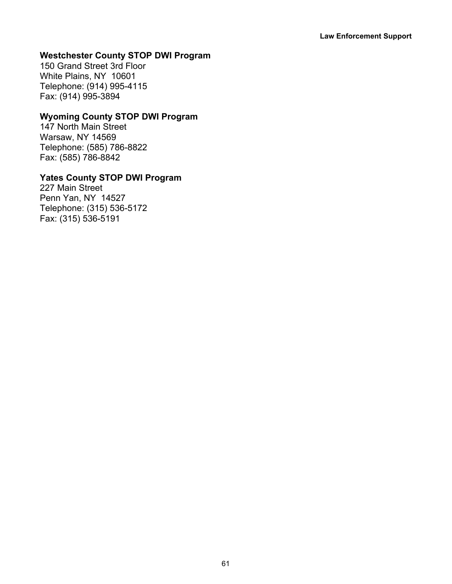# **Westchester County STOP DWI Program**

150 Grand Street 3rd Floor White Plains, NY 10601 Telephone: (914) 995-4115 Fax: (914) 995-3894

# **Wyoming County STOP DWI Program**

147 North Main Street Warsaw, NY 14569 Telephone: (585) 786-8822 Fax: (585) 786-8842

# **Yates County STOP DWI Program**

227 Main Street Penn Yan, NY 14527 Telephone: (315) 536-5172 Fax: (315) 536-5191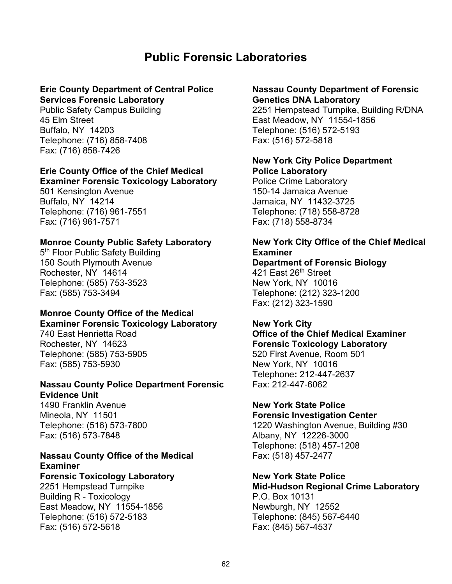# **Public Forensic Laboratories**

#### **Erie County Department of Central Police Services Forensic Laboratory**

Public Safety Campus Building 45 Elm Street Buffalo, NY 14203 Telephone: (716) 858-7408 Fax: (716) 858-7426

# **Erie County Office of the Chief Medical**

**Examiner Forensic Toxicology Laboratory** 501 Kensington Avenue Buffalo, NY 14214 Telephone: (716) 961-7551 Fax: (716) 961-7571

#### **Monroe County Public Safety Laboratory**

5<sup>th</sup> Floor Public Safety Building 150 South Plymouth Avenue Rochester, NY 14614 Telephone: (585) 753-3523 Fax: (585) 753-3494

#### **Monroe County Office of the Medical Examiner Forensic Toxicology Laboratory**

740 East Henrietta Road Rochester, NY 14623 Telephone: (585) 753-5905 Fax: (585) 753-5930

# **Nassau County Police Department Forensic Evidence Unit**

1490 Franklin Avenue Mineola, NY 11501 Telephone: (516) 573-7800 Fax: (516) 573-7848

# **Nassau County Office of the Medical Examiner**

# **Forensic Toxicology Laboratory**

2251 Hempstead Turnpike Building R - Toxicology East Meadow, NY 11554-1856 Telephone: (516) 572-5183 Fax: (516) 572-5618

#### **Nassau County Department of Forensic Genetics DNA Laboratory**

2251 Hempstead Turnpike, Building R/DNA East Meadow, NY 11554-1856 Telephone: (516) 572-5193 Fax: (516) 572-5818

# **New York City Police Department Police Laboratory**

Police Crime Laboratory 150-14 Jamaica Avenue Jamaica, NY 11432-3725 Telephone: (718) 558-8728 Fax: (718) 558-8734

# **New York City Office of the Chief Medical Examiner**

**Department of Forensic Biology** 421 East 26<sup>th</sup> Street New York, NY 10016 Telephone: (212) 323-1200 Fax: (212) 323-1590

# **New York City**

# **Office of the Chief Medical Examiner Forensic Toxicology Laboratory** 520 First Avenue, Room 501 New York, NY 10016

Telephone**:** 212-447-2637 Fax: 212-447-6062

#### **New York State Police Forensic Investigation Center**

1220 Washington Avenue, Building #30 Albany, NY 12226-3000 Telephone: (518) 457-1208 Fax: (518) 457-2477

#### **New York State Police Mid-Hudson Regional Crime Laboratory**

P.O. Box 10131 Newburgh, NY 12552 Telephone: (845) 567-6440 Fax: (845) 567-4537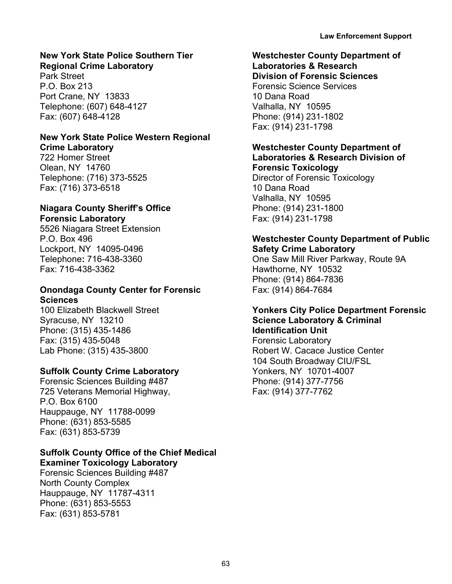# **New York State Police Southern Tier**

**Regional Crime Laboratory** Park Street P.O. Box 213 Port Crane, NY 13833 Telephone: (607) 648-4127 Fax: (607) 648-4128

#### **New York State Police Western Regional Crime Laboratory**

722 Homer Street Olean, NY 14760 Telephone: (716) 373-5525 Fax: (716) 373-6518

# **Niagara County Sheriff's Office Forensic Laboratory**

5526 Niagara Street Extension P.O. Box 496 Lockport, NY 14095-0496 Telephone**:** 716-438-3360 Fax: 716-438-3362

# **Onondaga County Center for Forensic Sciences**

100 Elizabeth Blackwell Street Syracuse, NY 13210 Phone: (315) 435-1486 Fax: (315) 435-5048 Lab Phone: (315) 435-3800

# **Suffolk County Crime Laboratory**

Forensic Sciences Building #487 725 Veterans Memorial Highway, P.O. Box 6100 Hauppauge, NY 11788-0099 Phone: (631) 853-5585 Fax: (631) 853-5739

# **Suffolk County Office of the Chief Medical Examiner Toxicology Laboratory**

Forensic Sciences Building #487 North County Complex Hauppauge, NY 11787-4311 Phone: (631) 853-5553 Fax: (631) 853-5781

#### **Westchester County Department of Laboratories & Research**

**Division of Forensic Sciences** Forensic Science Services 10 Dana Road Valhalla, NY 10595 Phone: (914) 231-1802 Fax: (914) 231-1798

# **Westchester County Department of Laboratories & Research Division of Forensic Toxicology**

Director of Forensic Toxicology 10 Dana Road Valhalla, NY 10595 Phone: (914) 231-1800 Fax: (914) 231-1798

# **Westchester County Department of Public Safety Crime Laboratory**

One Saw Mill River Parkway, Route 9A Hawthorne, NY 10532 Phone: (914) 864-7836 Fax: (914) 864-7684

# **Yonkers City Police Department Forensic Science Laboratory & Criminal Identification Unit**

Forensic Laboratory Robert W. Cacace Justice Center 104 South Broadway CIU/FSL Yonkers, NY 10701-4007 Phone: (914) 377-7756 Fax: (914) 377-7762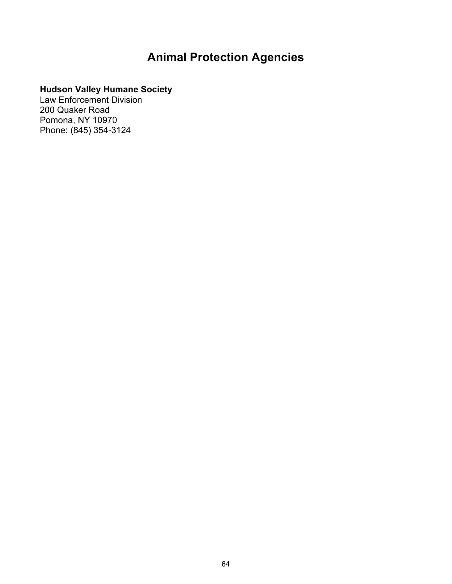# **Animal Protection Agencies**

# **Hudson Valley Humane Society**

Law Enforcement Division 200 Quaker Road Pomona, NY 10970 Phone: (845) 354-3124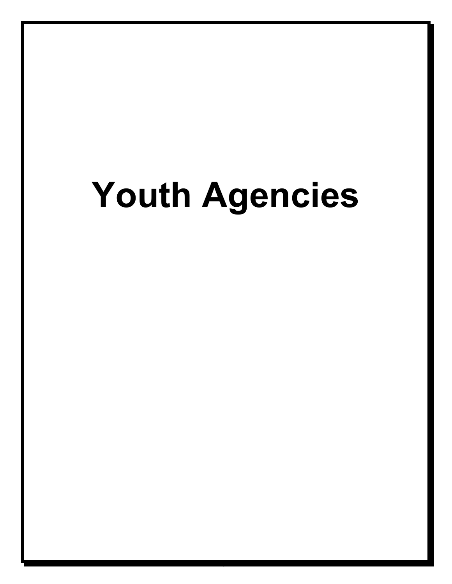# **Youth Agencies**

64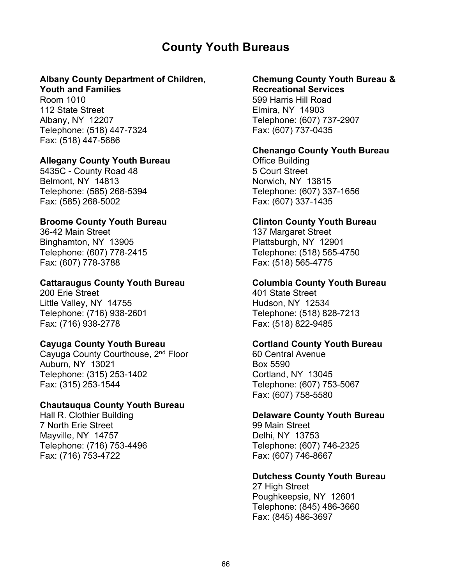# **County Youth Bureaus**

# **Albany County Department of Children,**

# **Youth and Families**

Room 1010 112 State Street Albany, NY 12207 Telephone: (518) 447-7324 Fax: (518) 447-5686

#### **Allegany County Youth Bureau**

5435C - County Road 48 Belmont, NY 14813 Telephone: (585) 268-5394 Fax: (585) 268-5002

## **Broome County Youth Bureau**

36-42 Main Street Binghamton, NY 13905 Telephone: (607) 778-2415 Fax: (607) 778-3788

#### **Cattaraugus County Youth Bureau**

200 Erie Street Little Valley, NY 14755 Telephone: (716) 938-2601 Fax: (716) 938-2778

#### **Cayuga County Youth Bureau**

Cayuga County Courthouse, 2nd Floor Auburn, NY 13021 Telephone: (315) 253-1402 Fax: (315) 253-1544

#### **Chautauqua County Youth Bureau**

Hall R. Clothier Building 7 North Erie Street Mayville, NY 14757 Telephone: (716) 753-4496 Fax: (716) 753-4722

#### **Chemung County Youth Bureau & Recreational Services**

599 Harris Hill Road Elmira, NY 14903 Telephone: (607) 737-2907 Fax: (607) 737-0435

## **Chenango County Youth Bureau**

Office Building 5 Court Street Norwich, NY 13815 Telephone: (607) 337-1656 Fax: (607) 337-1435

#### **Clinton County Youth Bureau**

137 Margaret Street Plattsburgh, NY 12901 Telephone: (518) 565-4750 Fax: (518) 565-4775

# **Columbia County Youth Bureau**

401 State Street Hudson, NY 12534 Telephone: (518) 828-7213 Fax: (518) 822-9485

#### **Cortland County Youth Bureau**

60 Central Avenue Box 5590 Cortland, NY 13045 Telephone: (607) 753-5067 Fax: (607) 758-5580

# **Delaware County Youth Bureau**

99 Main Street Delhi, NY 13753 Telephone: (607) 746-2325 Fax: (607) 746-8667

# **Dutchess County Youth Bureau**

27 High Street Poughkeepsie, NY 12601 Telephone: (845) 486-3660 Fax: (845) 486-3697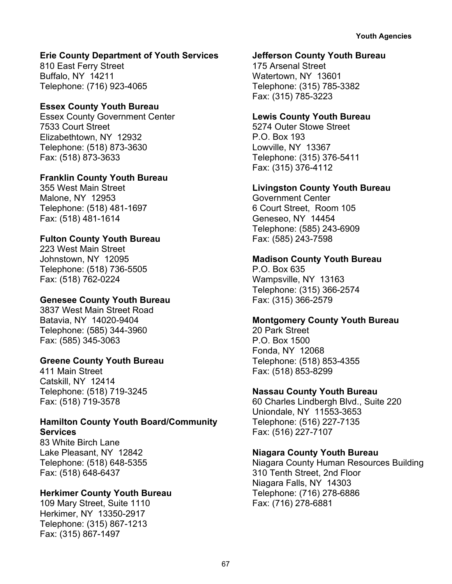# **Erie County Department of Youth Services**

810 East Ferry Street Buffalo, NY 14211 Telephone: (716) 923-4065

# **Essex County Youth Bureau**

Essex County Government Center 7533 Court Street Elizabethtown, NY 12932 Telephone: (518) 873-3630 Fax: (518) 873-3633

# **Franklin County Youth Bureau**

355 West Main Street Malone, NY 12953 Telephone: (518) 481-1697 Fax: (518) 481-1614

# **Fulton County Youth Bureau**

223 West Main Street Johnstown, NY 12095 Telephone: (518) 736-5505 Fax: (518) 762-0224

# **Genesee County Youth Bureau**

3837 West Main Street Road Batavia, NY 14020-9404 Telephone: (585) 344-3960 Fax: (585) 345-3063

# **Greene County Youth Bureau**

411 Main Street Catskill, NY 12414 Telephone: (518) 719-3245 Fax: (518) 719-3578

# **Hamilton County Youth Board/Community Services**

83 White Birch Lane Lake Pleasant, NY 12842 Telephone: (518) 648-5355 Fax: (518) 648-6437

# **Herkimer County Youth Bureau**

109 Mary Street, Suite 1110 Herkimer, NY 13350-2917 Telephone: (315) 867-1213 Fax: (315) 867-1497

# **Jefferson County Youth Bureau**

175 Arsenal Street Watertown, NY 13601 Telephone: (315) 785-3382 Fax: (315) 785-3223

# **Lewis County Youth Bureau**

5274 Outer Stowe Street P.O. Box 193 Lowville, NY 13367 Telephone: (315) 376-5411 Fax: (315) 376-4112

# **Livingston County Youth Bureau**

Government Center 6 Court Street, Room 105 Geneseo, NY 14454 Telephone: (585) 243-6909 Fax: (585) 243-7598

# **Madison County Youth Bureau**

P.O. Box 635 Wampsville, NY 13163 Telephone: (315) 366-2574 Fax: (315) 366-2579

# **Montgomery County Youth Bureau**

20 Park Street P.O. Box 1500 Fonda, NY 12068 Telephone: (518) 853-4355 Fax: (518) 853-8299

# **Nassau County Youth Bureau**

60 Charles Lindbergh Blvd., Suite 220 Uniondale, NY 11553-3653 Telephone: (516) 227-7135 Fax: (516) 227-7107

# **Niagara County Youth Bureau**

Niagara County Human Resources Building 310 Tenth Street, 2nd Floor Niagara Falls, NY 14303 Telephone: (716) 278-6886 Fax: (716) 278-6881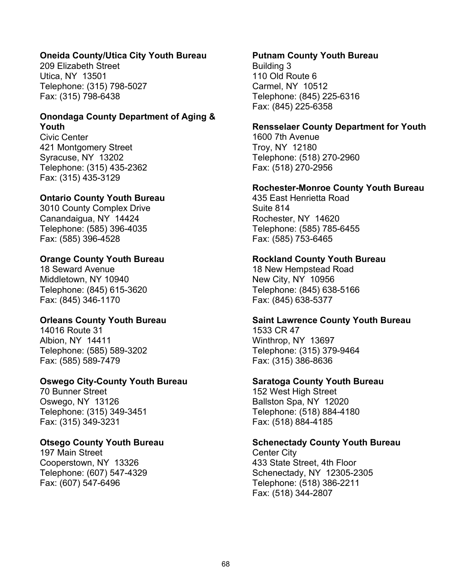### **Oneida County/Utica City Youth Bureau**

209 Elizabeth Street Utica, NY 13501 Telephone: (315) 798-5027 Fax: (315) 798-6438

#### **Onondaga County Department of Aging & Youth**

Civic Center 421 Montgomery Street Syracuse, NY 13202 Telephone: (315) 435-2362 Fax: (315) 435-3129

#### **Ontario County Youth Bureau**

3010 County Complex Drive Canandaigua, NY 14424 Telephone: (585) 396-4035 Fax: (585) 396-4528

#### **Orange County Youth Bureau**

18 Seward Avenue Middletown, NY 10940 Telephone: (845) 615-3620 Fax: (845) 346-1170

# **Orleans County Youth Bureau**

14016 Route 31 Albion, NY 14411 Telephone: (585) 589-3202 Fax: (585) 589-7479

#### **Oswego City-County Youth Bureau**

70 Bunner Street Oswego, NY 13126 Telephone: (315) 349-3451 Fax: (315) 349-3231

#### **Otsego County Youth Bureau**

197 Main Street Cooperstown, NY 13326 Telephone: (607) 547-4329 Fax: (607) 547-6496

#### **Putnam County Youth Bureau**

Building 3 110 Old Route 6 Carmel, NY 10512 Telephone: (845) 225-6316 Fax: (845) 225-6358

#### **Rensselaer County Department for Youth**

1600 7th Avenue Troy, NY 12180 Telephone: (518) 270-2960 Fax: (518) 270-2956

#### **Rochester-Monroe County Youth Bureau**

435 East Henrietta Road Suite 814 Rochester, NY 14620 Telephone: (585) 785-6455 Fax: (585) 753-6465

#### **Rockland County Youth Bureau**

18 New Hempstead Road New City, NY 10956 Telephone: (845) 638-5166 Fax: (845) 638-5377

#### **Saint Lawrence County Youth Bureau**

1533 CR 47 Winthrop, NY 13697 Telephone: (315) 379-9464 Fax: (315) 386-8636

#### **Saratoga County Youth Bureau**

152 West High Street Ballston Spa, NY 12020 Telephone: (518) 884-4180 Fax: (518) 884-4185

#### **Schenectady County Youth Bureau**

Center City 433 State Street, 4th Floor Schenectady, NY 12305-2305 Telephone: (518) 386-2211 Fax: (518) 344-2807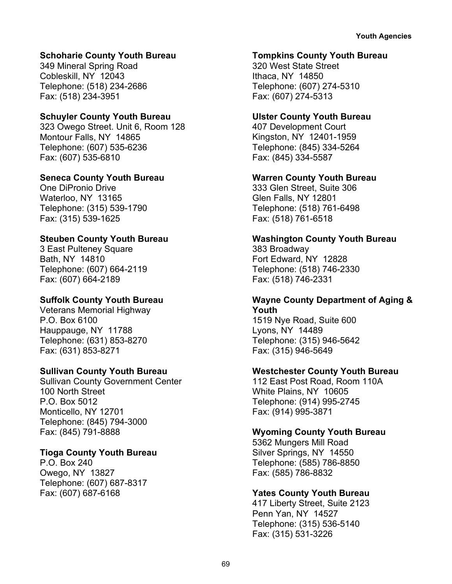#### **Schoharie County Youth Bureau**

349 Mineral Spring Road Cobleskill, NY 12043 Telephone: (518) 234-2686 Fax: (518) 234-3951

#### **Schuyler County Youth Bureau**

323 Owego Street. Unit 6, Room 128 Montour Falls, NY 14865 Telephone: (607) 535-6236 Fax: (607) 535-6810

#### **Seneca County Youth Bureau**

One DiPronio Drive Waterloo, NY 13165 Telephone: (315) 539-1790 Fax: (315) 539-1625

# **Steuben County Youth Bureau**

3 East Pulteney Square Bath, NY 14810 Telephone: (607) 664-2119 Fax: (607) 664-2189

# **Suffolk County Youth Bureau**

Veterans Memorial Highway P.O. Box 6100 Hauppauge, NY 11788 Telephone: (631) 853-8270 Fax: (631) 853-8271

# **Sullivan County Youth Bureau**

Sullivan County Government Center 100 North Street P.O. Box 5012 Monticello, NY 12701 Telephone: (845) 794-3000 Fax: (845) 791-8888

# **Tioga County Youth Bureau**

P.O. Box 240 Owego, NY 13827 Telephone: (607) 687-8317 Fax: (607) 687-6168

#### **Tompkins County Youth Bureau**

320 West State Street Ithaca, NY 14850 Telephone: (607) 274-5310 Fax: (607) 274-5313

#### **Ulster County Youth Bureau**

407 Development Court Kingston, NY 12401-1959 Telephone: (845) 334-5264 Fax: (845) 334-5587

## **Warren County Youth Bureau**

333 Glen Street, Suite 306 Glen Falls, NY 12801 Telephone: (518) 761-6498 Fax: (518) 761-6518

# **Washington County Youth Bureau**

383 Broadway Fort Edward, NY 12828 Telephone: (518) 746-2330 Fax: (518) 746-2331

## **Wayne County Department of Aging & Youth**

1519 Nye Road, Suite 600 Lyons, NY 14489 Telephone: (315) 946-5642 Fax: (315) 946-5649

# **Westchester County Youth Bureau**

112 East Post Road, Room 110A White Plains, NY 10605 Telephone: (914) 995-2745 Fax: (914) 995-3871

#### **Wyoming County Youth Bureau**

5362 Mungers Mill Road Silver Springs, NY 14550 Telephone: (585) 786-8850 Fax: (585) 786-8832

# **Yates County Youth Bureau**

417 Liberty Street, Suite 2123 Penn Yan, NY 14527 Telephone: (315) 536-5140 Fax: (315) 531-3226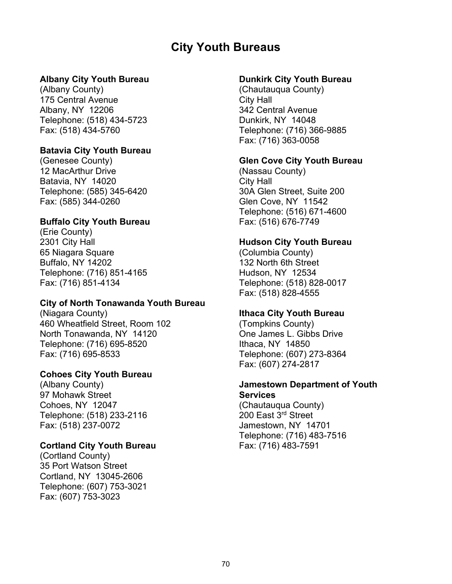# **City Youth Bureaus**

#### **Albany City Youth Bureau**

(Albany County) 175 Central Avenue Albany, NY 12206 Telephone: (518) 434-5723 Fax: (518) 434-5760

## **Batavia City Youth Bureau**

(Genesee County) 12 MacArthur Drive Batavia, NY 14020 Telephone: (585) 345-6420 Fax: (585) 344-0260

## **Buffalo City Youth Bureau**

(Erie County) 2301 City Hall 65 Niagara Square Buffalo, NY 14202 Telephone: (716) 851-4165 Fax: (716) 851-4134

#### **City of North Tonawanda Youth Bureau**

(Niagara County) 460 Wheatfield Street, Room 102 North Tonawanda, NY 14120 Telephone: (716) 695-8520 Fax: (716) 695-8533

#### **Cohoes City Youth Bureau**

(Albany County) 97 Mohawk Street Cohoes, NY 12047 Telephone: (518) 233-2116 Fax: (518) 237-0072

#### **Cortland City Youth Bureau**

(Cortland County) 35 Port Watson Street Cortland, NY 13045-2606 Telephone: (607) 753-3021 Fax: (607) 753-3023

#### **Dunkirk City Youth Bureau**

(Chautauqua County) City Hall 342 Central Avenue Dunkirk, NY 14048 Telephone: (716) 366-9885 Fax: (716) 363-0058

#### **Glen Cove City Youth Bureau**

(Nassau County) City Hall 30A Glen Street, Suite 200 Glen Cove, NY 11542 Telephone: (516) 671-4600 Fax: (516) 676-7749

#### **Hudson City Youth Bureau**

(Columbia County) 132 North 6th Street Hudson, NY 12534 Telephone: (518) 828-0017 Fax: (518) 828-4555

# **Ithaca City Youth Bureau**

(Tompkins County) One James L. Gibbs Drive Ithaca, NY 14850 Telephone: (607) 273-8364 Fax: (607) 274-2817

#### **Jamestown Department of Youth Services**

(Chautauqua County) 200 East 3rd Street Jamestown, NY 14701 Telephone: (716) 483-7516 Fax: (716) 483-7591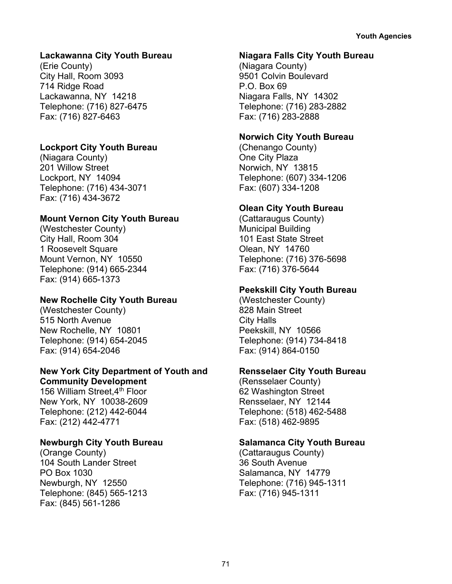## **Lackawanna City Youth Bureau**

(Erie County) City Hall, Room 3093 714 Ridge Road Lackawanna, NY 14218 Telephone: (716) 827-6475 Fax: (716) 827-6463

## **Lockport City Youth Bureau**

(Niagara County) 201 Willow Street Lockport, NY 14094 Telephone: (716) 434-3071 Fax: (716) 434-3672

## **Mount Vernon City Youth Bureau**

(Westchester County) City Hall, Room 304 1 Roosevelt Square Mount Vernon, NY 10550 Telephone: (914) 665-2344 Fax: (914) 665-1373

## **New Rochelle City Youth Bureau**

(Westchester County) 515 North Avenue New Rochelle, NY 10801 Telephone: (914) 654-2045 Fax: (914) 654-2046

## **New York City Department of Youth and Community Development**

156 William Street  $4<sup>th</sup>$  Floor New York, NY 10038-2609 Telephone: (212) 442-6044 Fax: (212) 442-4771

## **Newburgh City Youth Bureau**

(Orange County) 104 South Lander Street PO Box 1030 Newburgh, NY 12550 Telephone: (845) 565-1213 Fax: (845) 561-1286

#### **Niagara Falls City Youth Bureau**

(Niagara County) 9501 Colvin Boulevard P.O. Box 69 Niagara Falls, NY 14302 Telephone: (716) 283-2882 Fax: (716) 283-2888

## **Norwich City Youth Bureau**

(Chenango County) One City Plaza Norwich, NY 13815 Telephone: (607) 334-1206 Fax: (607) 334-1208

## **Olean City Youth Bureau**

(Cattaraugus County) Municipal Building 101 East State Street Olean, NY 14760 Telephone: (716) 376-5698 Fax: (716) 376-5644

## **Peekskill City Youth Bureau**

(Westchester County) 828 Main Street City Halls Peekskill, NY 10566 Telephone: (914) 734-8418 Fax: (914) 864-0150

## **Rensselaer City Youth Bureau**

(Rensselaer County) 62 Washington Street Rensselaer, NY 12144 Telephone: (518) 462-5488 Fax: (518) 462-9895

## **Salamanca City Youth Bureau**

(Cattaraugus County) 36 South Avenue Salamanca, NY 14779 Telephone: (716) 945-1311 Fax: (716) 945-1311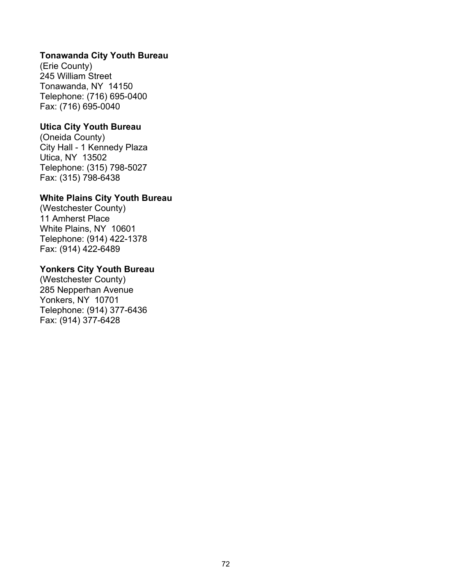## **Tonawanda City Youth Bureau**

(Erie County) 245 William Street Tonawanda, NY 14150 Telephone: (716) 695-0400 Fax: (716) 695-0040

#### **Utica City Youth Bureau**

(Oneida County) City Hall - 1 Kennedy Plaza Utica, NY 13502 Telephone: (315) 798-5027 Fax: (315) 798-6438

## **White Plains City Youth Bureau**

(Westchester County) 11 Amherst Place White Plains, NY 10601 Telephone: (914) 422-1378 Fax: (914) 422-6489

#### **Yonkers City Youth Bureau**

(Westchester County) 285 Nepperhan Avenue Yonkers, NY 10701 Telephone: (914) 377-6436 Fax: (914) 377-6428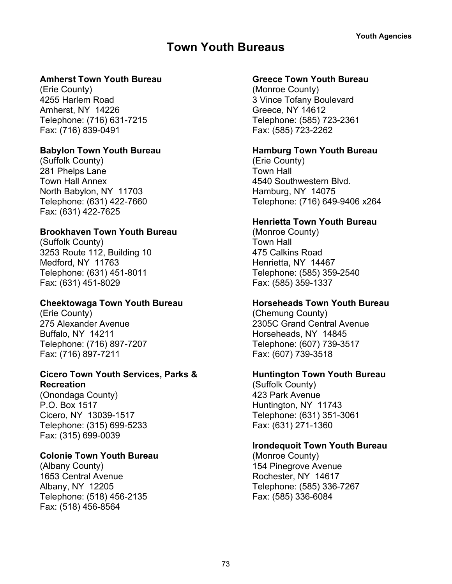# **Town Youth Bureaus**

## **Amherst Town Youth Bureau**

(Erie County) 4255 Harlem Road Amherst, NY 14226 Telephone: (716) 631-7215 Fax: (716) 839-0491

## **Babylon Town Youth Bureau**

(Suffolk County) 281 Phelps Lane Town Hall Annex North Babylon, NY 11703 Telephone: (631) 422-7660 Fax: (631) 422-7625

## **Brookhaven Town Youth Bureau**

(Suffolk County) 3253 Route 112, Building 10 Medford, NY 11763 Telephone: (631) 451-8011 Fax: (631) 451-8029

## **Cheektowaga Town Youth Bureau**

(Erie County) 275 Alexander Avenue Buffalo, NY 14211 Telephone: (716) 897-7207 Fax: (716) 897-7211

#### **Cicero Town Youth Services, Parks & Recreation**

(Onondaga County) P.O. Box 1517 Cicero, NY 13039-1517 Telephone: (315) 699-5233 Fax: (315) 699-0039

## **Colonie Town Youth Bureau**

(Albany County) 1653 Central Avenue Albany, NY 12205 Telephone: (518) 456-2135 Fax: (518) 456-8564

## **Greece Town Youth Bureau**

(Monroe County) 3 Vince Tofany Boulevard Greece, NY 14612 Telephone: (585) 723-2361 Fax: (585) 723-2262

## **Hamburg Town Youth Bureau**

(Erie County) Town Hall 4540 Southwestern Blvd. Hamburg, NY 14075 Telephone: (716) 649-9406 x264

## **Henrietta Town Youth Bureau**

(Monroe County) Town Hall 475 Calkins Road Henrietta, NY 14467 Telephone: (585) 359-2540 Fax: (585) 359-1337

## **Horseheads Town Youth Bureau**

(Chemung County) 2305C Grand Central Avenue Horseheads, NY 14845 Telephone: (607) 739-3517 Fax: (607) 739-3518

## **Huntington Town Youth Bureau**

(Suffolk County) 423 Park Avenue Huntington, NY 11743 Telephone: (631) 351-3061 Fax: (631) 271-1360

## **Irondequoit Town Youth Bureau**

(Monroe County) 154 Pinegrove Avenue Rochester, NY 14617 Telephone: (585) 336-7267 Fax: (585) 336-6084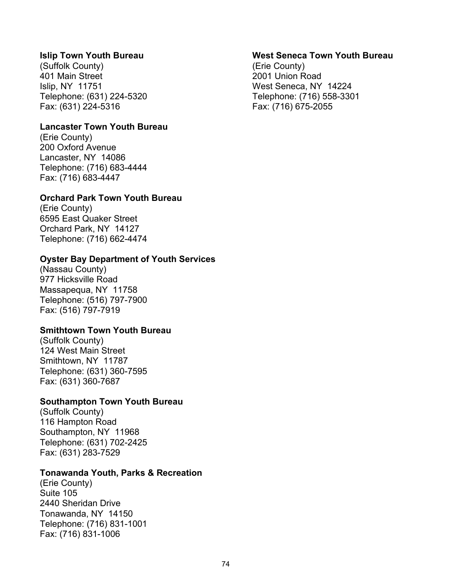#### **Islip Town Youth Bureau**

(Suffolk County) 401 Main Street Islip, NY 11751 Telephone: (631) 224-5320 Fax: (631) 224-5316

#### **Lancaster Town Youth Bureau**

(Erie County) 200 Oxford Avenue Lancaster, NY 14086 Telephone: (716) 683-4444 Fax: (716) 683-4447

#### **Orchard Park Town Youth Bureau**

(Erie County) 6595 East Quaker Street Orchard Park, NY 14127 Telephone: (716) 662-4474

#### **Oyster Bay Department of Youth Services**

(Nassau County) 977 Hicksville Road Massapequa, NY 11758 Telephone: (516) 797-7900 Fax: (516) 797-7919

#### **Smithtown Town Youth Bureau**

(Suffolk County) 124 West Main Street Smithtown, NY 11787 Telephone: (631) 360-7595 Fax: (631) 360-7687

#### **Southampton Town Youth Bureau**

(Suffolk County) 116 Hampton Road Southampton, NY 11968 Telephone: (631) 702-2425 Fax: (631) 283-7529

#### **Tonawanda Youth, Parks & Recreation**

(Erie County) Suite 105 2440 Sheridan Drive Tonawanda, NY 14150 Telephone: (716) 831-1001 Fax: (716) 831-1006

#### **West Seneca Town Youth Bureau**

(Erie County) 2001 Union Road West Seneca, NY 14224 Telephone: (716) 558-3301 Fax: (716) 675-2055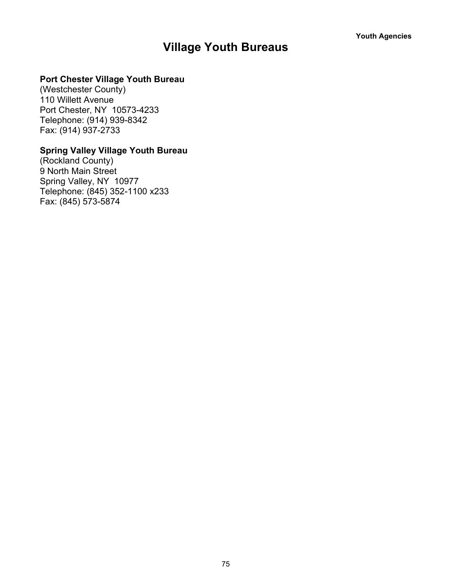# **Village Youth Bureaus**

## **Port Chester Village Youth Bureau**

(Westchester County) 110 Willett Avenue Port Chester, NY 10573-4233 Telephone: (914) 939-8342 Fax: (914) 937-2733

## **Spring Valley Village Youth Bureau**

(Rockland County) 9 North Main Street Spring Valley, NY 10977 Telephone: (845) 352-1100 x233 Fax: (845) 573-5874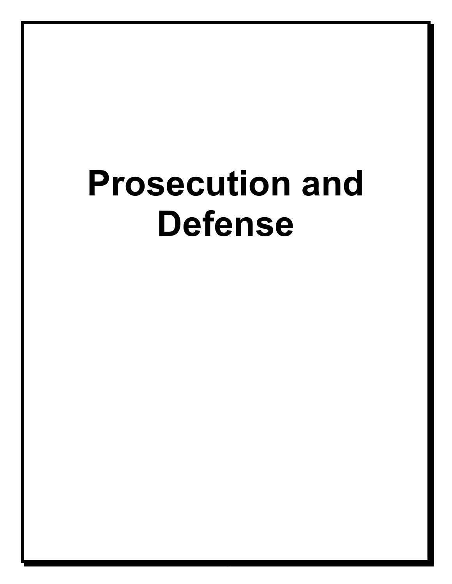# **Prosecution and Defense**

76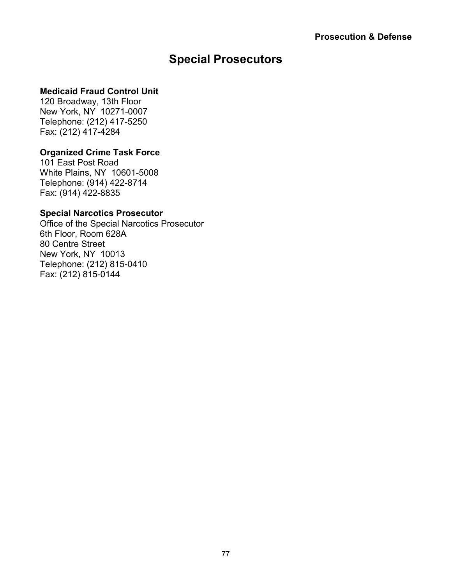# **Special Prosecutors**

## **Medicaid Fraud Control Unit**

120 Broadway, 13th Floor New York, NY 10271-0007 Telephone: (212) 417-5250 Fax: (212) 417-4284

## **Organized Crime Task Force**

101 East Post Road White Plains, NY 10601-5008 Telephone: (914) 422-8714 Fax: (914) 422-8835

## **Special Narcotics Prosecutor**

Office of the Special Narcotics Prosecutor 6th Floor, Room 628A 80 Centre Street New York, NY 10013 Telephone: (212) 815-0410 Fax: (212) 815-0144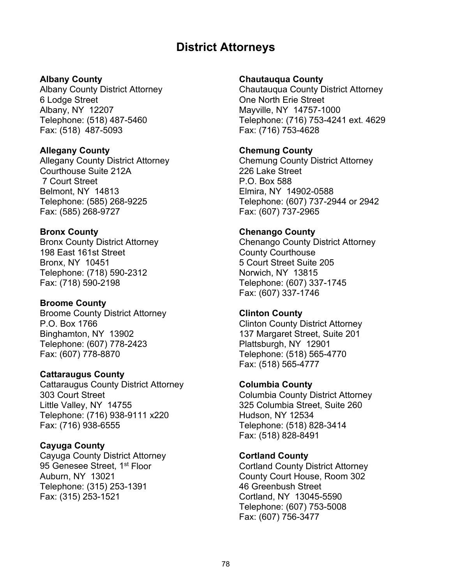# **District Attorneys**

#### **Albany County**

Albany County District Attorney 6 Lodge Street Albany, NY 12207 Telephone: (518) 487-5460 Fax: (518) 487-5093

#### **Allegany County**

Allegany County District Attorney Courthouse Suite 212A 7 Court Street Belmont, NY 14813 Telephone: (585) 268-9225 Fax: (585) 268-9727

#### **Bronx County**

Bronx County District Attorney 198 East 161st Street Bronx, NY 10451 Telephone: (718) 590-2312 Fax: (718) 590-2198

#### **Broome County**

Broome County District Attorney P.O. Box 1766 Binghamton, NY 13902 Telephone: (607) 778-2423 Fax: (607) 778-8870

#### **Cattaraugus County**

Cattaraugus County District Attorney 303 Court Street Little Valley, NY 14755 Telephone: (716) 938-9111 x220 Fax: (716) 938-6555

#### **Cayuga County**

Cayuga County District Attorney 95 Genesee Street, 1<sup>st</sup> Floor Auburn, NY 13021 Telephone: (315) 253-1391 Fax: (315) 253-1521

#### **Chautauqua County**

Chautauqua County District Attorney One North Erie Street Mayville, NY 14757-1000 Telephone: (716) 753-4241 ext. 4629 Fax: (716) 753-4628

#### **Chemung County**

Chemung County District Attorney 226 Lake Street P.O. Box 588 Elmira, NY 14902-0588 Telephone: (607) 737-2944 or 2942 Fax: (607) 737-2965

#### **Chenango County**

Chenango County District Attorney County Courthouse 5 Court Street Suite 205 Norwich, NY 13815 Telephone: (607) 337-1745 Fax: (607) 337-1746

## **Clinton County**

Clinton County District Attorney 137 Margaret Street, Suite 201 Plattsburgh, NY 12901 Telephone: (518) 565-4770 Fax: (518) 565-4777

#### **Columbia County**

Columbia County District Attorney 325 Columbia Street, Suite 260 Hudson, NY 12534 Telephone: (518) 828-3414 Fax: (518) 828-8491

#### **Cortland County**

Cortland County District Attorney County Court House, Room 302 46 Greenbush Street Cortland, NY 13045-5590 Telephone: (607) 753-5008 Fax: (607) 756-3477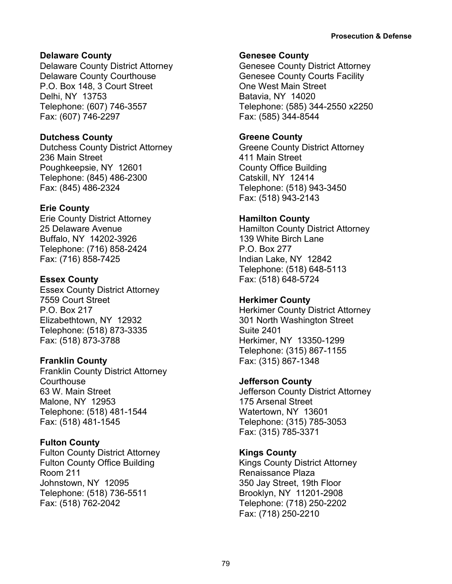## **Delaware County**

Delaware County District Attorney Delaware County Courthouse P.O. Box 148, 3 Court Street Delhi, NY 13753 Telephone: (607) 746-3557 Fax: (607) 746-2297

## **Dutchess County**

Dutchess County District Attorney 236 Main Street Poughkeepsie, NY 12601 Telephone: (845) 486-2300 Fax: (845) 486-2324

## **Erie County**

Erie County District Attorney 25 Delaware Avenue Buffalo, NY 14202-3926 Telephone: (716) 858-2424 Fax: (716) 858-7425

## **Essex County**

Essex County District Attorney 7559 Court Street P.O. Box 217 Elizabethtown, NY 12932 Telephone: (518) 873-3335 Fax: (518) 873-3788

## **Franklin County**

Franklin County District Attorney **Courthouse** 63 W. Main Street Malone, NY 12953 Telephone: (518) 481-1544 Fax: (518) 481-1545

## **Fulton County**

Fulton County District Attorney Fulton County Office Building Room 211 Johnstown, NY 12095 Telephone: (518) 736-5511 Fax: (518) 762-2042

## **Genesee County**

Genesee County District Attorney Genesee County Courts Facility One West Main Street Batavia, NY 14020 Telephone: (585) 344-2550 x2250 Fax: (585) 344-8544

## **Greene County**

Greene County District Attorney 411 Main Street County Office Building Catskill, NY 12414 Telephone: (518) 943-3450 Fax: (518) 943-2143

## **Hamilton County**

Hamilton County District Attorney 139 White Birch Lane P.O. Box 277 Indian Lake, NY 12842 Telephone: (518) 648-5113 Fax: (518) 648-5724

## **Herkimer County**

Herkimer County District Attorney 301 North Washington Street Suite 2401 Herkimer, NY 13350-1299 Telephone: (315) 867-1155 Fax: (315) 867-1348

## **Jefferson County**

Jefferson County District Attorney 175 Arsenal Street Watertown, NY 13601 Telephone: (315) 785-3053 Fax: (315) 785-3371

## **Kings County**

Kings County District Attorney Renaissance Plaza 350 Jay Street, 19th Floor Brooklyn, NY 11201-2908 Telephone: (718) 250-2202 Fax: (718) 250-2210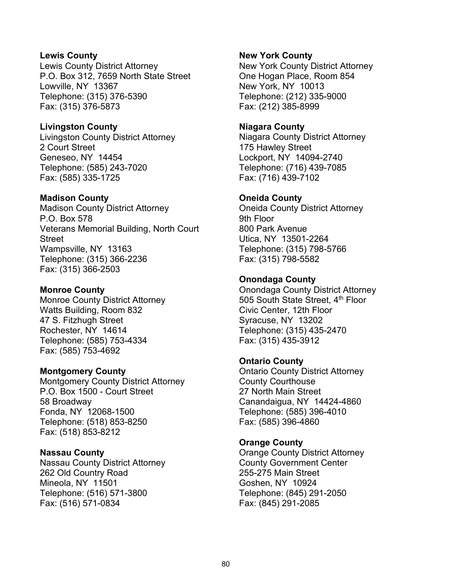#### **Lewis County**

Lewis County District Attorney P.O. Box 312, 7659 North State Street Lowville, NY 13367 Telephone: (315) 376-5390 Fax: (315) 376-5873

## **Livingston County**

Livingston County District Attorney 2 Court Street Geneseo, NY 14454 Telephone: (585) 243-7020 Fax: (585) 335-1725

#### **Madison County**

Madison County District Attorney P.O. Box 578 Veterans Memorial Building, North Court Street Wampsville, NY 13163 Telephone: (315) 366-2236 Fax: (315) 366-2503

## **Monroe County**

Monroe County District Attorney Watts Building, Room 832 47 S. Fitzhugh Street Rochester, NY 14614 Telephone: (585) 753-4334 Fax: (585) 753-4692

## **Montgomery County**

Montgomery County District Attorney P.O. Box 1500 - Court Street 58 Broadway Fonda, NY 12068-1500 Telephone: (518) 853-8250 Fax: (518) 853-8212

#### **Nassau County**

Nassau County District Attorney 262 Old Country Road Mineola, NY 11501 Telephone: (516) 571-3800 Fax: (516) 571-0834

#### **New York County**

New York County District Attorney One Hogan Place, Room 854 New York, NY 10013 Telephone: (212) 335-9000 Fax: (212) 385-8999

#### **Niagara County**

Niagara County District Attorney 175 Hawley Street Lockport, NY 14094-2740 Telephone: (716) 439-7085 Fax: (716) 439-7102

#### **Oneida County**

Oneida County District Attorney 9th Floor 800 Park Avenue Utica, NY 13501-2264 Telephone: (315) 798-5766 Fax: (315) 798-5582

## **Onondaga County**

Onondaga County District Attorney 505 South State Street, 4<sup>th</sup> Floor Civic Center, 12th Floor Syracuse, NY 13202 Telephone: (315) 435-2470 Fax: (315) 435-3912

## **Ontario County**

Ontario County District Attorney County Courthouse 27 North Main Street Canandaigua, NY 14424-4860 Telephone: (585) 396-4010 Fax: (585) 396-4860

## **Orange County**

Orange County District Attorney County Government Center 255-275 Main Street Goshen, NY 10924 Telephone: (845) 291-2050 Fax: (845) 291-2085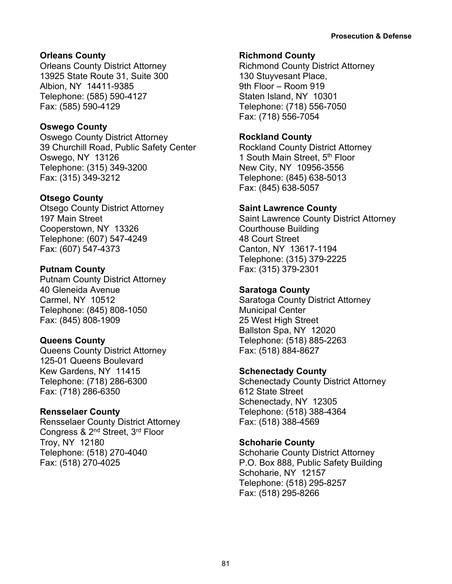## **Orleans County**

Orleans County District Attorney 13925 State Route 31, Suite 300 Albion, NY 14411-9385 Telephone: (585) 590-4127 Fax: (585) 590-4129

## **Oswego County**

Oswego County District Attorney 39 Churchill Road, Public Safety Center Oswego, NY 13126 Telephone: (315) 349-3200 Fax: (315) 349-3212

## **Otsego County**

Otsego County District Attorney 197 Main Street Cooperstown, NY 13326 Telephone: (607) 547-4249 Fax: (607) 547-4373

## **Putnam County**

Putnam County District Attorney 40 Gleneida Avenue Carmel, NY 10512 Telephone: (845) 808-1050 Fax: (845) 808-1909

## **Queens County**

Queens County District Attorney 125-01 Queens Boulevard Kew Gardens, NY 11415 Telephone: (718) 286-6300 Fax: (718) 286-6350

## **Rensselaer County**

Rensselaer County District Attorney Congress & 2nd Street, 3rd Floor Troy, NY 12180 Telephone: (518) 270-4040 Fax: (518) 270-4025

## **Richmond County**

Richmond County District Attorney 130 Stuyvesant Place, 9th Floor – Room 919 Staten Island, NY 10301 Telephone: (718) 556-7050 Fax: (718) 556-7054

## **Rockland County**

Rockland County District Attorney 1 South Main Street, 5th Floor New City, NY 10956-3556 Telephone: (845) 638-5013 Fax: (845) 638-5057

## **Saint Lawrence County**

Saint Lawrence County District Attorney Courthouse Building 48 Court Street Canton, NY 13617-1194 Telephone: (315) 379-2225 Fax: (315) 379-2301

## **Saratoga County**

Saratoga County District Attorney Municipal Center 25 West High Street Ballston Spa, NY 12020 Telephone: (518) 885-2263 Fax: (518) 884-8627

## **Schenectady County**

Schenectady County District Attorney 612 State Street Schenectady, NY 12305 Telephone: (518) 388-4364 Fax: (518) 388-4569

## **Schoharie County**

Schoharie County District Attorney P.O. Box 888, Public Safety Building Schoharie, NY 12157 Telephone: (518) 295-8257 Fax: (518) 295-8266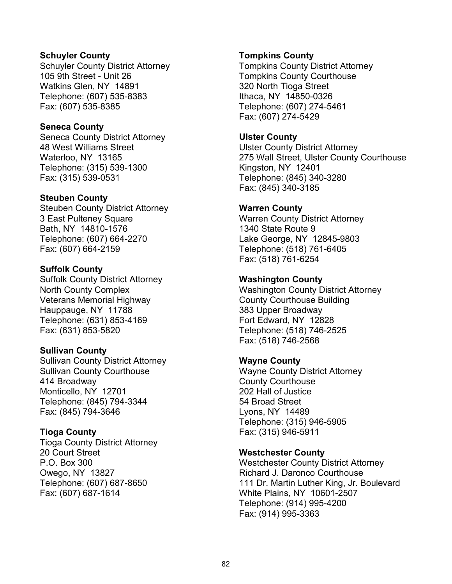#### **Schuyler County**

Schuyler County District Attorney 105 9th Street - Unit 26 Watkins Glen, NY 14891 Telephone: (607) 535-8383 Fax: (607) 535-8385

#### **Seneca County**

Seneca County District Attorney 48 West Williams Street Waterloo, NY 13165 Telephone: (315) 539-1300 Fax: (315) 539-0531

#### **Steuben County**

Steuben County District Attorney 3 East Pulteney Square Bath, NY 14810-1576 Telephone: (607) 664-2270 Fax: (607) 664-2159

#### **Suffolk County**

Suffolk County District Attorney North County Complex Veterans Memorial Highway Hauppauge, NY 11788 Telephone: (631) 853-4169 Fax: (631) 853-5820

## **Sullivan County**

Sullivan County District Attorney Sullivan County Courthouse 414 Broadway Monticello, NY 12701 Telephone: (845) 794-3344 Fax: (845) 794-3646

## **Tioga County**

Tioga County District Attorney 20 Court Street P.O. Box 300 Owego, NY 13827 Telephone: (607) 687-8650 Fax: (607) 687-1614

#### **Tompkins County**

Tompkins County District Attorney Tompkins County Courthouse 320 North Tioga Street Ithaca, NY 14850-0326 Telephone: (607) 274-5461 Fax: (607) 274-5429

#### **Ulster County**

Ulster County District Attorney 275 Wall Street, Ulster County Courthouse Kingston, NY 12401 Telephone: (845) 340-3280 Fax: (845) 340-3185

#### **Warren County**

Warren County District Attorney 1340 State Route 9 Lake George, NY 12845-9803 Telephone: (518) 761-6405 Fax: (518) 761-6254

#### **Washington County**

Washington County District Attorney County Courthouse Building 383 Upper Broadway Fort Edward, NY 12828 Telephone: (518) 746-2525 Fax: (518) 746-2568

## **Wayne County**

Wayne County District Attorney County Courthouse 202 Hall of Justice 54 Broad Street Lyons, NY 14489 Telephone: (315) 946-5905 Fax: (315) 946-5911

#### **Westchester County**

Westchester County District Attorney Richard J. Daronco Courthouse 111 Dr. Martin Luther King, Jr. Boulevard White Plains, NY 10601-2507 Telephone: (914) 995-4200 Fax: (914) 995-3363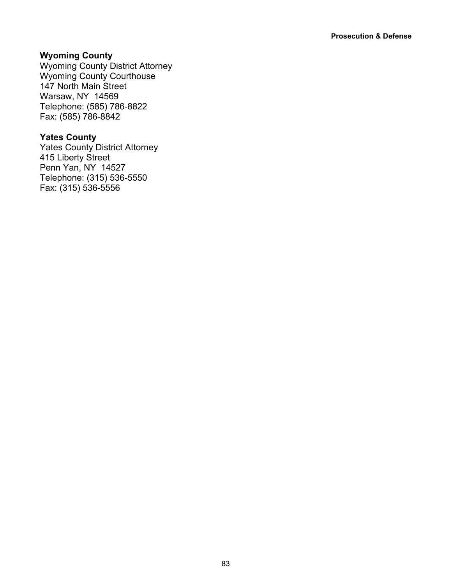## **Wyoming County**

Wyoming County District Attorney Wyoming County Courthouse 147 North Main Street Warsaw, NY 14569 Telephone: (585) 786-8822 Fax: (585) 786-8842

## **Yates County**

Yates County District Attorney 415 Liberty Street Penn Yan, NY 14527 Telephone: (315) 536-5550 Fax: (315) 536-5556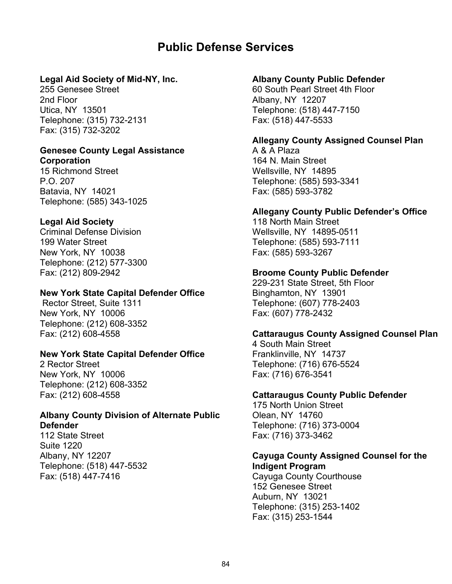## **Public Defense Services**

## **Legal Aid Society of Mid-NY, Inc.**

255 Genesee Street 2nd Floor Utica, NY 13501 Telephone: (315) 732-2131 Fax: (315) 732-3202

#### **Genesee County Legal Assistance Corporation**

15 Richmond Street P.O. 207 Batavia, NY 14021 Telephone: (585) 343-1025

## **Legal Aid Society**

Criminal Defense Division 199 Water Street New York, NY 10038 Telephone: (212) 577-3300 Fax: (212) 809-2942

#### **New York State Capital Defender Office**

Rector Street, Suite 1311 New York, NY 10006 Telephone: (212) 608-3352 Fax: (212) 608-4558

## **New York State Capital Defender Office**

2 Rector Street New York, NY 10006 Telephone: (212) 608-3352 Fax: (212) 608-4558

## **Albany County Division of Alternate Public Defender**

112 State Street Suite 1220 Albany, NY 12207 Telephone: (518) 447-5532 Fax: (518) 447-7416

#### **Albany County Public Defender**

60 South Pearl Street 4th Floor Albany, NY 12207 Telephone: (518) 447-7150 Fax: (518) 447-5533

## **Allegany County Assigned Counsel Plan**

A & A Plaza 164 N. Main Street Wellsville, NY 14895 Telephone: (585) 593-3341 Fax: (585) 593-3782

#### **Allegany County Public Defender's Office**

118 North Main Street Wellsville, NY 14895-0511 Telephone: (585) 593-7111 Fax: (585) 593-3267

#### **Broome County Public Defender**

229-231 State Street, 5th Floor Binghamton, NY 13901 Telephone: (607) 778-2403 Fax: (607) 778-2432

#### **Cattaraugus County Assigned Counsel Plan**

4 South Main Street Franklinville, NY 14737 Telephone: (716) 676-5524 Fax: (716) 676-3541

#### **Cattaraugus County Public Defender**

175 North Union Street Olean, NY 14760 Telephone: (716) 373-0004 Fax: (716) 373-3462

#### **Cayuga County Assigned Counsel for the Indigent Program**

Cayuga County Courthouse 152 Genesee Street Auburn, NY 13021 Telephone: (315) 253-1402 Fax: (315) 253-1544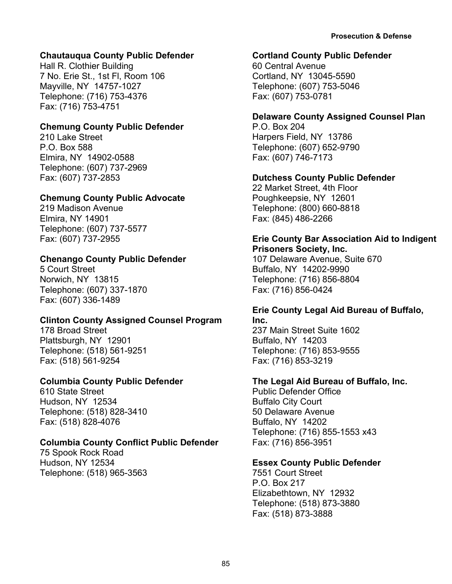## **Chautauqua County Public Defender**

Hall R. Clothier Building 7 No. Erie St., 1st Fl, Room 106 Mayville, NY 14757-1027 Telephone: (716) 753-4376 Fax: (716) 753-4751

## **Chemung County Public Defender**

210 Lake Street P.O. Box 588 Elmira, NY 14902-0588 Telephone: (607) 737-2969 Fax: (607) 737-2853

#### **Chemung County Public Advocate**

219 Madison Avenue Elmira, NY 14901 Telephone: (607) 737-5577 Fax: (607) 737-2955

## **Chenango County Public Defender**

5 Court Street Norwich, NY 13815 Telephone: (607) 337-1870 Fax: (607) 336-1489

## **Clinton County Assigned Counsel Program**

178 Broad Street Plattsburgh, NY 12901 Telephone: (518) 561-9251 Fax: (518) 561-9254

## **Columbia County Public Defender**

610 State Street Hudson, NY 12534 Telephone: (518) 828-3410 Fax: (518) 828-4076

## **Columbia County Conflict Public Defender**

75 Spook Rock Road Hudson, NY 12534 Telephone: (518) 965-3563

#### **Cortland County Public Defender**

60 Central Avenue Cortland, NY 13045-5590 Telephone: (607) 753-5046 Fax: (607) 753-0781

#### **Delaware County Assigned Counsel Plan**

P.O. Box 204 Harpers Field, NY 13786 Telephone: (607) 652-9790 Fax: (607) 746-7173

#### **Dutchess County Public Defender**

22 Market Street, 4th Floor Poughkeepsie, NY 12601 Telephone: (800) 660-8818 Fax: (845) 486-2266

#### **Erie County Bar Association Aid to Indigent Prisoners Society, Inc.**

107 Delaware Avenue, Suite 670 Buffalo, NY 14202-9990 Telephone: (716) 856-8804 Fax: (716) 856-0424

#### **Erie County Legal Aid Bureau of Buffalo, Inc.**

237 Main Street Suite 1602 Buffalo, NY 14203 Telephone: (716) 853-9555 Fax: (716) 853-3219

## **The Legal Aid Bureau of Buffalo, Inc.**

Public Defender Office Buffalo City Court 50 Delaware Avenue Buffalo, NY 14202 Telephone: (716) 855-1553 x43 Fax: (716) 856-3951

#### **Essex County Public Defender**

7551 Court Street P.O. Box 217 Elizabethtown, NY 12932 Telephone: (518) 873-3880 Fax: (518) 873-3888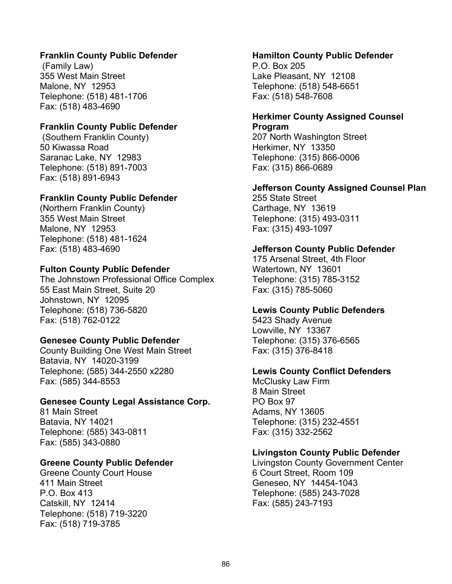## **Franklin County Public Defender**

(Family Law) 355 West Main Street Malone, NY 12953 Telephone: (518) 481-1706 Fax: (518) 483-4690

#### **Franklin County Public Defender**

(Southern Franklin County) 50 Kiwassa Road Saranac Lake, NY 12983 Telephone: (518) 891-7003 Fax: (518) 891-6943

#### **Franklin County Public Defender**

(Northern Franklin County) 355 West Main Street Malone, NY 12953 Telephone: (518) 481-1624 Fax: (518) 483-4690

#### **Fulton County Public Defender**

The Johnstown Professional Office Complex 55 East Main Street, Suite 20 Johnstown, NY 12095 Telephone: (518) 736-5820 Fax: (518) 762-0122

#### **Genesee County Public Defender**

County Building One West Main Street Batavia, NY 14020-3199 Telephone: (585) 344-2550 x2280 Fax: (585) 344-8553

#### **Genesee County Legal Assistance Corp.**

81 Main Street Batavia, NY 14021 Telephone: (585) 343-0811 Fax: (585) 343-0880

#### **Greene County Public Defender**

Greene County Court House 411 Main Street P.O. Box 413 Catskill, NY 12414 Telephone: (518) 719-3220 Fax: (518) 719-3785

#### **Hamilton County Public Defender**

P.O. Box 205 Lake Pleasant, NY 12108 Telephone: (518) 548-6651 Fax: (518) 548-7608

#### **Herkimer County Assigned Counsel Program**

207 North Washington Street Herkimer, NY 13350 Telephone: (315) 866-0006 Fax: (315) 866-0689

#### **Jefferson County Assigned Counsel Plan**

255 State Street Carthage, NY 13619 Telephone: (315) 493-0311 Fax: (315) 493-1097

#### **Jefferson County Public Defender**

175 Arsenal Street, 4th Floor Watertown, NY 13601 Telephone: (315) 785-3152 Fax: (315) 785-5060

#### **Lewis County Public Defenders**

5423 Shady Avenue Lowville, NY 13367 Telephone: (315) 376-6565 Fax: (315) 376-8418

#### **Lewis County Conflict Defenders**

McClusky Law Firm 8 Main Street PO Box 97 Adams, NY 13605 Telephone: (315) 232-4551 Fax: (315) 332-2562

#### **Livingston County Public Defender**

Livingston County Government Center 6 Court Street, Room 109 Geneseo, NY 14454-1043 Telephone: (585) 243-7028 Fax: (585) 243-7193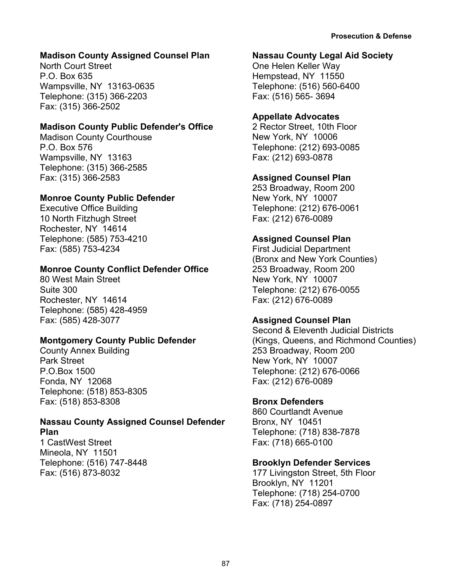## **Madison County Assigned Counsel Plan**

North Court Street P.O. Box 635 Wampsville, NY 13163-0635 Telephone: (315) 366-2203 Fax: (315) 366-2502

## **Madison County Public Defender's Office**

Madison County Courthouse P.O. Box 576 Wampsville, NY 13163 Telephone: (315) 366-2585 Fax: (315) 366-2583

## **Monroe County Public Defender**

Executive Office Building 10 North Fitzhugh Street Rochester, NY 14614 Telephone: (585) 753-4210 Fax: (585) 753-4234

## **Monroe County Conflict Defender Office**

80 West Main Street Suite 300 Rochester, NY 14614 Telephone: (585) 428-4959 Fax: (585) 428-3077

## **Montgomery County Public Defender**

County Annex Building Park Street P.O.Box 1500 Fonda, NY 12068 Telephone: (518) 853-8305 Fax: (518) 853-8308

#### **Nassau County Assigned Counsel Defender Plan**

1 CastWest Street Mineola, NY 11501 Telephone: (516) 747-8448 Fax: (516) 873-8032

## **Nassau County Legal Aid Society**

One Helen Keller Way Hempstead, NY 11550 Telephone: (516) 560-6400 Fax: (516) 565- 3694

## **Appellate Advocates**

2 Rector Street, 10th Floor New York, NY 10006 Telephone: (212) 693-0085 Fax: (212) 693-0878

## **Assigned Counsel Plan**

253 Broadway, Room 200 New York, NY 10007 Telephone: (212) 676-0061 Fax: (212) 676-0089

## **Assigned Counsel Plan**

First Judicial Department (Bronx and New York Counties) 253 Broadway, Room 200 New York, NY 10007 Telephone: (212) 676-0055 Fax: (212) 676-0089

## **Assigned Counsel Plan**

Second & Eleventh Judicial Districts (Kings, Queens, and Richmond Counties) 253 Broadway, Room 200 New York, NY 10007 Telephone: (212) 676-0066 Fax: (212) 676-0089

## **Bronx Defenders**

860 Courtlandt Avenue Bronx, NY 10451 Telephone: (718) 838-7878 Fax: (718) 665-0100

## **Brooklyn Defender Services**

177 Livingston Street, 5th Floor Brooklyn, NY 11201 Telephone: (718) 254-0700 Fax: (718) 254-0897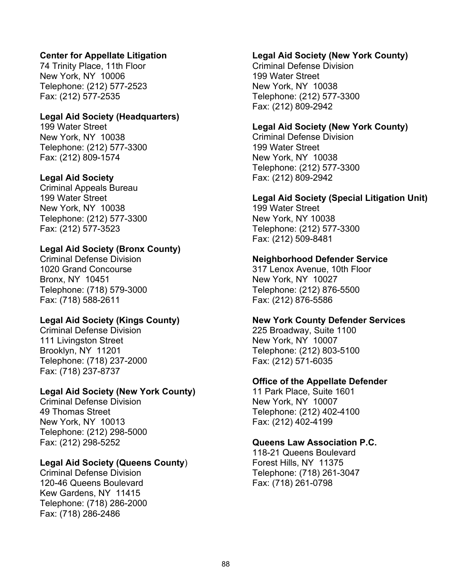## **Center for Appellate Litigation**

74 Trinity Place, 11th Floor New York, NY 10006 Telephone: (212) 577-2523 Fax: (212) 577-2535

#### **Legal Aid Society (Headquarters)**

199 Water Street New York, NY 10038 Telephone: (212) 577-3300 Fax: (212) 809-1574

#### **Legal Aid Society**

Criminal Appeals Bureau 199 Water Street New York, NY 10038 Telephone: (212) 577-3300 Fax: (212) 577-3523

## **Legal Aid Society (Bronx County)**

Criminal Defense Division 1020 Grand Concourse Bronx, NY 10451 Telephone: (718) 579-3000 Fax: (718) 588-2611

## **Legal Aid Society (Kings County)**

Criminal Defense Division 111 Livingston Street Brooklyn, NY 11201 Telephone: (718) 237-2000 Fax: (718) 237-8737

## **Legal Aid Society (New York County)**

Criminal Defense Division 49 Thomas Street New York, NY 10013 Telephone: (212) 298-5000 Fax: (212) 298-5252

## **Legal Aid Society (Queens County**)

Criminal Defense Division 120-46 Queens Boulevard Kew Gardens, NY 11415 Telephone: (718) 286-2000 Fax: (718) 286-2486

#### **Legal Aid Society (New York County)**

Criminal Defense Division 199 Water Street New York, NY 10038 Telephone: (212) 577-3300 Fax: (212) 809-2942

## **Legal Aid Society (New York County)**

Criminal Defense Division 199 Water Street New York, NY 10038 Telephone: (212) 577-3300 Fax: (212) 809-2942

#### **Legal Aid Society (Special Litigation Unit)**

199 Water Street New York, NY 10038 Telephone: (212) 577-3300 Fax: (212) 509-8481

#### **Neighborhood Defender Service**

317 Lenox Avenue, 10th Floor New York, NY 10027 Telephone: (212) 876-5500 Fax: (212) 876-5586

#### **New York County Defender Services**

225 Broadway, Suite 1100 New York, NY 10007 Telephone: (212) 803-5100 Fax: (212) 571-6035

#### **Office of the Appellate Defender**

11 Park Place, Suite 1601 New York, NY 10007 Telephone: (212) 402-4100 Fax: (212) 402-4199

#### **Queens Law Association P.C.**

118-21 Queens Boulevard Forest Hills, NY 11375 Telephone: (718) 261-3047 Fax: (718) 261-0798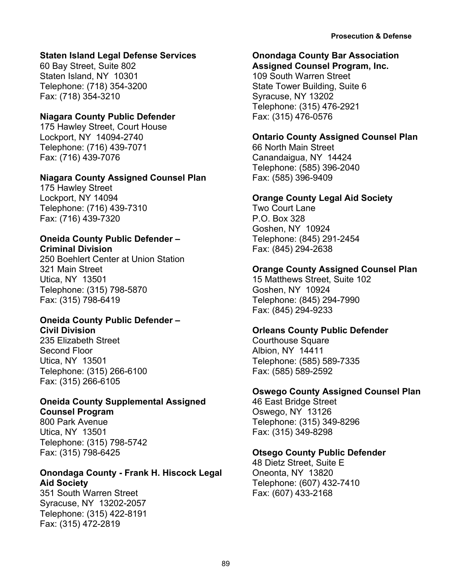## **Staten Island Legal Defense Services**

60 Bay Street, Suite 802 Staten Island, NY 10301 Telephone: (718) 354-3200 Fax: (718) 354-3210

## **Niagara County Public Defender**

175 Hawley Street, Court House Lockport, NY 14094-2740 Telephone: (716) 439-7071 Fax: (716) 439-7076

## **Niagara County Assigned Counsel Plan**

175 Hawley Street Lockport, NY 14094 Telephone: (716) 439-7310 Fax: (716) 439-7320

#### **Oneida County Public Defender – Criminal Division**

250 Boehlert Center at Union Station 321 Main Street Utica, NY 13501 Telephone: (315) 798-5870 Fax: (315) 798-6419

## **Oneida County Public Defender – Civil Division**

235 Elizabeth Street Second Floor Utica, NY 13501 Telephone: (315) 266-6100 Fax: (315) 266-6105

#### **Oneida County Supplemental Assigned Counsel Program**

800 Park Avenue Utica, NY 13501 Telephone: (315) 798-5742 Fax: (315) 798-6425

## **Onondaga County - Frank H. Hiscock Legal Aid Society**

351 South Warren Street Syracuse, NY 13202-2057 Telephone: (315) 422-8191 Fax: (315) 472-2819

## **Onondaga County Bar Association**

**Assigned Counsel Program, Inc.** 109 South Warren Street State Tower Building, Suite 6 Syracuse, NY 13202 Telephone: (315) 476-2921 Fax: (315) 476-0576

## **Ontario County Assigned Counsel Plan**

66 North Main Street Canandaigua, NY 14424 Telephone: (585) 396-2040 Fax: (585) 396-9409

## **Orange County Legal Aid Society**

Two Court Lane P.O. Box 328 Goshen, NY 10924 Telephone: (845) 291-2454 Fax: (845) 294-2638

## **Orange County Assigned Counsel Plan**

15 Matthews Street, Suite 102 Goshen, NY 10924 Telephone: (845) 294-7990 Fax: (845) 294-9233

## **Orleans County Public Defender**

Courthouse Square Albion, NY 14411 Telephone: (585) 589-7335 Fax: (585) 589-2592

## **Oswego County Assigned Counsel Plan**

46 East Bridge Street Oswego, NY 13126 Telephone: (315) 349-8296 Fax: (315) 349-8298

## **Otsego County Public Defender**

48 Dietz Street, Suite E Oneonta, NY 13820 Telephone: (607) 432-7410 Fax: (607) 433-2168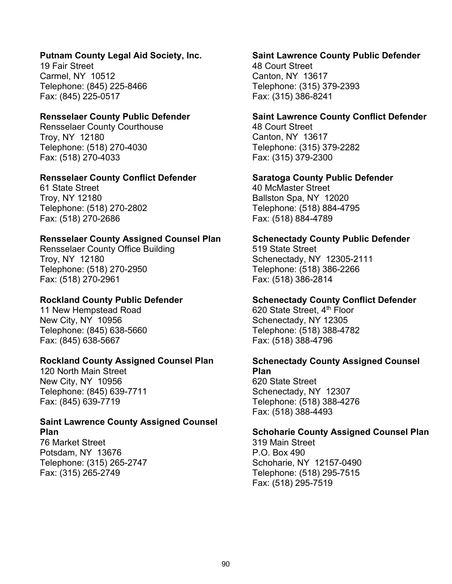#### **Putnam County Legal Aid Society, Inc.**

19 Fair Street Carmel, NY 10512 Telephone: (845) 225-8466 Fax: (845) 225-0517

#### **Rensselaer County Public Defender**

Rensselaer County Courthouse Troy, NY 12180 Telephone: (518) 270-4030 Fax: (518) 270-4033

#### **Rensselaer County Conflict Defender**

61 State Street Troy, NY 12180 Telephone: (518) 270-2802 Fax: (518) 270-2686

#### **Rensselaer County Assigned Counsel Plan**

Rensselaer County Office Building Troy, NY 12180 Telephone: (518) 270-2950 Fax: (518) 270-2961

## **Rockland County Public Defender**

11 New Hempstead Road New City, NY 10956 Telephone: (845) 638-5660 Fax: (845) 638-5667

## **Rockland County Assigned Counsel Plan**

120 North Main Street New City, NY 10956 Telephone: (845) 639-7711 Fax: (845) 639-7719

## **Saint Lawrence County Assigned Counsel Plan**

76 Market Street Potsdam, NY 13676 Telephone: (315) 265-2747 Fax: (315) 265-2749

#### **Saint Lawrence County Public Defender**

48 Court Street Canton, NY 13617 Telephone: (315) 379-2393 Fax: (315) 386-8241

#### **Saint Lawrence County Conflict Defender**

48 Court Street Canton, NY 13617 Telephone: (315) 379-2282 Fax: (315) 379-2300

#### **Saratoga County Public Defender**

40 McMaster Street Ballston Spa, NY 12020 Telephone: (518) 884-4795 Fax: (518) 884-4789

#### **Schenectady County Public Defender**

519 State Street Schenectady, NY 12305-2111 Telephone: (518) 386-2266 Fax: (518) 386-2814

#### **Schenectady County Conflict Defender**

620 State Street, 4<sup>th</sup> Floor Schenectady, NY 12305 Telephone: (518) 388-4782 Fax: (518) 388-4796

#### **Schenectady County Assigned Counsel Plan**

620 State Street Schenectady, NY 12307 Telephone: (518) 388-4276 Fax: (518) 388-4493

## **Schoharie County Assigned Counsel Plan**

319 Main Street P.O. Box 490 Schoharie, NY 12157-0490 Telephone: (518) 295-7515 Fax: (518) 295-7519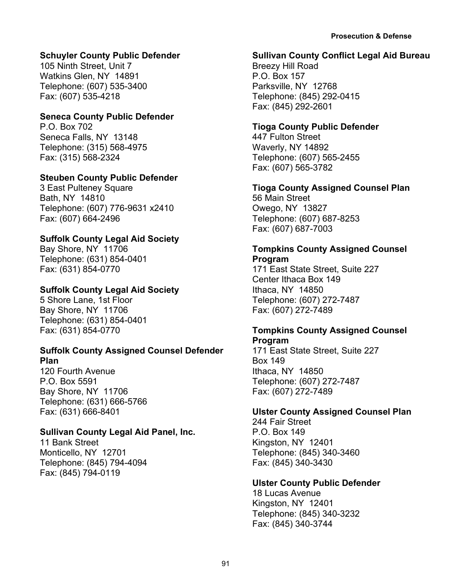## **Schuyler County Public Defender**

105 Ninth Street, Unit 7 Watkins Glen, NY 14891 Telephone: (607) 535-3400 Fax: (607) 535-4218

## **Seneca County Public Defender**

P.O. Box 702 Seneca Falls, NY 13148 Telephone: (315) 568-4975 Fax: (315) 568-2324

## **Steuben County Public Defender**

3 East Pulteney Square Bath, NY 14810 Telephone: (607) 776-9631 x2410 Fax: (607) 664-2496

## **Suffolk County Legal Aid Society**

Bay Shore, NY 11706 Telephone: (631) 854-0401 Fax: (631) 854-0770

## **Suffolk County Legal Aid Society**

5 Shore Lane, 1st Floor Bay Shore, NY 11706 Telephone: (631) 854-0401 Fax: (631) 854-0770

## **Suffolk County Assigned Counsel Defender Plan**

120 Fourth Avenue P.O. Box 5591 Bay Shore, NY 11706 Telephone: (631) 666-5766 Fax: (631) 666-8401

## **Sullivan County Legal Aid Panel, Inc.**

11 Bank Street Monticello, NY 12701 Telephone: (845) 794-4094 Fax: (845) 794-0119

## **Sullivan County Conflict Legal Aid Bureau**

Breezy Hill Road P.O. Box 157 Parksville, NY 12768 Telephone: (845) 292-0415 Fax: (845) 292-2601

## **Tioga County Public Defender**

447 Fulton Street Waverly, NY 14892 Telephone: (607) 565-2455 Fax: (607) 565-3782

## **Tioga County Assigned Counsel Plan**

56 Main Street Owego, NY 13827 Telephone: (607) 687-8253 Fax: (607) 687-7003

## **Tompkins County Assigned Counsel Program**

171 East State Street, Suite 227 Center Ithaca Box 149 Ithaca, NY 14850 Telephone: (607) 272-7487 Fax: (607) 272-7489

## **Tompkins County Assigned Counsel Program**

171 East State Street, Suite 227 Box 149 Ithaca, NY 14850 Telephone: (607) 272-7487 Fax: (607) 272-7489

## **Ulster County Assigned Counsel Plan**

244 Fair Street P.O. Box 149 Kingston, NY 12401 Telephone: (845) 340-3460 Fax: (845) 340-3430

## **Ulster County Public Defender**

18 Lucas Avenue Kingston, NY 12401 Telephone: (845) 340-3232 Fax: (845) 340-3744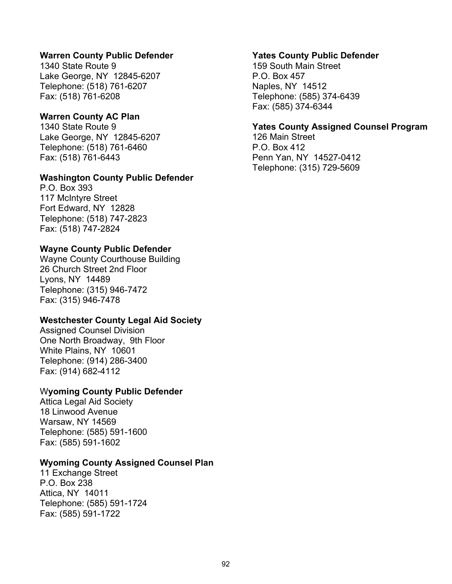#### **Warren County Public Defender**

1340 State Route 9 Lake George, NY 12845-6207 Telephone: (518) 761-6207 Fax: (518) 761-6208

#### **Warren County AC Plan**

1340 State Route 9 Lake George, NY 12845-6207 Telephone: (518) 761-6460 Fax: (518) 761-6443

#### **Washington County Public Defender**

P.O. Box 393 117 McIntyre Street Fort Edward, NY 12828 Telephone: (518) 747-2823 Fax: (518) 747-2824

#### **Wayne County Public Defender**

Wayne County Courthouse Building 26 Church Street 2nd Floor Lyons, NY 14489 Telephone: (315) 946-7472 Fax: (315) 946-7478

#### **Westchester County Legal Aid Society**

Assigned Counsel Division One North Broadway, 9th Floor White Plains, NY 10601 Telephone: (914) 286-3400 Fax: (914) 682-4112

#### W**yoming County Public Defender**

Attica Legal Aid Society 18 Linwood Avenue Warsaw, NY 14569 Telephone: (585) 591-1600 Fax: (585) 591-1602

#### **Wyoming County Assigned Counsel Plan**

11 Exchange Street P.O. Box 238 Attica, NY 14011 Telephone: (585) 591-1724 Fax: (585) 591-1722

#### **Yates County Public Defender**

159 South Main Street P.O. Box 457 Naples, NY 14512 Telephone: (585) 374-6439 Fax: (585) 374-6344

#### **Yates County Assigned Counsel Program**

126 Main Street P.O. Box 412 Penn Yan, NY 14527-0412 Telephone: (315) 729-5609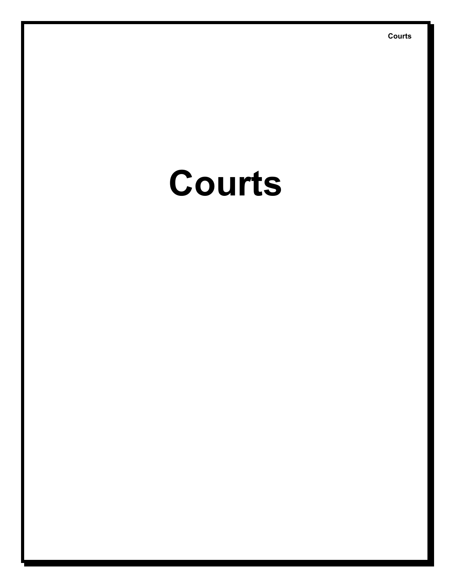# **Courts**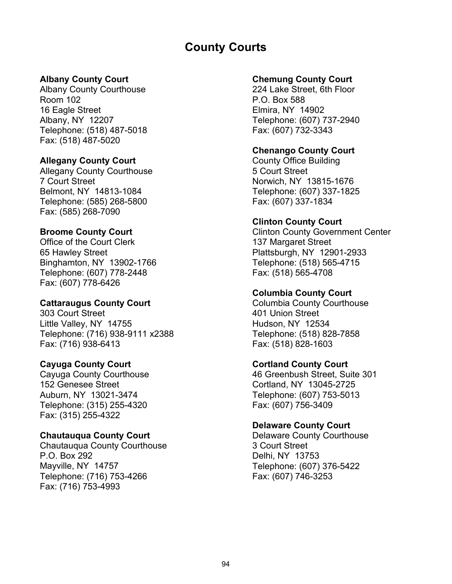# **County Courts**

## **Albany County Court**

Albany County Courthouse Room 102 16 Eagle Street Albany, NY 12207 Telephone: (518) 487-5018 Fax: (518) 487-5020

#### **Allegany County Court**

Allegany County Courthouse 7 Court Street Belmont, NY 14813-1084 Telephone: (585) 268-5800 Fax: (585) 268-7090

#### **Broome County Court**

Office of the Court Clerk 65 Hawley Street Binghamton, NY 13902-1766 Telephone: (607) 778-2448 Fax: (607) 778-6426

#### **Cattaraugus County Court**

303 Court Street Little Valley, NY 14755 Telephone: (716) 938-9111 x2388 Fax: (716) 938-6413

#### **Cayuga County Court**

Cayuga County Courthouse 152 Genesee Street Auburn, NY 13021-3474 Telephone: (315) 255-4320 Fax: (315) 255-4322

#### **Chautauqua County Court**

Chautauqua County Courthouse P.O. Box 292 Mayville, NY 14757 Telephone: (716) 753-4266 Fax: (716) 753-4993

#### **Chemung County Court**

224 Lake Street, 6th Floor P.O. Box 588 Elmira, NY 14902 Telephone: (607) 737-2940 Fax: (607) 732-3343

## **Chenango County Court**

County Office Building 5 Court Street Norwich, NY 13815-1676 Telephone: (607) 337-1825 Fax: (607) 337-1834

#### **Clinton County Court**

Clinton County Government Center 137 Margaret Street Plattsburgh, NY 12901-2933 Telephone: (518) 565-4715 Fax: (518) 565-4708

#### **Columbia County Court**

Columbia County Courthouse 401 Union Street Hudson, NY 12534 Telephone: (518) 828-7858 Fax: (518) 828-1603

## **Cortland County Court**

46 Greenbush Street, Suite 301 Cortland, NY 13045-2725 Telephone: (607) 753-5013 Fax: (607) 756-3409

## **Delaware County Court**

Delaware County Courthouse 3 Court Street Delhi, NY 13753 Telephone: (607) 376-5422 Fax: (607) 746-3253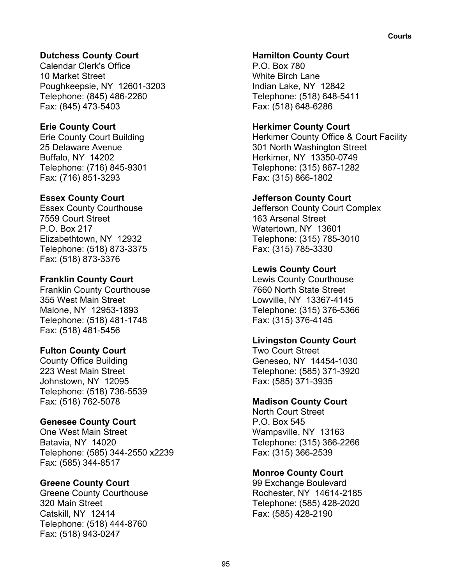## **Dutchess County Court**

Calendar Clerk's Office 10 Market Street Poughkeepsie, NY 12601-3203 Telephone: (845) 486-2260 Fax: (845) 473-5403

## **Erie County Court**

Erie County Court Building 25 Delaware Avenue Buffalo, NY 14202 Telephone: (716) 845-9301 Fax: (716) 851-3293

## **Essex County Court**

Essex County Courthouse 7559 Court Street P.O. Box 217 Elizabethtown, NY 12932 Telephone: (518) 873-3375 Fax: (518) 873-3376

## **Franklin County Court**

Franklin County Courthouse 355 West Main Street Malone, NY 12953-1893 Telephone: (518) 481-1748 Fax: (518) 481-5456

## **Fulton County Court**

County Office Building 223 West Main Street Johnstown, NY 12095 Telephone: (518) 736-5539 Fax: (518) 762-5078

## **Genesee County Court**

One West Main Street Batavia, NY 14020 Telephone: (585) 344-2550 x2239 Fax: (585) 344-8517

## **Greene County Court**

Greene County Courthouse 320 Main Street Catskill, NY 12414 Telephone: (518) 444-8760 Fax: (518) 943-0247

#### **Hamilton County Court**

P.O. Box 780 White Birch Lane Indian Lake, NY 12842 Telephone: (518) 648-5411 Fax: (518) 648-6286

## **Herkimer County Court**

Herkimer County Office & Court Facility 301 North Washington Street Herkimer, NY 13350-0749 Telephone: (315) 867-1282 Fax: (315) 866-1802

## **Jefferson County Court**

Jefferson County Court Complex 163 Arsenal Street Watertown, NY 13601 Telephone: (315) 785-3010 Fax: (315) 785-3330

## **Lewis County Court**

Lewis County Courthouse 7660 North State Street Lowville, NY 13367-4145 Telephone: (315) 376-5366 Fax: (315) 376-4145

## **Livingston County Court**

Two Court Street Geneseo, NY 14454-1030 Telephone: (585) 371-3920 Fax: (585) 371-3935

## **Madison County Court**

North Court Street P.O. Box 545 Wampsville, NY 13163 Telephone: (315) 366-2266 Fax: (315) 366-2539

## **Monroe County Court**

99 Exchange Boulevard Rochester, NY 14614-2185 Telephone: (585) 428-2020 Fax: (585) 428-2190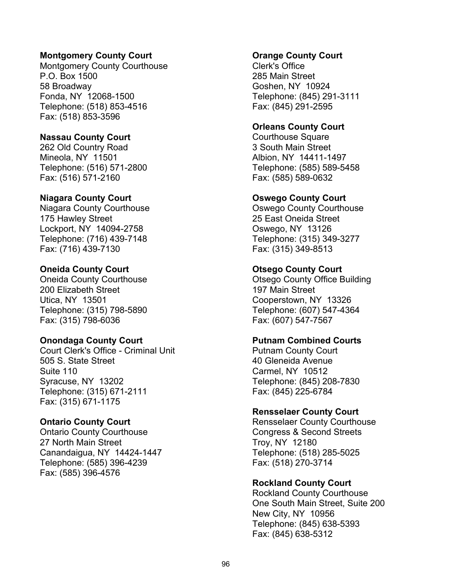#### **Montgomery County Court**

Montgomery County Courthouse P.O. Box 1500 58 Broadway Fonda, NY 12068-1500 Telephone: (518) 853-4516 Fax: (518) 853-3596

#### **Nassau County Court**

262 Old Country Road Mineola, NY 11501 Telephone: (516) 571-2800 Fax: (516) 571-2160

#### **Niagara County Court**

Niagara County Courthouse 175 Hawley Street Lockport, NY 14094-2758 Telephone: (716) 439-7148 Fax: (716) 439-7130

#### **Oneida County Court**

Oneida County Courthouse 200 Elizabeth Street Utica, NY 13501 Telephone: (315) 798-5890 Fax: (315) 798-6036

#### **Onondaga County Court**

Court Clerk's Office - Criminal Unit 505 S. State Street Suite 110 Syracuse, NY 13202 Telephone: (315) 671-2111 Fax: (315) 671-1175

#### **Ontario County Court**

Ontario County Courthouse 27 North Main Street Canandaigua, NY 14424-1447 Telephone: (585) 396-4239 Fax: (585) 396-4576

#### **Orange County Court**

Clerk's Office 285 Main Street Goshen, NY 10924 Telephone: (845) 291-3111 Fax: (845) 291-2595

## **Orleans County Court**

Courthouse Square 3 South Main Street Albion, NY 14411-1497 Telephone: (585) 589-5458 Fax: (585) 589-0632

#### **Oswego County Court**

Oswego County Courthouse 25 East Oneida Street Oswego, NY 13126 Telephone: (315) 349-3277 Fax: (315) 349-8513

#### **Otsego County Court**

Otsego County Office Building 197 Main Street Cooperstown, NY 13326 Telephone: (607) 547-4364 Fax: (607) 547-7567

#### **Putnam Combined Courts**

Putnam County Court 40 Gleneida Avenue Carmel, NY 10512 Telephone: (845) 208-7830 Fax: (845) 225-6784

#### **Rensselaer County Court**

Rensselaer County Courthouse Congress & Second Streets Troy, NY 12180 Telephone: (518) 285-5025 Fax: (518) 270-3714

## **Rockland County Court**

Rockland County Courthouse One South Main Street, Suite 200 New City, NY 10956 Telephone: (845) 638-5393 Fax: (845) 638-5312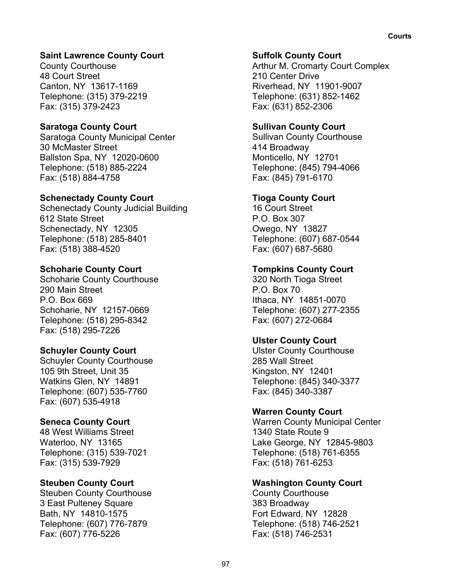## **Saint Lawrence County Court**

County Courthouse 48 Court Street Canton, NY 13617-1169 Telephone: (315) 379-2219 Fax: (315) 379-2423

## **Saratoga County Court**

Saratoga County Municipal Center 30 McMaster Street Ballston Spa, NY 12020-0600 Telephone: (518) 885-2224 Fax: (518) 884-4758

## **Schenectady County Court**

Schenectady County Judicial Building 612 State Street Schenectady, NY 12305 Telephone: (518) 285-8401 Fax: (518) 388-4520

## **Schoharie County Court**

Schoharie County Courthouse 290 Main Street P.O. Box 669 Schoharie, NY 12157-0669 Telephone: (518) 295-8342 Fax: (518) 295-7226

## **Schuyler County Court**

Schuyler County Courthouse 105 9th Street, Unit 35 Watkins Glen, NY 14891 Telephone: (607) 535-7760 Fax: (607) 535-4918

## **Seneca County Court**

48 West Williams Street Waterloo, NY 13165 Telephone: (315) 539-7021 Fax: (315) 539-7929

## **Steuben County Court**

Steuben County Courthouse 3 East Pulteney Square Bath, NY 14810-1575 Telephone: (607) 776-7879 Fax: (607) 776-5226

## **Suffolk County Court**

Arthur M. Cromarty Court Complex 210 Center Drive Riverhead, NY 11901-9007 Telephone: (631) 852-1462 Fax: (631) 852-2306

## **Sullivan County Court**

Sullivan County Courthouse 414 Broadway Monticello, NY 12701 Telephone: (845) 794-4066 Fax: (845) 791-6170

## **Tioga County Court**

16 Court Street P.O. Box 307 Owego, NY 13827 Telephone: (607) 687-0544 Fax: (607) 687-5680

## **Tompkins County Court**

320 North Tioga Street  $P$   $O$  Box 70 Ithaca, NY 14851-0070 Telephone: (607) 277-2355 Fax: (607) 272-0684

## **Ulster County Court**

Ulster County Courthouse 285 Wall Street Kingston, NY 12401 Telephone: (845) 340-3377 Fax: (845) 340-3387

## **Warren County Court**

Warren County Municipal Center 1340 State Route 9 Lake George, NY 12845-9803 Telephone: (518) 761-6355 Fax: (518) 761-6253

## **Washington County Court**

County Courthouse 383 Broadway Fort Edward, NY 12828 Telephone: (518) 746-2521 Fax: (518) 746-2531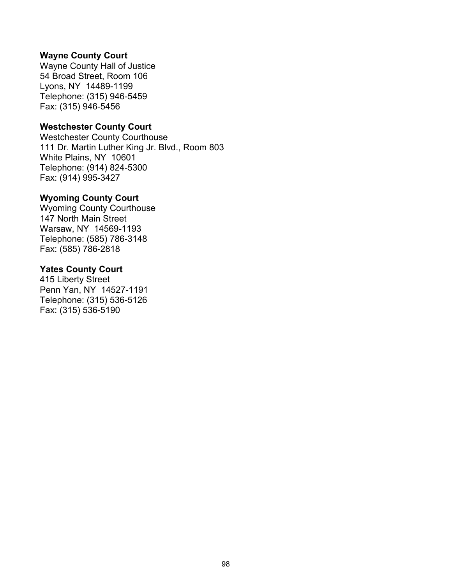#### **Wayne County Court**

Wayne County Hall of Justice 54 Broad Street, Room 106 Lyons, NY 14489-1199 Telephone: (315) 946-5459 Fax: (315) 946-5456

#### **Westchester County Court**

Westchester County Courthouse 111 Dr. Martin Luther King Jr. Blvd., Room 803 White Plains, NY 10601 Telephone: (914) 824-5300 Fax: (914) 995-3427

#### **Wyoming County Court**

Wyoming County Courthouse 147 North Main Street Warsaw, NY 14569-1193 Telephone: (585) 786-3148 Fax: (585) 786-2818

#### **Yates County Court**

415 Liberty Street Penn Yan, NY 14527-1191 Telephone: (315) 536-5126 Fax: (315) 536-5190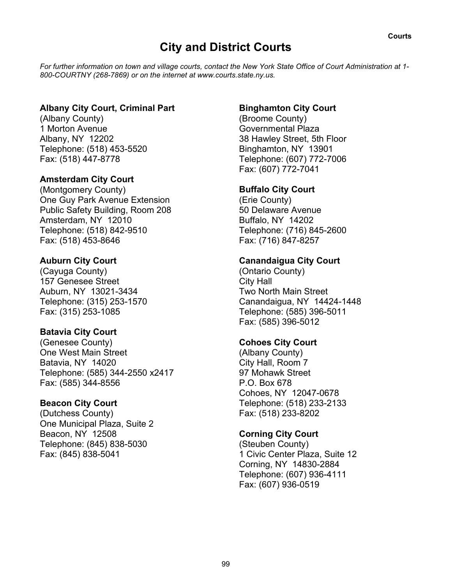# **City and District Courts**

*For further information on town and village courts, contact the New York State Office of Court Administration at 1- 800-COURTNY (268-7869) or on the internet at www.courts.state.ny.us.*

## **Albany City Court, Criminal Part**

(Albany County) 1 Morton Avenue Albany, NY 12202 Telephone: (518) 453-5520 Fax: (518) 447-8778

## **Amsterdam City Court**

(Montgomery County) One Guy Park Avenue Extension Public Safety Building, Room 208 Amsterdam, NY 12010 Telephone: (518) 842-9510 Fax: (518) 453-8646

## **Auburn City Court**

(Cayuga County) 157 Genesee Street Auburn, NY 13021-3434 Telephone: (315) 253-1570 Fax: (315) 253-1085

## **Batavia City Court**

(Genesee County) One West Main Street Batavia, NY 14020 Telephone: (585) 344-2550 x2417 Fax: (585) 344-8556

## **Beacon City Court**

(Dutchess County) One Municipal Plaza, Suite 2 Beacon, NY 12508 Telephone: (845) 838-5030 Fax: (845) 838-5041

## **Binghamton City Court**

(Broome County) Governmental Plaza 38 Hawley Street, 5th Floor Binghamton, NY 13901 Telephone: (607) 772-7006 Fax: (607) 772-7041

## **Buffalo City Court**

(Erie County) 50 Delaware Avenue Buffalo, NY 14202 Telephone: (716) 845-2600 Fax: (716) 847-8257

## **Canandaigua City Court**

(Ontario County) City Hall Two North Main Street Canandaigua, NY 14424-1448 Telephone: (585) 396-5011 Fax: (585) 396-5012

## **Cohoes City Court**

(Albany County) City Hall, Room 7 97 Mohawk Street P.O. Box 678 Cohoes, NY 12047-0678 Telephone: (518) 233-2133 Fax: (518) 233-8202

## **Corning City Court**

(Steuben County) 1 Civic Center Plaza, Suite 12 Corning, NY 14830-2884 Telephone: (607) 936-4111 Fax: (607) 936-0519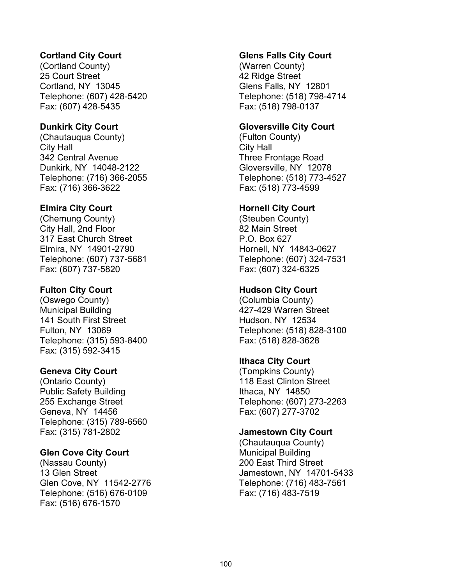## **Cortland City Court**

(Cortland County) 25 Court Street Cortland, NY 13045 Telephone: (607) 428-5420 Fax: (607) 428-5435

#### **Dunkirk City Court**

(Chautauqua County) City Hall 342 Central Avenue Dunkirk, NY 14048-2122 Telephone: (716) 366-2055 Fax: (716) 366-3622

#### **Elmira City Court**

(Chemung County) City Hall, 2nd Floor 317 East Church Street Elmira, NY 14901-2790 Telephone: (607) 737-5681 Fax: (607) 737-5820

#### **Fulton City Court**

(Oswego County) Municipal Building 141 South First Street Fulton, NY 13069 Telephone: (315) 593-8400 Fax: (315) 592-3415

#### **Geneva City Court**

(Ontario County) Public Safety Building 255 Exchange Street Geneva, NY 14456 Telephone: (315) 789-6560 Fax: (315) 781-2802

#### **Glen Cove City Court**

(Nassau County) 13 Glen Street Glen Cove, NY 11542-2776 Telephone: (516) 676-0109 Fax: (516) 676-1570

#### **Glens Falls City Court**

(Warren County) 42 Ridge Street Glens Falls, NY 12801 Telephone: (518) 798-4714 Fax: (518) 798-0137

#### **Gloversville City Court**

(Fulton County) City Hall Three Frontage Road Gloversville, NY 12078 Telephone: (518) 773-4527 Fax: (518) 773-4599

#### **Hornell City Court**

(Steuben County) 82 Main Street P.O. Box 627 Hornell, NY 14843-0627 Telephone: (607) 324-7531 Fax: (607) 324-6325

#### **Hudson City Court**

(Columbia County) 427-429 Warren Street Hudson, NY 12534 Telephone: (518) 828-3100 Fax: (518) 828-3628

#### **Ithaca City Court**

(Tompkins County) 118 East Clinton Street Ithaca, NY 14850 Telephone: (607) 273-2263 Fax: (607) 277-3702

#### **Jamestown City Court**

(Chautauqua County) Municipal Building 200 East Third Street Jamestown, NY 14701-5433 Telephone: (716) 483-7561 Fax: (716) 483-7519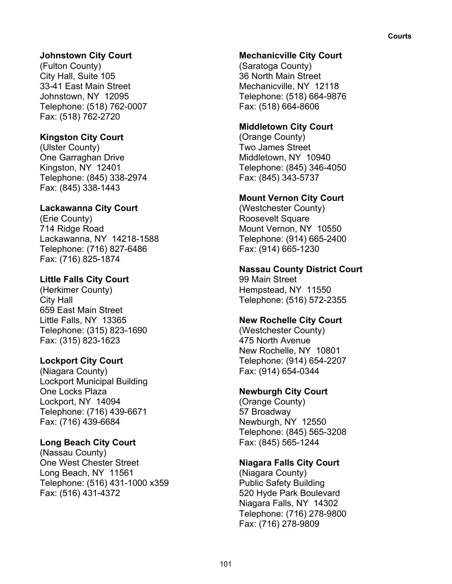## **Johnstown City Court**

(Fulton County) City Hall, Suite 105 33-41 East Main Street Johnstown, NY 12095 Telephone: (518) 762-0007 Fax: (518) 762-2720

## **Kingston City Court**

(Ulster County) One Garraghan Drive Kingston, NY 12401 Telephone: (845) 338-2974 Fax: (845) 338-1443

#### **Lackawanna City Court**

(Erie County) 714 Ridge Road Lackawanna, NY 14218-1588 Telephone: (716) 827-6486 Fax: (716) 825-1874

#### **Little Falls City Court**

(Herkimer County) City Hall 659 East Main Street Little Falls, NY 13365 Telephone: (315) 823-1690 Fax: (315) 823-1623

#### **Lockport City Court**

(Niagara County) Lockport Municipal Building One Locks Plaza Lockport, NY 14094 Telephone: (716) 439-6671 Fax: (716) 439-6684

#### **Long Beach City Court**

(Nassau County) One West Chester Street Long Beach, NY 11561 Telephone: (516) 431-1000 x359 Fax: (516) 431-4372

#### **Mechanicville City Court**

(Saratoga County) 36 North Main Street Mechanicville, NY 12118 Telephone: (518) 664-9876 Fax: (518) 664-8606

#### **Middletown City Court**

(Orange County) Two James Street Middletown, NY 10940 Telephone: (845) 346-4050 Fax: (845) 343-5737

#### **Mount Vernon City Court**

(Westchester County) Roosevelt Square Mount Vernon, NY 10550 Telephone: (914) 665-2400 Fax: (914) 665-1230

#### **Nassau County District Court**

99 Main Street Hempstead, NY 11550 Telephone: (516) 572-2355

#### **New Rochelle City Court**

(Westchester County) 475 North Avenue New Rochelle, NY 10801 Telephone: (914) 654-2207 Fax: (914) 654-0344

#### **Newburgh City Court**

(Orange County) 57 Broadway Newburgh, NY 12550 Telephone: (845) 565-3208 Fax: (845) 565-1244

## **Niagara Falls City Court**

(Niagara County) Public Safety Building 520 Hyde Park Boulevard Niagara Falls, NY 14302 Telephone: (716) 278-9800 Fax: (716) 278-9809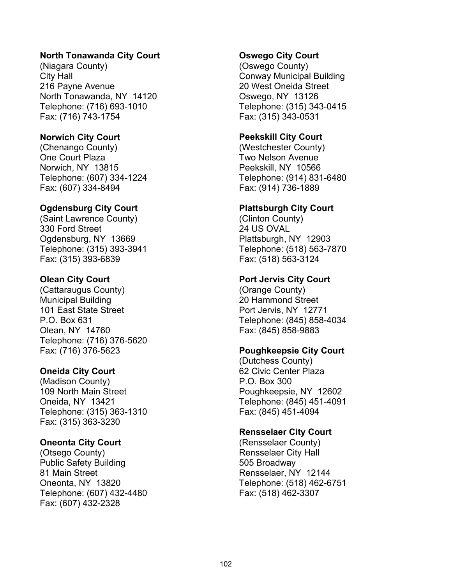#### **North Tonawanda City Court**

(Niagara County) City Hall 216 Payne Avenue North Tonawanda, NY 14120 Telephone: (716) 693-1010 Fax: (716) 743-1754

#### **Norwich City Court**

(Chenango County) One Court Plaza Norwich, NY 13815 Telephone: (607) 334-1224 Fax: (607) 334-8494

#### **Ogdensburg City Court**

(Saint Lawrence County) 330 Ford Street Ogdensburg, NY 13669 Telephone: (315) 393-3941 Fax: (315) 393-6839

#### **Olean City Court**

(Cattaraugus County) Municipal Building 101 East State Street P.O. Box 631 Olean, NY 14760 Telephone: (716) 376-5620 Fax: (716) 376-5623

#### **Oneida City Court**

(Madison County) 109 North Main Street Oneida, NY 13421 Telephone: (315) 363-1310 Fax: (315) 363-3230

#### **Oneonta City Court**

(Otsego County) Public Safety Building 81 Main Street Oneonta, NY 13820 Telephone: (607) 432-4480 Fax: (607) 432-2328

#### **Oswego City Court**

(Oswego County) Conway Municipal Building 20 West Oneida Street Oswego, NY 13126 Telephone: (315) 343-0415 Fax: (315) 343-0531

#### **Peekskill City Court**

(Westchester County) Two Nelson Avenue Peekskill, NY 10566 Telephone: (914) 831-6480 Fax: (914) 736-1889

#### **Plattsburgh City Court**

(Clinton County) 24 US OVAL Plattsburgh, NY 12903 Telephone: (518) 563-7870 Fax: (518) 563-3124

#### **Port Jervis City Court**

(Orange County) 20 Hammond Street Port Jervis, NY 12771 Telephone: (845) 858-4034 Fax: (845) 858-9883

#### **Poughkeepsie City Court**

(Dutchess County) 62 Civic Center Plaza P.O. Box 300 Poughkeepsie, NY 12602 Telephone: (845) 451-4091 Fax: (845) 451-4094

#### **Rensselaer City Court**

(Rensselaer County) Rensselaer City Hall 505 Broadway Rensselaer, NY 12144 Telephone: (518) 462-6751 Fax: (518) 462-3307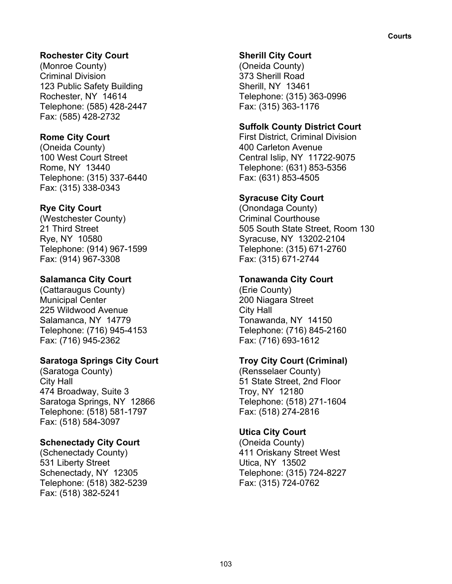## **Rochester City Court**

(Monroe County) Criminal Division 123 Public Safety Building Rochester, NY 14614 Telephone: (585) 428-2447 Fax: (585) 428-2732

## **Rome City Court**

(Oneida County) 100 West Court Street Rome, NY 13440 Telephone: (315) 337-6440 Fax: (315) 338-0343

## **Rye City Court**

(Westchester County) 21 Third Street Rye, NY 10580 Telephone: (914) 967-1599 Fax: (914) 967-3308

## **Salamanca City Court**

(Cattaraugus County) Municipal Center 225 Wildwood Avenue Salamanca, NY 14779 Telephone: (716) 945-4153 Fax: (716) 945-2362

## **Saratoga Springs City Court**

(Saratoga County) City Hall 474 Broadway, Suite 3 Saratoga Springs, NY 12866 Telephone: (518) 581-1797 Fax: (518) 584-3097

## **Schenectady City Court**

(Schenectady County) 531 Liberty Street Schenectady, NY 12305 Telephone: (518) 382-5239 Fax: (518) 382-5241

## **Sherill City Court**

(Oneida County) 373 Sherill Road Sherill, NY 13461 Telephone: (315) 363-0996 Fax: (315) 363-1176

## **Suffolk County District Court**

First District, Criminal Division 400 Carleton Avenue Central Islip, NY 11722-9075 Telephone: (631) 853-5356 Fax: (631) 853-4505

## **Syracuse City Court**

(Onondaga County) Criminal Courthouse 505 South State Street, Room 130 Syracuse, NY 13202-2104 Telephone: (315) 671-2760 Fax: (315) 671-2744

## **Tonawanda City Court**

(Erie County) 200 Niagara Street City Hall Tonawanda, NY 14150 Telephone: (716) 845-2160 Fax: (716) 693-1612

## **Troy City Court (Criminal)**

(Rensselaer County) 51 State Street, 2nd Floor Troy, NY 12180 Telephone: (518) 271-1604 Fax: (518) 274-2816

## **Utica City Court**

(Oneida County) 411 Oriskany Street West Utica, NY 13502 Telephone: (315) 724-8227 Fax: (315) 724-0762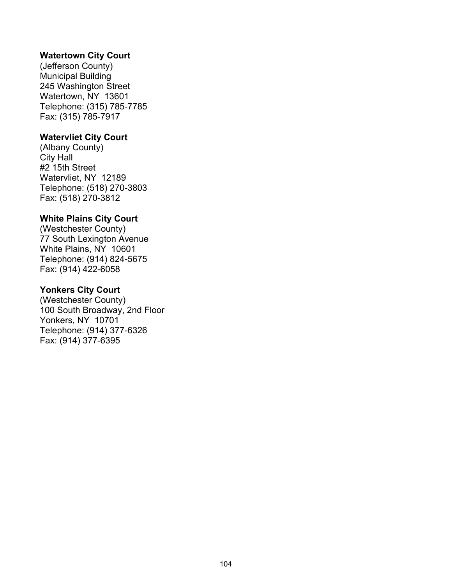#### **Watertown City Court**

(Jefferson County) Municipal Building 245 Washington Street Watertown, NY 13601 Telephone: (315) 785-7785 Fax: (315) 785-7917

#### **Watervliet City Court**

(Albany County) City Hall #2 15th Street Watervliet, NY 12189 Telephone: (518) 270-3803 Fax: (518) 270-3812

#### **White Plains City Court**

(Westchester County) 77 South Lexington Avenue White Plains, NY 10601 Telephone: (914) 824-5675 Fax: (914) 422-6058

#### **Yonkers City Court**

(Westchester County) 100 South Broadway, 2nd Floor Yonkers, NY 10701 Telephone: (914) 377-6326 Fax: (914) 377-6395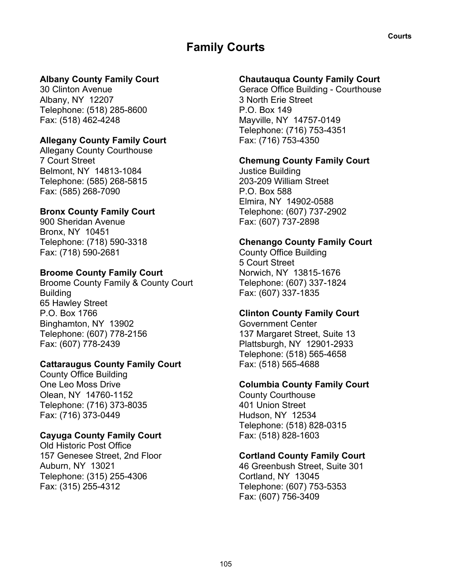# **Family Courts**

## **Albany County Family Court**

30 Clinton Avenue Albany, NY 12207 Telephone: (518) 285-8600 Fax: (518) 462-4248

#### **Allegany County Family Court**

Allegany County Courthouse 7 Court Street Belmont, NY 14813-1084 Telephone: (585) 268-5815 Fax: (585) 268-7090

#### **Bronx County Family Court**

900 Sheridan Avenue Bronx, NY 10451 Telephone: (718) 590-3318 Fax: (718) 590-2681

#### **Broome County Family Court**

Broome County Family & County Court **Building** 65 Hawley Street P.O. Box 1766 Binghamton, NY 13902 Telephone: (607) 778-2156 Fax: (607) 778-2439

#### **Cattaraugus County Family Court**

County Office Building One Leo Moss Drive Olean, NY 14760-1152 Telephone: (716) 373-8035 Fax: (716) 373-0449

## **Cayuga County Family Court**

Old Historic Post Office 157 Genesee Street, 2nd Floor Auburn, NY 13021 Telephone: (315) 255-4306 Fax: (315) 255-4312

## **Chautauqua County Family Court**

Gerace Office Building - Courthouse 3 North Erie Street P.O. Box 149 Mayville, NY 14757-0149 Telephone: (716) 753-4351 Fax: (716) 753-4350

#### **Chemung County Family Court**

Justice Building 203-209 William Street P.O. Box 588 Elmira, NY 14902-0588 Telephone: (607) 737-2902 Fax: (607) 737-2898

#### **Chenango County Family Court**

County Office Building 5 Court Street Norwich, NY 13815-1676 Telephone: (607) 337-1824 Fax: (607) 337-1835

#### **Clinton County Family Court**

Government Center 137 Margaret Street, Suite 13 Plattsburgh, NY 12901-2933 Telephone: (518) 565-4658 Fax: (518) 565-4688

## **Columbia County Family Court**

County Courthouse 401 Union Street Hudson, NY 12534 Telephone: (518) 828-0315 Fax: (518) 828-1603

## **Cortland County Family Court**

46 Greenbush Street, Suite 301 Cortland, NY 13045 Telephone: (607) 753-5353 Fax: (607) 756-3409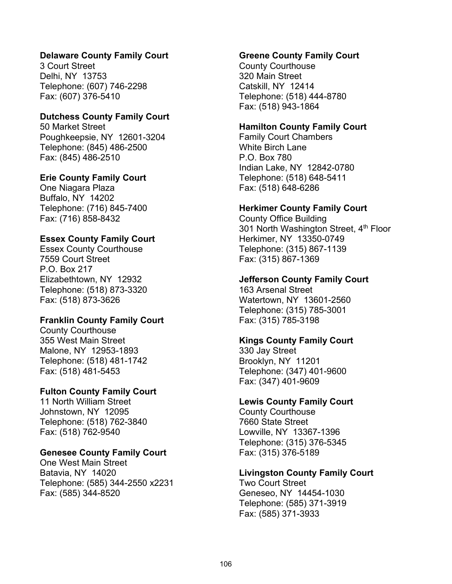#### **Delaware County Family Court**

3 Court Street Delhi, NY 13753 Telephone: (607) 746-2298 Fax: (607) 376-5410

#### **Dutchess County Family Court**

50 Market Street Poughkeepsie, NY 12601-3204 Telephone: (845) 486-2500 Fax: (845) 486-2510

#### **Erie County Family Court**

One Niagara Plaza Buffalo, NY 14202 Telephone: (716) 845-7400 Fax: (716) 858-8432

#### **Essex County Family Court**

Essex County Courthouse 7559 Court Street P.O. Box 217 Elizabethtown, NY 12932 Telephone: (518) 873-3320 Fax: (518) 873-3626

#### **Franklin County Family Court**

County Courthouse 355 West Main Street Malone, NY 12953-1893 Telephone: (518) 481-1742 Fax: (518) 481-5453

#### **Fulton County Family Court**

11 North William Street Johnstown, NY 12095 Telephone: (518) 762-3840 Fax: (518) 762-9540

#### **Genesee County Family Court**

One West Main Street Batavia, NY 14020 Telephone: (585) 344-2550 x2231 Fax: (585) 344-8520

#### **Greene County Family Court**

County Courthouse 320 Main Street Catskill, NY 12414 Telephone: (518) 444-8780 Fax: (518) 943-1864

#### **Hamilton County Family Court**

Family Court Chambers White Birch Lane P.O. Box 780 Indian Lake, NY 12842-0780 Telephone: (518) 648-5411 Fax: (518) 648-6286

#### **Herkimer County Family Court**

County Office Building 301 North Washington Street, 4<sup>th</sup> Floor Herkimer, NY 13350-0749 Telephone: (315) 867-1139 Fax: (315) 867-1369

#### **Jefferson County Family Court**

163 Arsenal Street Watertown, NY 13601-2560 Telephone: (315) 785-3001 Fax: (315) 785-3198

#### **Kings County Family Court**

330 Jay Street Brooklyn, NY 11201 Telephone: (347) 401-9600 Fax: (347) 401-9609

#### **Lewis County Family Court**

County Courthouse 7660 State Street Lowville, NY 13367-1396 Telephone: (315) 376-5345 Fax: (315) 376-5189

#### **Livingston County Family Court**

Two Court Street Geneseo, NY 14454-1030 Telephone: (585) 371-3919 Fax: (585) 371-3933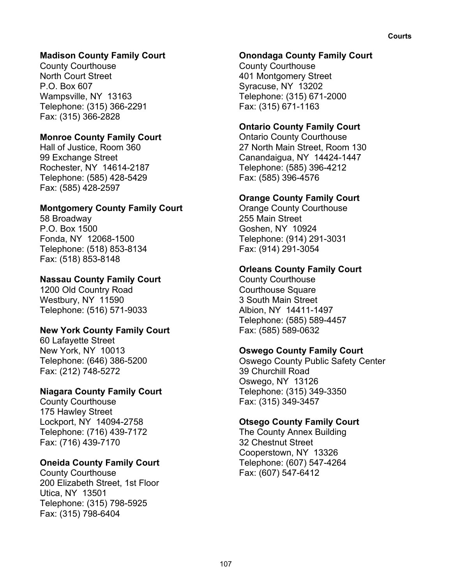# **Madison County Family Court**

County Courthouse North Court Street P.O. Box 607 Wampsville, NY 13163 Telephone: (315) 366-2291 Fax: (315) 366-2828

#### **Monroe County Family Court**

Hall of Justice, Room 360 99 Exchange Street Rochester, NY 14614-2187 Telephone: (585) 428-5429 Fax: (585) 428-2597

#### **Montgomery County Family Court**

58 Broadway P.O. Box 1500 Fonda, NY 12068-1500 Telephone: (518) 853-8134 Fax: (518) 853-8148

#### **Nassau County Family Court**

1200 Old Country Road Westbury, NY 11590 Telephone: (516) 571-9033

#### **New York County Family Court**

60 Lafayette Street New York, NY 10013 Telephone: (646) 386-5200 Fax: (212) 748-5272

#### **Niagara County Family Court**

County Courthouse 175 Hawley Street Lockport, NY 14094-2758 Telephone: (716) 439-7172 Fax: (716) 439-7170

#### **Oneida County Family Court**

County Courthouse 200 Elizabeth Street, 1st Floor Utica, NY 13501 Telephone: (315) 798-5925 Fax: (315) 798-6404

#### **Onondaga County Family Court**

County Courthouse 401 Montgomery Street Syracuse, NY 13202 Telephone: (315) 671-2000 Fax: (315) 671-1163

#### **Ontario County Family Court**

Ontario County Courthouse 27 North Main Street, Room 130 Canandaigua, NY 14424-1447 Telephone: (585) 396-4212 Fax: (585) 396-4576

#### **Orange County Family Court**

Orange County Courthouse 255 Main Street Goshen, NY 10924 Telephone: (914) 291-3031 Fax: (914) 291-3054

#### **Orleans County Family Court**

County Courthouse Courthouse Square 3 South Main Street Albion, NY 14411-1497 Telephone: (585) 589-4457 Fax: (585) 589-0632

#### **Oswego County Family Court**

Oswego County Public Safety Center 39 Churchill Road Oswego, NY 13126 Telephone: (315) 349-3350 Fax: (315) 349-3457

#### **Otsego County Family Court**

The County Annex Building 32 Chestnut Street Cooperstown, NY 13326 Telephone: (607) 547-4264 Fax: (607) 547-6412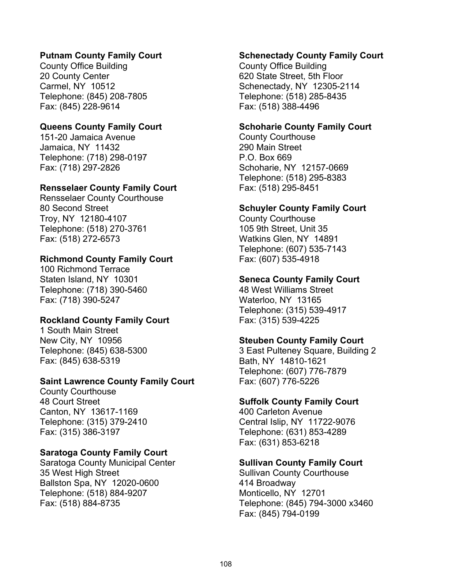#### **Putnam County Family Court**

County Office Building 20 County Center Carmel, NY 10512 Telephone: (845) 208-7805 Fax: (845) 228-9614

#### **Queens County Family Court**

151-20 Jamaica Avenue Jamaica, NY 11432 Telephone: (718) 298-0197 Fax: (718) 297-2826

#### **Rensselaer County Family Court**

Rensselaer County Courthouse 80 Second Street Troy, NY 12180-4107 Telephone: (518) 270-3761 Fax: (518) 272-6573

#### **Richmond County Family Court**

100 Richmond Terrace Staten Island, NY 10301 Telephone: (718) 390-5460 Fax: (718) 390-5247

#### **Rockland County Family Court**

1 South Main Street New City, NY 10956 Telephone: (845) 638-5300 Fax: (845) 638-5319

#### **Saint Lawrence County Family Court**

County Courthouse 48 Court Street Canton, NY 13617-1169 Telephone: (315) 379-2410 Fax: (315) 386-3197

#### **Saratoga County Family Court**

Saratoga County Municipal Center 35 West High Street Ballston Spa, NY 12020-0600 Telephone: (518) 884-9207 Fax: (518) 884-8735

#### **Schenectady County Family Court**

County Office Building 620 State Street, 5th Floor Schenectady, NY 12305-2114 Telephone: (518) 285-8435 Fax: (518) 388-4496

#### **Schoharie County Family Court**

County Courthouse 290 Main Street P.O. Box 669 Schoharie, NY 12157-0669 Telephone: (518) 295-8383 Fax: (518) 295-8451

#### **Schuyler County Family Court**

County Courthouse 105 9th Street, Unit 35 Watkins Glen, NY 14891 Telephone: (607) 535-7143 Fax: (607) 535-4918

#### **Seneca County Family Court**

48 West Williams Street Waterloo, NY 13165 Telephone: (315) 539-4917 Fax: (315) 539-4225

#### **Steuben County Family Court**

3 East Pulteney Square, Building 2 Bath, NY 14810-1621 Telephone: (607) 776-7879 Fax: (607) 776-5226

#### **Suffolk County Family Court**

400 Carleton Avenue Central Islip, NY 11722-9076 Telephone: (631) 853-4289 Fax: (631) 853-6218

#### **Sullivan County Family Court**

Sullivan County Courthouse 414 Broadway Monticello, NY 12701 Telephone: (845) 794-3000 x3460 Fax: (845) 794-0199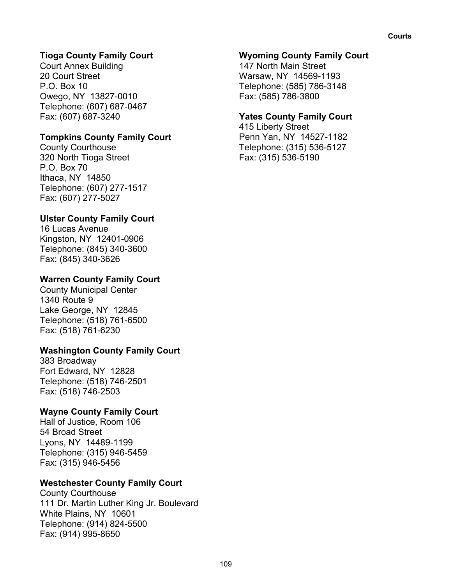# **Tioga County Family Court**

Court Annex Building 20 Court Street P.O. Box 10 Owego, NY 13827-0010 Telephone: (607) 687-0467 Fax: (607) 687-3240

# **Tompkins County Family Court**

County Courthouse 320 North Tioga Street P.O. Box 70 Ithaca, NY 14850 Telephone: (607) 277-1517 Fax: (607) 277-5027

# **Ulster County Family Court**

16 Lucas Avenue Kingston, NY 12401-0906 Telephone: (845) 340-3600 Fax: (845) 340-3626

# **Warren County Family Court**

County Municipal Center 1340 Route 9 Lake George, NY 12845 Telephone: (518) 761-6500 Fax: (518) 761-6230

#### **Washington County Family Court**

383 Broadway Fort Edward, NY 12828 Telephone: (518) 746-2501 Fax: (518) 746-2503

# **Wayne County Family Court**

Hall of Justice, Room 106 54 Broad Street Lyons, NY 14489-1199 Telephone: (315) 946-5459 Fax: (315) 946-5456

# **Westchester County Family Court**

County Courthouse 111 Dr. Martin Luther King Jr. Boulevard White Plains, NY 10601 Telephone: (914) 824-5500 Fax: (914) 995-8650

#### **Wyoming County Family Court**

147 North Main Street Warsaw, NY 14569-1193 Telephone: (585) 786-3148 Fax: (585) 786-3800

#### **Yates County Family Court**

415 Liberty Street Penn Yan, NY 14527-1182 Telephone: (315) 536-5127 Fax: (315) 536-5190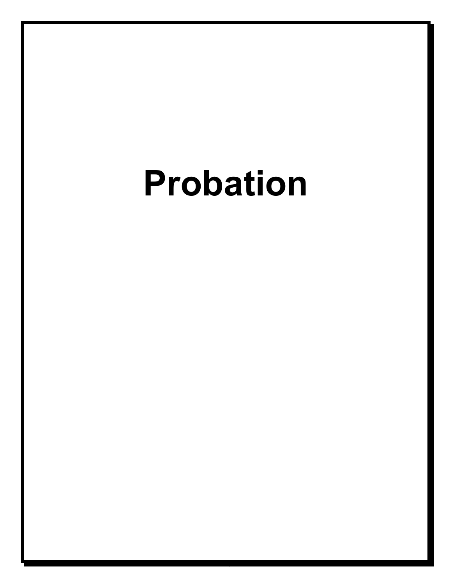# **Probation**

110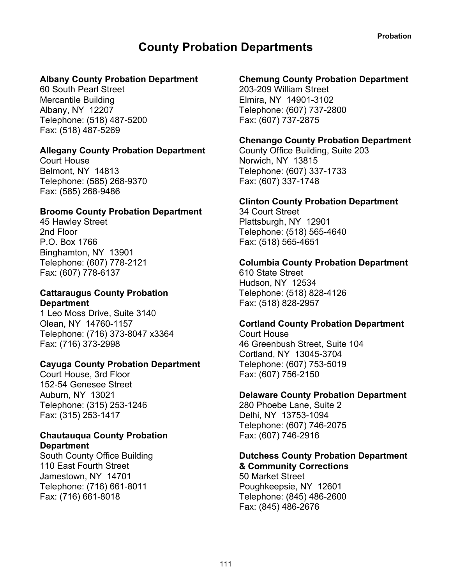# **County Probation Departments**

#### **Albany County Probation Department**

60 South Pearl Street Mercantile Building Albany, NY 12207 Telephone: (518) 487-5200 Fax: (518) 487-5269

#### **Allegany County Probation Department**

Court House Belmont, NY 14813 Telephone: (585) 268-9370 Fax: (585) 268-9486

#### **Broome County Probation Department**

45 Hawley Street 2nd Floor P.O. Box 1766 Binghamton, NY 13901 Telephone: (607) 778-2121 Fax: (607) 778-6137

#### **Cattaraugus County Probation Department**

1 Leo Moss Drive, Suite 3140 Olean, NY 14760-1157 Telephone: (716) 373-8047 x3364 Fax: (716) 373-2998

#### **Cayuga County Probation Department**

Court House, 3rd Floor 152-54 Genesee Street Auburn, NY 13021 Telephone: (315) 253-1246 Fax: (315) 253-1417

#### **Chautauqua County Probation Department**

South County Office Building 110 East Fourth Street Jamestown, NY 14701 Telephone: (716) 661-8011 Fax: (716) 661-8018

# **Chemung County Probation Department**

203-209 William Street Elmira, NY 14901-3102 Telephone: (607) 737-2800 Fax: (607) 737-2875

#### **Chenango County Probation Department**

County Office Building, Suite 203 Norwich, NY 13815 Telephone: (607) 337-1733 Fax: (607) 337-1748

#### **Clinton County Probation Department**

34 Court Street Plattsburgh, NY 12901 Telephone: (518) 565-4640 Fax: (518) 565-4651

#### **Columbia County Probation Department**

610 State Street Hudson, NY 12534 Telephone: (518) 828-4126 Fax: (518) 828-2957

# **Cortland County Probation Department**

Court House 46 Greenbush Street, Suite 104 Cortland, NY 13045-3704 Telephone: (607) 753-5019 Fax: (607) 756-2150

#### **Delaware County Probation Department**

280 Phoebe Lane, Suite 2 Delhi, NY 13753-1094 Telephone: (607) 746-2075 Fax: (607) 746-2916

#### **Dutchess County Probation Department & Community Corrections**

50 Market Street Poughkeepsie, NY 12601 Telephone: (845) 486-2600 Fax: (845) 486-2676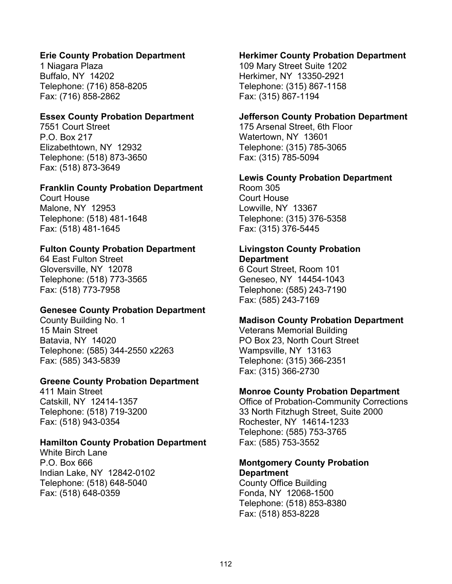#### **Erie County Probation Department**

1 Niagara Plaza Buffalo, NY 14202 Telephone: (716) 858-8205 Fax: (716) 858-2862

#### **Essex County Probation Department**

7551 Court Street P.O. Box 217 Elizabethtown, NY 12932 Telephone: (518) 873-3650 Fax: (518) 873-3649

#### **Franklin County Probation Department**

Court House Malone, NY 12953 Telephone: (518) 481-1648 Fax: (518) 481-1645

#### **Fulton County Probation Department**

64 East Fulton Street Gloversville, NY 12078 Telephone: (518) 773-3565 Fax: (518) 773-7958

#### **Genesee County Probation Department**

County Building No. 1 15 Main Street Batavia, NY 14020 Telephone: (585) 344-2550 x2263 Fax: (585) 343-5839

#### **Greene County Probation Department**

411 Main Street Catskill, NY 12414-1357 Telephone: (518) 719-3200 Fax: (518) 943-0354

#### **Hamilton County Probation Department**

White Birch Lane P.O. Box 666 Indian Lake, NY 12842-0102 Telephone: (518) 648-5040 Fax: (518) 648-0359

#### **Herkimer County Probation Department**

109 Mary Street Suite 1202 Herkimer, NY 13350-2921 Telephone: (315) 867-1158 Fax: (315) 867-1194

#### **Jefferson County Probation Department**

175 Arsenal Street, 6th Floor Watertown, NY 13601 Telephone: (315) 785-3065 Fax: (315) 785-5094

#### **Lewis County Probation Department**

Room 305 Court House Lowville, NY 13367 Telephone: (315) 376-5358 Fax: (315) 376-5445

#### **Livingston County Probation Department**

6 Court Street, Room 101 Geneseo, NY 14454-1043 Telephone: (585) 243-7190 Fax: (585) 243-7169

#### **Madison County Probation Department**

Veterans Memorial Building PO Box 23, North Court Street Wampsville, NY 13163 Telephone: (315) 366-2351 Fax: (315) 366-2730

#### **Monroe County Probation Department**

Office of Probation-Community Corrections 33 North Fitzhugh Street, Suite 2000 Rochester, NY 14614-1233 Telephone: (585) 753-3765 Fax: (585) 753-3552

#### **Montgomery County Probation Department**

County Office Building Fonda, NY 12068-1500 Telephone: (518) 853-8380 Fax: (518) 853-8228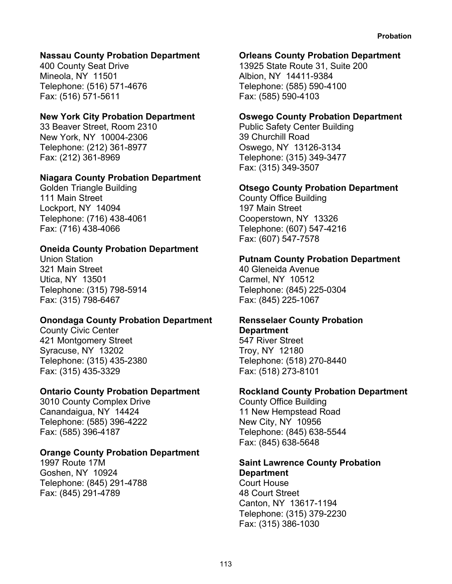#### **Nassau County Probation Department**

400 County Seat Drive Mineola, NY 11501 Telephone: (516) 571-4676 Fax: (516) 571-5611

#### **New York City Probation Department**

33 Beaver Street, Room 2310 New York, NY 10004-2306 Telephone: (212) 361-8977 Fax: (212) 361-8969

#### **Niagara County Probation Department**

Golden Triangle Building 111 Main Street Lockport, NY 14094 Telephone: (716) 438-4061 Fax: (716) 438-4066

#### **Oneida County Probation Department**

Union Station 321 Main Street Utica, NY 13501 Telephone: (315) 798-5914 Fax: (315) 798-6467

#### **Onondaga County Probation Department**

County Civic Center 421 Montgomery Street Syracuse, NY 13202 Telephone: (315) 435-2380 Fax: (315) 435-3329

#### **Ontario County Probation Department**

3010 County Complex Drive Canandaigua, NY 14424 Telephone: (585) 396-4222 Fax: (585) 396-4187

#### **Orange County Probation Department**

1997 Route 17M Goshen, NY 10924 Telephone: (845) 291-4788 Fax: (845) 291-4789

#### **Orleans County Probation Department**

13925 State Route 31, Suite 200 Albion, NY 14411-9384 Telephone: (585) 590-4100 Fax: (585) 590-4103

#### **Oswego County Probation Department**

Public Safety Center Building 39 Churchill Road Oswego, NY 13126-3134 Telephone: (315) 349-3477 Fax: (315) 349-3507

#### **Otsego County Probation Department**

County Office Building 197 Main Street Cooperstown, NY 13326 Telephone: (607) 547-4216 Fax: (607) 547-7578

#### **Putnam County Probation Department**

40 Gleneida Avenue Carmel, NY 10512 Telephone: (845) 225-0304 Fax: (845) 225-1067

#### **Rensselaer County Probation Department**

547 River Street Troy, NY 12180 Telephone: (518) 270-8440 Fax: (518) 273-8101

#### **Rockland County Probation Department**

County Office Building 11 New Hempstead Road New City, NY 10956 Telephone: (845) 638-5544 Fax: (845) 638-5648

# **Saint Lawrence County Probation**

**Department** Court House 48 Court Street Canton, NY 13617-1194 Telephone: (315) 379-2230 Fax: (315) 386-1030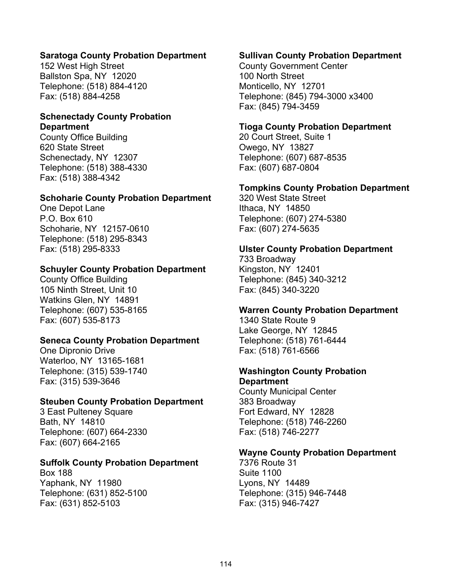#### **Saratoga County Probation Department**

152 West High Street Ballston Spa, NY 12020 Telephone: (518) 884-4120 Fax: (518) 884-4258

#### **Schenectady County Probation Department**

County Office Building 620 State Street Schenectady, NY 12307 Telephone: (518) 388-4330 Fax: (518) 388-4342

#### **Schoharie County Probation Department**

One Depot Lane P.O. Box 610 Schoharie, NY 12157-0610 Telephone: (518) 295-8343 Fax: (518) 295-8333

#### **Schuyler County Probation Department**

County Office Building 105 Ninth Street, Unit 10 Watkins Glen, NY 14891 Telephone: (607) 535-8165 Fax: (607) 535-8173

#### **Seneca County Probation Department**

One Dipronio Drive Waterloo, NY 13165-1681 Telephone: (315) 539-1740 Fax: (315) 539-3646

#### **Steuben County Probation Department**

3 East Pulteney Square Bath, NY 14810 Telephone: (607) 664-2330 Fax: (607) 664-2165

#### **Suffolk County Probation Department**

Box 188 Yaphank, NY 11980 Telephone: (631) 852-5100 Fax: (631) 852-5103

#### **Sullivan County Probation Department**

County Government Center 100 North Street Monticello, NY 12701 Telephone: (845) 794-3000 x3400 Fax: (845) 794-3459

#### **Tioga County Probation Department**

20 Court Street, Suite 1 Owego, NY 13827 Telephone: (607) 687-8535 Fax: (607) 687-0804

#### **Tompkins County Probation Department**

320 West State Street Ithaca, NY 14850 Telephone: (607) 274-5380 Fax: (607) 274-5635

#### **Ulster County Probation Department**

733 Broadway Kingston, NY 12401 Telephone: (845) 340-3212 Fax: (845) 340-3220

#### **Warren County Probation Department**

1340 State Route 9 Lake George, NY 12845 Telephone: (518) 761-6444 Fax: (518) 761-6566

#### **Washington County Probation Department**

County Municipal Center 383 Broadway Fort Edward, NY 12828 Telephone: (518) 746-2260 Fax: (518) 746-2277

#### **Wayne County Probation Department**

7376 Route 31 Suite 1100 Lyons, NY 14489 Telephone: (315) 946-7448 Fax: (315) 946-7427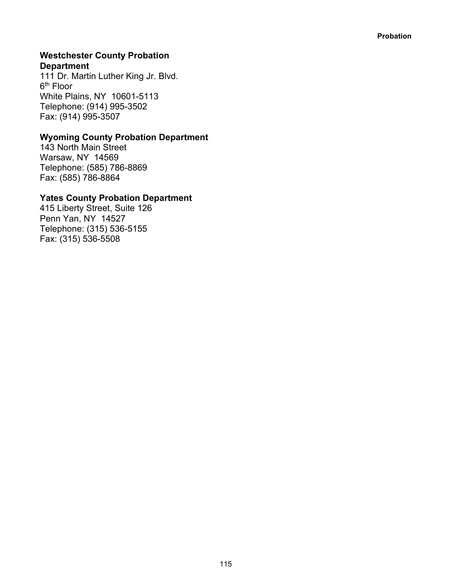#### **Westchester County Probation Department**

111 Dr. Martin Luther King Jr. Blvd. 6th Floor White Plains, NY 10601-5113 Telephone: (914) 995-3502 Fax: (914) 995-3507

# **Wyoming County Probation Department**

143 North Main Street Warsaw, NY 14569 Telephone: (585) 786-8869 Fax: (585) 786-8864

# **Yates County Probation Department**

415 Liberty Street, Suite 126 Penn Yan, NY 14527 Telephone: (315) 536-5155 Fax: (315) 536-5508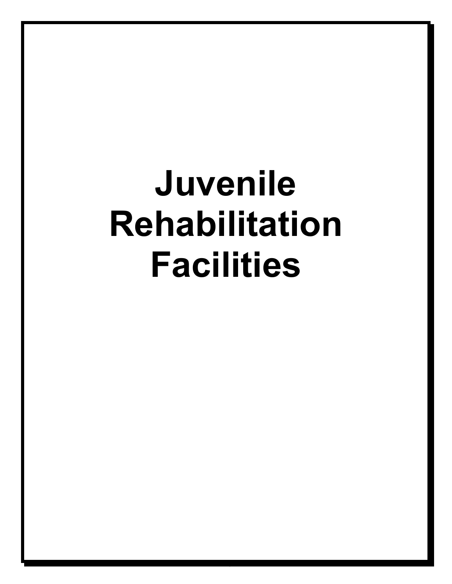# **Juvenile Rehabilitation Facilities**

116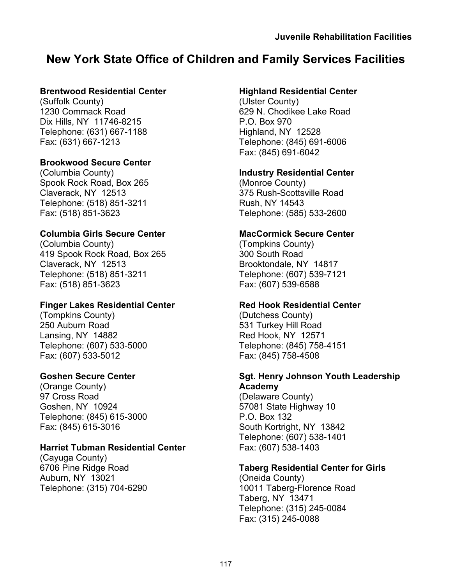# **New York State Office of Children and Family Services Facilities**

# **Brentwood Residential Center**

(Suffolk County) 1230 Commack Road Dix Hills, NY 11746-8215 Telephone: (631) 667-1188 Fax: (631) 667-1213

# **Brookwood Secure Center**

(Columbia County) Spook Rock Road, Box 265 Claverack, NY 12513 Telephone: (518) 851-3211 Fax: (518) 851-3623

# **Columbia Girls Secure Center**

(Columbia County) 419 Spook Rock Road, Box 265 Claverack, NY 12513 Telephone: (518) 851-3211 Fax: (518) 851-3623

# **Finger Lakes Residential Center**

(Tompkins County) 250 Auburn Road Lansing, NY 14882 Telephone: (607) 533-5000 Fax: (607) 533-5012

# **Goshen Secure Center**

(Orange County) 97 Cross Road Goshen, NY 10924 Telephone: (845) 615-3000 Fax: (845) 615-3016

# **Harriet Tubman Residential Center**

(Cayuga County) 6706 Pine Ridge Road Auburn, NY 13021 Telephone: (315) 704-6290

# **Highland Residential Center**

(Ulster County) 629 N. Chodikee Lake Road P.O. Box 970 Highland, NY 12528 Telephone: (845) 691-6006 Fax: (845) 691-6042

# **Industry Residential Center**

(Monroe County) 375 Rush-Scottsville Road Rush, NY 14543 Telephone: (585) 533-2600

# **MacCormick Secure Center**

(Tompkins County) 300 South Road Brooktondale, NY 14817 Telephone: (607) 539-7121 Fax: (607) 539-6588

#### **Red Hook Residential Center**

(Dutchess County) 531 Turkey Hill Road Red Hook, NY 12571 Telephone: (845) 758-4151 Fax: (845) 758-4508

#### **Sgt. Henry Johnson Youth Leadership Academy**

(Delaware County) 57081 State Highway 10 P.O. Box 132 South Kortright, NY 13842 Telephone: (607) 538-1401 Fax: (607) 538-1403

# **Taberg Residential Center for Girls**

(Oneida County) 10011 Taberg-Florence Road Taberg, NY 13471 Telephone: (315) 245-0084 Fax: (315) 245-0088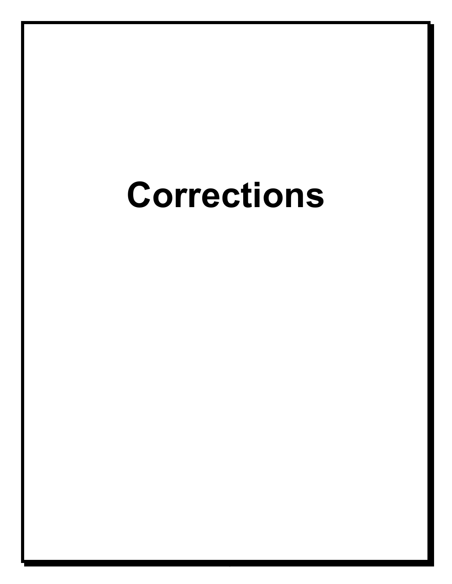# **Corrections**

118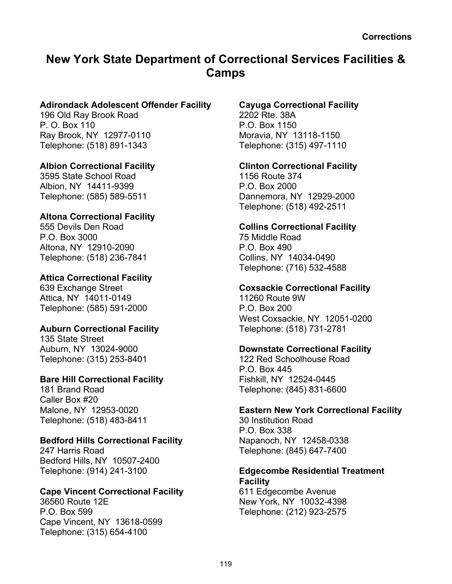# **New York State Department of Correctional Services Facilities & Camps**

### **Adirondack Adolescent Offender Facility**

196 Old Ray Brook Road P. O. Box 110 Ray Brook, NY 12977-0110 Telephone: (518) 891-1343

#### **Albion Correctional Facility**

3595 State School Road Albion, NY 14411-9399 Telephone: (585) 589-5511

# **Altona Correctional Facility**

555 Devils Den Road P.O. Box 3000 Altona, NY 12910-2090 Telephone: (518) 236-7841

# **Attica Correctional Facility**

639 Exchange Street Attica, NY 14011-0149 Telephone: (585) 591-2000

# **Auburn Correctional Facility**

135 State Street Auburn, NY 13024-9000 Telephone: (315) 253-8401

# **Bare Hill Correctional Facility**

181 Brand Road Caller Box #20 Malone, NY 12953-0020 Telephone: (518) 483-8411

# **Bedford Hills Correctional Facility**

247 Harris Road Bedford Hills, NY 10507-2400 Telephone: (914) 241-3100

#### **Cape Vincent Correctional Facility**

36560 Route 12E P.O. Box 599 Cape Vincent, NY 13618-0599 Telephone: (315) 654-4100

# **Cayuga Correctional Facility**

2202 Rte. 38A P.O. Box 1150 Moravia, NY 13118-1150 Telephone: (315) 497-1110

# **Clinton Correctional Facility**

1156 Route 374 P.O. Box 2000 Dannemora, NY 12929-2000 Telephone: (518) 492-2511

#### **Collins Correctional Facility**

75 Middle Road P.O. Box 490 Collins, NY 14034-0490 Telephone: (716) 532-4588

# **Coxsackie Correctional Facility**

11260 Route 9W P.O. Box 200 West Coxsackie, NY 12051-0200 Telephone: (518) 731-2781

#### **Downstate Correctional Facility**

122 Red Schoolhouse Road P.O. Box 445 Fishkill, NY 12524-0445 Telephone: (845) 831-6600

#### **Eastern New York Correctional Facility**

30 Institution Road P.O. Box 338 Napanoch, NY 12458-0338 Telephone: (845) 647-7400

#### **Edgecombe Residential Treatment Facility**

611 Edgecombe Avenue New York, NY 10032-4398 Telephone: (212) 923-2575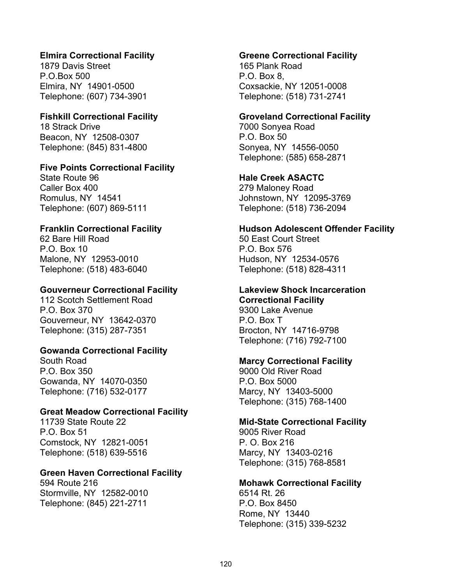#### **Elmira Correctional Facility**

1879 Davis Street P.O.Box 500 Elmira, NY 14901-0500 Telephone: (607) 734-3901

#### **Fishkill Correctional Facility**

18 Strack Drive Beacon, NY 12508-0307 Telephone: (845) 831-4800

#### **Five Points Correctional Facility**

State Route 96 Caller Box 400 Romulus, NY 14541 Telephone: (607) 869-5111

#### **Franklin Correctional Facility**

62 Bare Hill Road P.O. Box 10 Malone, NY 12953-0010 Telephone: (518) 483-6040

#### **Gouverneur Correctional Facility**

112 Scotch Settlement Road P.O. Box 370 Gouverneur, NY 13642-0370 Telephone: (315) 287-7351

#### **Gowanda Correctional Facility**

South Road P.O. Box 350 Gowanda, NY 14070-0350 Telephone: (716) 532-0177

#### **Great Meadow Correctional Facility**

11739 State Route 22 P.O. Box 51 Comstock, NY 12821-0051 Telephone: (518) 639-5516

#### **Green Haven Correctional Facility**

594 Route 216 Stormville, NY 12582-0010 Telephone: (845) 221-2711

#### **Greene Correctional Facility**

165 Plank Road P.O. Box 8, Coxsackie, NY 12051-0008 Telephone: (518) 731-2741

#### **Groveland Correctional Facility**

7000 Sonyea Road P.O. Box 50 Sonyea, NY 14556-0050 Telephone: (585) 658-2871

#### **Hale Creek ASACTC**

279 Maloney Road Johnstown, NY 12095-3769 Telephone: (518) 736-2094

#### **Hudson Adolescent Offender Facility**

50 East Court Street P.O. Box 576 Hudson, NY 12534-0576 Telephone: (518) 828-4311

#### **Lakeview Shock Incarceration**

**Correctional Facility** 9300 Lake Avenue P.O. Box T Brocton, NY 14716-9798 Telephone: (716) 792-7100

#### **Marcy Correctional Facility**

9000 Old River Road P.O. Box 5000 Marcy, NY 13403-5000 Telephone: (315) 768-1400

#### **Mid-State Correctional Facility**

9005 River Road P. O. Box 216 Marcy, NY 13403-0216 Telephone: (315) 768-8581

#### **Mohawk Correctional Facility**

6514 Rt. 26 P.O. Box 8450 Rome, NY 13440 Telephone: (315) 339-5232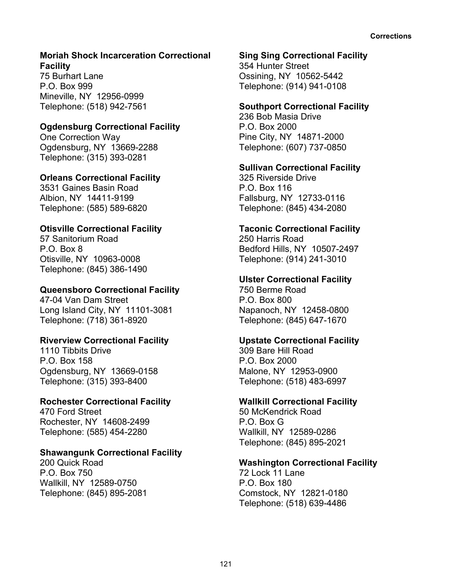#### **Moriah Shock Incarceration Correctional Facility**

75 Burhart Lane P.O. Box 999 Mineville, NY 12956-0999 Telephone: (518) 942-7561

# **Ogdensburg Correctional Facility**

One Correction Way Ogdensburg, NY 13669-2288 Telephone: (315) 393-0281

# **Orleans Correctional Facility**

3531 Gaines Basin Road Albion, NY 14411-9199 Telephone: (585) 589-6820

# **Otisville Correctional Facility**

57 Sanitorium Road P.O. Box 8 Otisville, NY 10963-0008 Telephone: (845) 386-1490

# **Queensboro Correctional Facility**

47-04 Van Dam Street Long Island City, NY 11101-3081 Telephone: (718) 361-8920

#### **Riverview Correctional Facility**

1110 Tibbits Drive P.O. Box 158 Ogdensburg, NY 13669-0158 Telephone: (315) 393-8400

#### **Rochester Correctional Facility**

470 Ford Street Rochester, NY 14608-2499 Telephone: (585) 454-2280

# **Shawangunk Correctional Facility**

200 Quick Road P.O. Box 750 Wallkill, NY 12589-0750 Telephone: (845) 895-2081

#### **Sing Sing Correctional Facility**

354 Hunter Street Ossining, NY 10562-5442 Telephone: (914) 941-0108

# **Southport Correctional Facility**

236 Bob Masia Drive P.O. Box 2000 Pine City, NY 14871-2000 Telephone: (607) 737-0850

#### **Sullivan Correctional Facility**

325 Riverside Drive P.O. Box 116 Fallsburg, NY 12733-0116 Telephone: (845) 434-2080

#### **Taconic Correctional Facility**

250 Harris Road Bedford Hills, NY 10507-2497 Telephone: (914) 241-3010

# **Ulster Correctional Facility**

750 Berme Road P.O. Box 800 Napanoch, NY 12458-0800 Telephone: (845) 647-1670

# **Upstate Correctional Facility**

309 Bare Hill Road P.O. Box 2000 Malone, NY 12953-0900 Telephone: (518) 483-6997

#### **Wallkill Correctional Facility**

50 McKendrick Road P.O. Box G Wallkill, NY 12589-0286 Telephone: (845) 895-2021

#### **Washington Correctional Facility**

72 Lock 11 Lane P.O. Box 180 Comstock, NY 12821-0180 Telephone: (518) 639-4486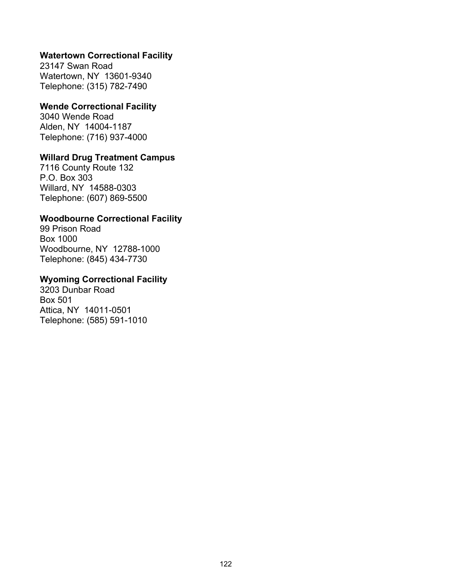#### **Watertown Correctional Facility**

23147 Swan Road Watertown, NY 13601-9340 Telephone: (315) 782-7490

#### **Wende Correctional Facility**

3040 Wende Road Alden, NY 14004-1187 Telephone: (716) 937-4000

# **Willard Drug Treatment Campus**

7116 County Route 132 P.O. Box 303 Willard, NY 14588-0303 Telephone: (607) 869-5500

# **Woodbourne Correctional Facility**

99 Prison Road Box 1000 Woodbourne, NY 12788-1000 Telephone: (845) 434-7730

### **Wyoming Correctional Facility**

3203 Dunbar Road Box 501 Attica, NY 14011-0501 Telephone: (585) 591-1010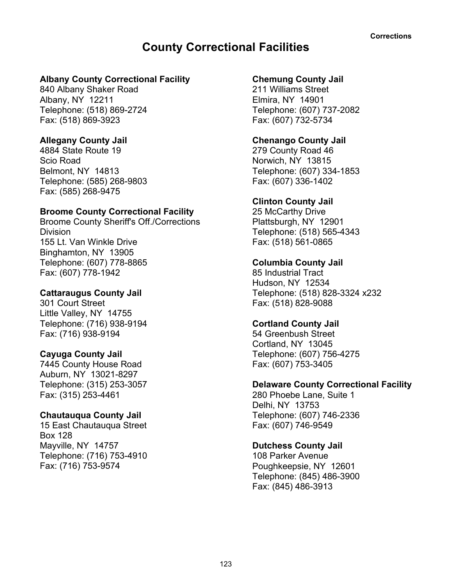# **County Correctional Facilities**

#### **Albany County Correctional Facility**

840 Albany Shaker Road Albany, NY 12211 Telephone: (518) 869-2724 Fax: (518) 869-3923

#### **Allegany County Jail**

4884 State Route 19 Scio Road Belmont, NY 14813 Telephone: (585) 268-9803 Fax: (585) 268-9475

#### **Broome County Correctional Facility**

Broome County Sheriff's Off./Corrections **Division** 155 Lt. Van Winkle Drive Binghamton, NY 13905 Telephone: (607) 778-8865 Fax: (607) 778-1942

#### **Cattaraugus County Jail**

301 Court Street Little Valley, NY 14755 Telephone: (716) 938-9194 Fax: (716) 938-9194

#### **Cayuga County Jail**

7445 County House Road Auburn, NY 13021-8297 Telephone: (315) 253-3057 Fax: (315) 253-4461

#### **Chautauqua County Jail**

15 East Chautauqua Street Box 128 Mayville, NY 14757 Telephone: (716) 753-4910 Fax: (716) 753-9574

#### **Chemung County Jail**

211 Williams Street Elmira, NY 14901 Telephone: (607) 737-2082 Fax: (607) 732-5734

#### **Chenango County Jail**

279 County Road 46 Norwich, NY 13815 Telephone: (607) 334-1853 Fax: (607) 336-1402

#### **Clinton County Jail**

25 McCarthy Drive Plattsburgh, NY 12901 Telephone: (518) 565-4343 Fax: (518) 561-0865

#### **Columbia County Jail**

85 Industrial Tract Hudson, NY 12534 Telephone: (518) 828-3324 x232 Fax: (518) 828-9088

#### **Cortland County Jail**

54 Greenbush Street Cortland, NY 13045 Telephone: (607) 756-4275 Fax: (607) 753-3405

#### **Delaware County Correctional Facility**

280 Phoebe Lane, Suite 1 Delhi, NY 13753 Telephone: (607) 746-2336 Fax: (607) 746-9549

#### **Dutchess County Jail**

108 Parker Avenue Poughkeepsie, NY 12601 Telephone: (845) 486-3900 Fax: (845) 486-3913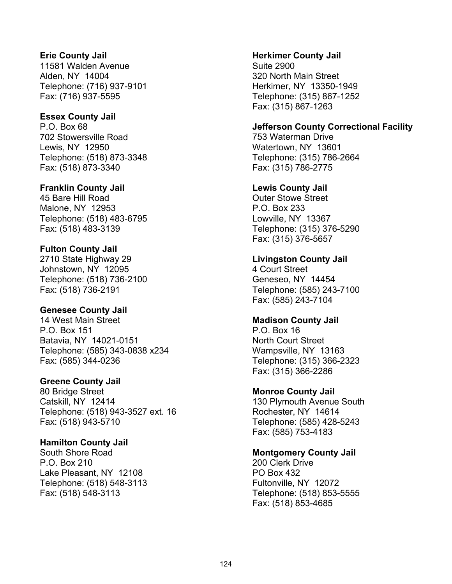#### **Erie County Jail**

11581 Walden Avenue Alden, NY 14004 Telephone: (716) 937-9101 Fax: (716) 937-5595

#### **Essex County Jail**

P.O. Box 68 702 Stowersville Road Lewis, NY 12950 Telephone: (518) 873-3348 Fax: (518) 873-3340

#### **Franklin County Jail**

45 Bare Hill Road Malone, NY 12953 Telephone: (518) 483-6795 Fax: (518) 483-3139

#### **Fulton County Jail**

2710 State Highway 29 Johnstown, NY 12095 Telephone: (518) 736-2100 Fax: (518) 736-2191

#### **Genesee County Jail**

14 West Main Street P.O. Box 151 Batavia, NY 14021-0151 Telephone: (585) 343-0838 x234 Fax: (585) 344-0236

#### **Greene County Jail**

80 Bridge Street Catskill, NY 12414 Telephone: (518) 943-3527 ext. 16 Fax: (518) 943-5710

#### **Hamilton County Jail**

South Shore Road P.O. Box 210 Lake Pleasant, NY 12108 Telephone: (518) 548-3113 Fax: (518) 548-3113

#### **Herkimer County Jail**

Suite 2900 320 North Main Street Herkimer, NY 13350-1949 Telephone: (315) 867-1252 Fax: (315) 867-1263

#### **Jefferson County Correctional Facility**

753 Waterman Drive Watertown, NY 13601 Telephone: (315) 786-2664 Fax: (315) 786-2775

#### **Lewis County Jail**

Outer Stowe Street P.O. Box 233 Lowville, NY 13367 Telephone: (315) 376-5290 Fax: (315) 376-5657

#### **Livingston County Jail**

4 Court Street Geneseo, NY 14454 Telephone: (585) 243-7100 Fax: (585) 243-7104

#### **Madison County Jail**

P.O. Box 16 North Court Street Wampsville, NY 13163 Telephone: (315) 366-2323 Fax: (315) 366-2286

#### **Monroe County Jail**

130 Plymouth Avenue South Rochester, NY 14614 Telephone: (585) 428-5243 Fax: (585) 753-4183

#### **Montgomery County Jail**

200 Clerk Drive PO Box 432 Fultonville, NY 12072 Telephone: (518) 853-5555 Fax: (518) 853-4685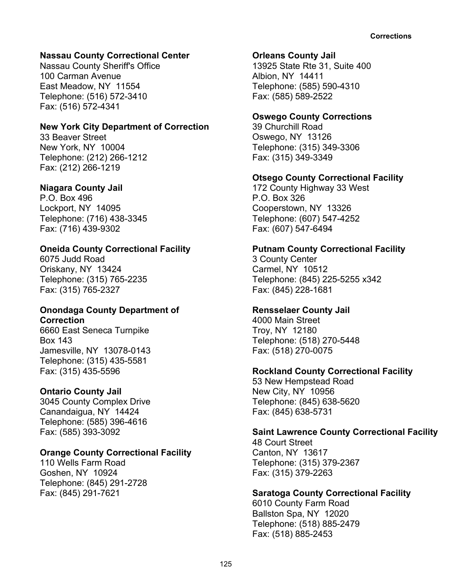#### **Nassau County Correctional Center**

Nassau County Sheriff's Office 100 Carman Avenue East Meadow, NY 11554 Telephone: (516) 572-3410 Fax: (516) 572-4341

#### **New York City Department of Correction**

33 Beaver Street New York, NY 10004 Telephone: (212) 266-1212 Fax: (212) 266-1219

#### **Niagara County Jail**

P.O. Box 496 Lockport, NY 14095 Telephone: (716) 438-3345 Fax: (716) 439-9302

#### **Oneida County Correctional Facility**

6075 Judd Road Oriskany, NY 13424 Telephone: (315) 765-2235 Fax: (315) 765-2327

#### **Onondaga County Department of Correction**

6660 East Seneca Turnpike Box 143 Jamesville, NY 13078-0143 Telephone: (315) 435-5581 Fax: (315) 435-5596

#### **Ontario County Jail**

3045 County Complex Drive Canandaigua, NY 14424 Telephone: (585) 396-4616 Fax: (585) 393-3092

#### **Orange County Correctional Facility**

110 Wells Farm Road Goshen, NY 10924 Telephone: (845) 291-2728 Fax: (845) 291-7621

#### **Orleans County Jail**

13925 State Rte 31, Suite 400 Albion, NY 14411 Telephone: (585) 590-4310 Fax: (585) 589-2522

#### **Oswego County Corrections**

39 Churchill Road Oswego, NY 13126 Telephone: (315) 349-3306 Fax: (315) 349-3349

#### **Otsego County Correctional Facility**

172 County Highway 33 West P.O. Box 326 Cooperstown, NY 13326 Telephone: (607) 547-4252 Fax: (607) 547-6494

#### **Putnam County Correctional Facility**

3 County Center Carmel, NY 10512 Telephone: (845) 225-5255 x342 Fax: (845) 228-1681

#### **Rensselaer County Jail**

4000 Main Street Troy, NY 12180 Telephone: (518) 270-5448 Fax: (518) 270-0075

#### **Rockland County Correctional Facility**

53 New Hempstead Road New City, NY 10956 Telephone: (845) 638-5620 Fax: (845) 638-5731

#### **Saint Lawrence County Correctional Facility**

48 Court Street Canton, NY 13617 Telephone: (315) 379-2367 Fax: (315) 379-2263

#### **Saratoga County Correctional Facility**

6010 County Farm Road Ballston Spa, NY 12020 Telephone: (518) 885-2479 Fax: (518) 885-2453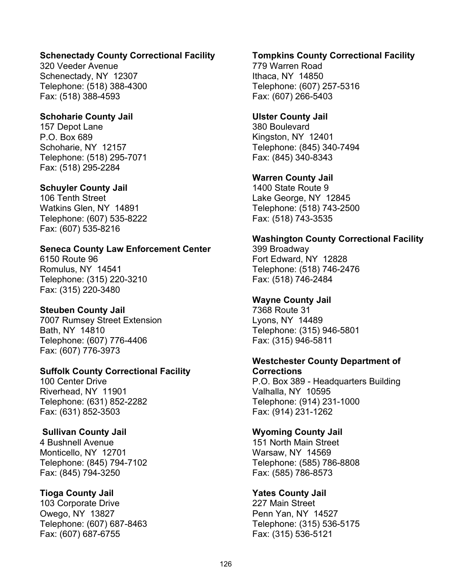#### **Schenectady County Correctional Facility**

320 Veeder Avenue Schenectady, NY 12307 Telephone: (518) 388-4300 Fax: (518) 388-4593

#### **Schoharie County Jail**

157 Depot Lane P.O. Box 689 Schoharie, NY 12157 Telephone: (518) 295-7071 Fax: (518) 295-2284

#### **Schuyler County Jail**

106 Tenth Street Watkins Glen, NY 14891 Telephone: (607) 535-8222 Fax: (607) 535-8216

#### **Seneca County Law Enforcement Center**

6150 Route 96 Romulus, NY 14541 Telephone: (315) 220-3210 Fax: (315) 220-3480

# **Steuben County Jail**

7007 Rumsey Street Extension Bath, NY 14810 Telephone: (607) 776-4406 Fax: (607) 776-3973

#### **Suffolk County Correctional Facility**

100 Center Drive Riverhead, NY 11901 Telephone: (631) 852-2282 Fax: (631) 852-3503

#### **Sullivan County Jail**

4 Bushnell Avenue Monticello, NY 12701 Telephone: (845) 794-7102 Fax: (845) 794-3250

#### **Tioga County Jail**

103 Corporate Drive Owego, NY 13827 Telephone: (607) 687-8463 Fax: (607) 687-6755

#### **Tompkins County Correctional Facility**

779 Warren Road Ithaca, NY 14850 Telephone: (607) 257-5316 Fax: (607) 266-5403

#### **Ulster County Jail**

380 Boulevard Kingston, NY 12401 Telephone: (845) 340-7494 Fax: (845) 340-8343

#### **Warren County Jail**

1400 State Route 9 Lake George, NY 12845 Telephone: (518) 743-2500 Fax: (518) 743-3535

#### **Washington County Correctional Facility**

399 Broadway Fort Edward, NY 12828 Telephone: (518) 746-2476 Fax: (518) 746-2484

#### **Wayne County Jail**

7368 Route 31 Lyons, NY 14489 Telephone: (315) 946-5801 Fax: (315) 946-5811

#### **Westchester County Department of Corrections**

P.O. Box 389 - Headquarters Building Valhalla, NY 10595 Telephone: (914) 231-1000 Fax: (914) 231-1262

#### **Wyoming County Jail**

151 North Main Street Warsaw, NY 14569 Telephone: (585) 786-8808 Fax: (585) 786-8573

#### **Yates County Jail**

227 Main Street Penn Yan, NY 14527 Telephone: (315) 536-5175 Fax: (315) 536-5121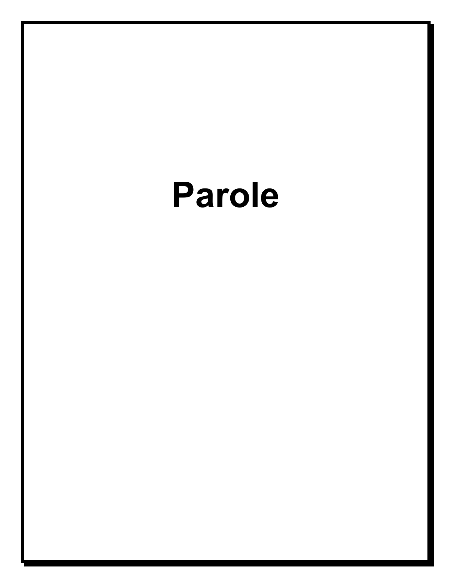# **Parole**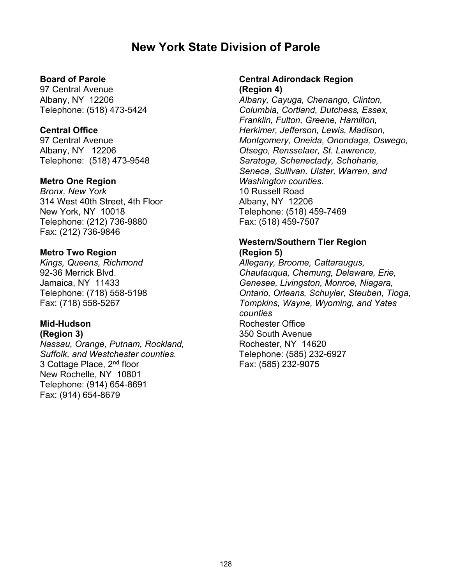# **New York State Division of Parole**

#### **Board of Parole**

97 Central Avenue Albany, NY 12206 Telephone: (518) 473-5424

#### **Central Office**

97 Central Avenue Albany, NY 12206 Telephone: (518) 473-9548

#### **Metro One Region**

*Bronx, New York* 314 West 40th Street, 4th Floor New York, NY 10018 Telephone: (212) 736-9880 Fax: (212) 736-9846

#### **Metro Two Region**

*Kings, Queens, Richmond* 92-36 Merrick Blvd. Jamaica, NY 11433 Telephone: (718) 558-5198 Fax: (718) 558-5267

#### **Mid-Hudson (Region 3)**

*Nassau, Orange, Putnam, Rockland, Suffolk, and Westchester counties.* 3 Cottage Place, 2nd floor New Rochelle, NY 10801 Telephone: (914) 654-8691 Fax: (914) 654-8679

#### **Central Adirondack Region (Region 4)**

*Albany, Cayuga, Chenango, Clinton, Columbia, Cortland, Dutchess, Essex, Franklin, Fulton, Greene, Hamilton, Herkimer, Jefferson, Lewis, Madison, Montgomery, Oneida, Onondaga, Oswego, Otsego, Rensselaer, St. Lawrence, Saratoga, Schenectady, Schoharie, Seneca, Sullivan, Ulster, Warren, and Washington counties.* 10 Russell Road Albany, NY 12206 Telephone: (518) 459-7469 Fax: (518) 459-7507

# **Western/Southern Tier Region**

**(Region 5)** *Allegany, Broome, Cattaraugus, Chautauqua, Chemung, Delaware, Erie, Genesee, Livingston, Monroe, Niagara, Ontario, Orleans, Schuyler, Steuben, Tioga, Tompkins, Wayne, Wyoming, and Yates counties* Rochester Office 350 South Avenue Rochester, NY 14620 Telephone: (585) 232-6927 Fax: (585) 232-9075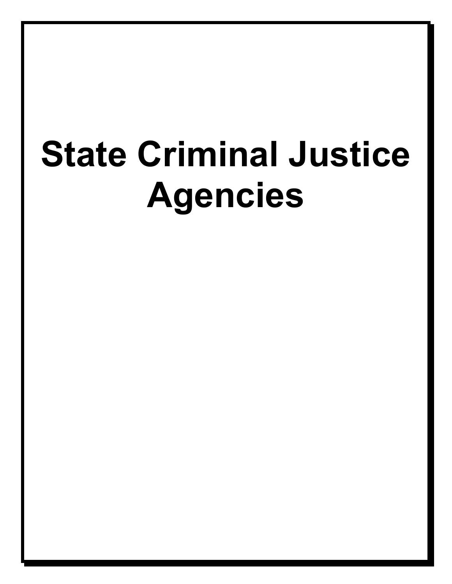# **State Criminal Justice Agencies**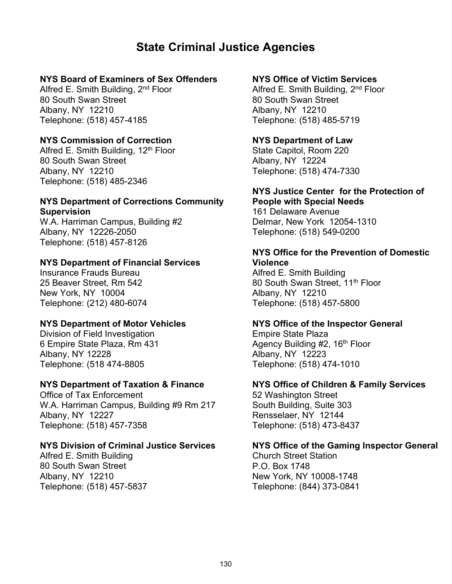# **State Criminal Justice Agencies**

# **NYS Board of Examiners of Sex Offenders**

Alfred E. Smith Building, 2<sup>nd</sup> Floor 80 South Swan Street Albany, NY 12210 Telephone: (518) 457-4185

#### **NYS Commission of Correction**

Alfred E. Smith Building,  $12<sup>th</sup>$  Floor 80 South Swan Street Albany, NY 12210 Telephone: (518) 485-2346

#### **NYS Department of Corrections Community Supervision**

W.A. Harriman Campus, Building #2 Albany, NY 12226-2050 Telephone: (518) 457-8126

#### **NYS Department of Financial Services**

Insurance Frauds Bureau 25 Beaver Street, Rm 542 New York, NY 10004 Telephone: (212) 480-6074

#### **NYS Department of Motor Vehicles**

Division of Field Investigation 6 Empire State Plaza, Rm 431 Albany, NY 12228 Telephone: (518 474-8805

#### **NYS Department of Taxation & Finance**

Office of Tax Enforcement W.A. Harriman Campus, Building #9 Rm 217 Albany, NY 12227 Telephone: (518) 457-7358

#### **NYS Division of Criminal Justice Services**

Alfred E. Smith Building 80 South Swan Street Albany, NY 12210 Telephone: (518) 457-5837

#### **NYS Office of Victim Services**

Alfred E. Smith Building, 2<sup>nd</sup> Floor 80 South Swan Street Albany, NY 12210 Telephone: (518) 485-5719

#### **NYS Department of Law**

State Capitol, Room 220 Albany, NY 12224 Telephone: (518) 474-7330

#### **NYS Justice Center for the Protection of People with Special Needs**

161 Delaware Avenue Delmar, New York 12054-1310 Telephone: (518) 549-0200

#### **NYS Office for the Prevention of Domestic Violence**

Alfred E. Smith Building 80 South Swan Street, 11<sup>th</sup> Floor Albany, NY 12210 Telephone: (518) 457-5800

#### **NYS Office of the Inspector General**

Empire State Plaza Agency Building  $#2$ , 16<sup>th</sup> Floor Albany, NY 12223 Telephone: (518) 474-1010

#### **NYS Office of Children & Family Services**

52 Washington Street South Building, Suite 303 Rensselaer, NY 12144 Telephone: (518) 473-8437

#### **NYS Office of the Gaming Inspector General**

Church Street Station P.O. Box 1748 New York, NY 10008-1748 Telephone: (844) 373-0841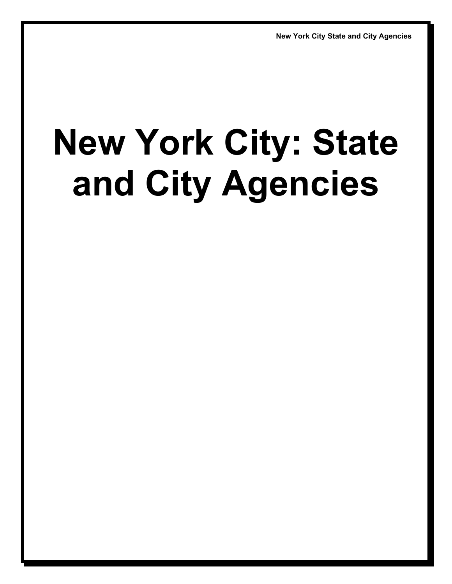# **New York City: State and City Agencies**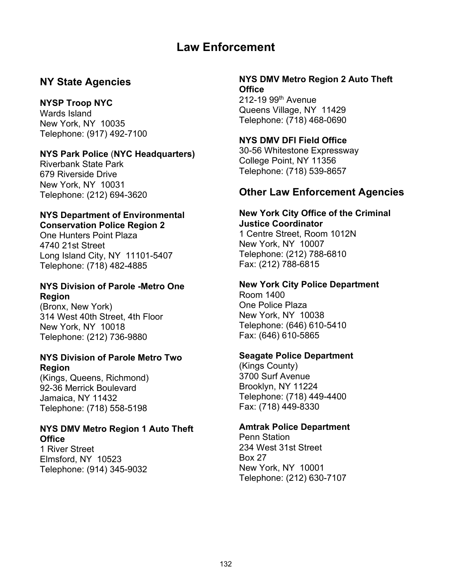# **Law Enforcement**

# **NY State Agencies**

### **NYSP Troop NYC**

Wards Island New York, NY 10035 Telephone: (917) 492-7100

# **NYS Park Police** (**NYC Headquarters)**

Riverbank State Park 679 Riverside Drive New York, NY 10031 Telephone: (212) 694-3620

#### **NYS Department of Environmental Conservation Police Region 2**

One Hunters Point Plaza 4740 21st Street Long Island City, NY 11101-5407 Telephone: (718) 482-4885

#### **NYS Division of Parole -Metro One Region**

(Bronx, New York) 314 West 40th Street, 4th Floor New York, NY 10018 Telephone: (212) 736-9880

#### **NYS Division of Parole Metro Two Region**

(Kings, Queens, Richmond) 92-36 Merrick Boulevard Jamaica, NY 11432 Telephone: (718) 558-5198

# **NYS DMV Metro Region 1 Auto Theft Office**

1 River Street Elmsford, NY 10523 Telephone: (914) 345-9032

#### **NYS DMV Metro Region 2 Auto Theft Office**

 $212-19.99$ <sup>th</sup> Avenue Queens Village, NY 11429 Telephone: (718) 468-0690

#### **NYS DMV DFI Field Office**

30-56 Whitestone Expressway College Point, NY 11356 Telephone: (718) 539-8657

# **Other Law Enforcement Agencies**

#### **New York City Office of the Criminal Justice Coordinator**

1 Centre Street, Room 1012N New York, NY 10007 Telephone: (212) 788-6810 Fax: (212) 788-6815

# **New York City Police Department**

Room 1400 One Police Plaza New York, NY 10038 Telephone: (646) 610-5410 Fax: (646) 610-5865

#### **Seagate Police Department**

(Kings County) 3700 Surf Avenue Brooklyn, NY 11224 Telephone: (718) 449-4400 Fax: (718) 449-8330

# **Amtrak Police Department**

Penn Station 234 West 31st Street Box 27 New York, NY 10001 Telephone: (212) 630-7107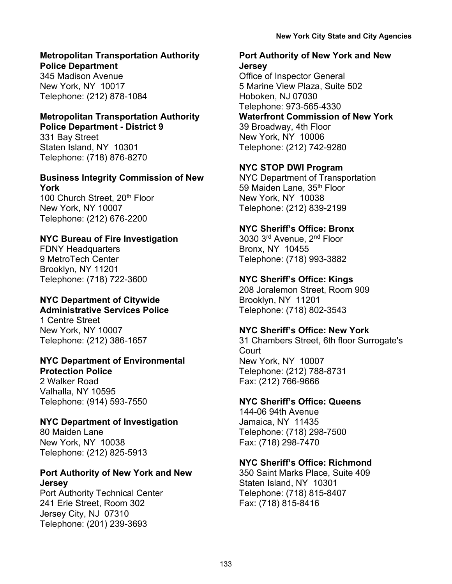#### **Metropolitan Transportation Authority Police Department**

345 Madison Avenue New York, NY 10017 Telephone: (212) 878-1084

#### **Metropolitan Transportation Authority Police Department - District 9**

331 Bay Street Staten Island, NY 10301 Telephone: (718) 876-8270

# **Business Integrity Commission of New York**

100 Church Street, 20<sup>th</sup> Floor New York, NY 10007 Telephone: (212) 676-2200

# **NYC Bureau of Fire Investigation**

FDNY Headquarters 9 MetroTech Center Brooklyn, NY 11201 Telephone: (718) 722-3600

#### **NYC Department of Citywide Administrative Services Police**

1 Centre Street New York, NY 10007 Telephone: (212) 386-1657

#### **NYC Department of Environmental Protection Police**

2 Walker Road Valhalla, NY 10595 Telephone: (914) 593-7550

# **NYC Department of Investigation**

80 Maiden Lane New York, NY 10038 Telephone: (212) 825-5913

#### **Port Authority of New York and New Jersey**

Port Authority Technical Center 241 Erie Street, Room 302 Jersey City, NJ 07310 Telephone: (201) 239-3693

### **Port Authority of New York and New Jersey**

Office of Inspector General 5 Marine View Plaza, Suite 502 Hoboken, NJ 07030 Telephone: 973-565-4330

**Waterfront Commission of New York**  39 Broadway, 4th Floor New York, NY 10006 Telephone: (212) 742-9280

# **NYC STOP DWI Program**

NYC Department of Transportation 59 Maiden Lane, 35<sup>th</sup> Floor New York, NY 10038 Telephone: (212) 839-2199

# **NYC Sheriff's Office: Bronx**

3030 3rd Avenue, 2nd Floor Bronx, NY 10455 Telephone: (718) 993-3882

# **NYC Sheriff's Office: Kings**

208 Joralemon Street, Room 909 Brooklyn, NY 11201 Telephone: (718) 802-3543

# **NYC Sheriff's Office: New York**

31 Chambers Street, 6th floor Surrogate's **Court** New York, NY 10007 Telephone: (212) 788-8731 Fax: (212) 766-9666

# **NYC Sheriff's Office: Queens**

144-06 94th Avenue Jamaica, NY 11435 Telephone: (718) 298-7500 Fax: (718) 298-7470

# **NYC Sheriff's Office: Richmond**

350 Saint Marks Place, Suite 409 Staten Island, NY 10301 Telephone: (718) 815-8407 Fax: (718) 815-8416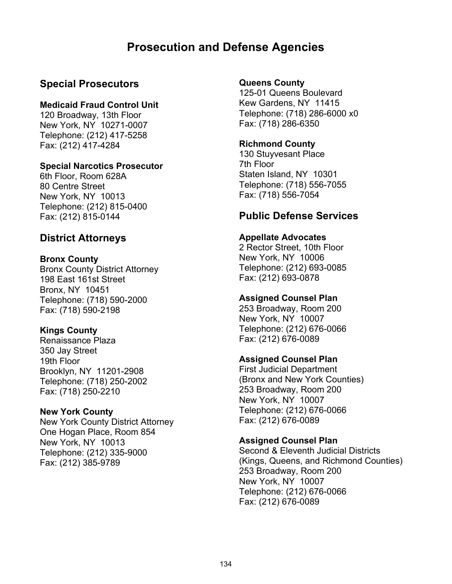# **Prosecution and Defense Agencies**

# **Special Prosecutors**

#### **Medicaid Fraud Control Unit**

120 Broadway, 13th Floor New York, NY 10271-0007 Telephone: (212) 417-5258 Fax: (212) 417-4284

#### **Special Narcotics Prosecutor**

6th Floor, Room 628A 80 Centre Street New York, NY 10013 Telephone: (212) 815-0400 Fax: (212) 815-0144

# **District Attorneys**

#### **Bronx County**

Bronx County District Attorney 198 East 161st Street Bronx, NY 10451 Telephone: (718) 590-2000 Fax: (718) 590-2198

#### **Kings County**

Renaissance Plaza 350 Jay Street 19th Floor Brooklyn, NY 11201-2908 Telephone: (718) 250-2002 Fax: (718) 250-2210

#### **New York County**

New York County District Attorney One Hogan Place, Room 854 New York, NY 10013 Telephone: (212) 335-9000 Fax: (212) 385-9789

#### **Queens County**

125-01 Queens Boulevard Kew Gardens, NY 11415 Telephone: (718) 286-6000 x0 Fax: (718) 286-6350

#### **Richmond County**

130 Stuyvesant Place 7th Floor Staten Island, NY 10301 Telephone: (718) 556-7055 Fax: (718) 556-7054

# **Public Defense Services**

#### **Appellate Advocates**

2 Rector Street, 10th Floor New York, NY 10006 Telephone: (212) 693-0085 Fax: (212) 693-0878

#### **Assigned Counsel Plan**

253 Broadway, Room 200 New York, NY 10007 Telephone: (212) 676-0066 Fax: (212) 676-0089

#### **Assigned Counsel Plan**

First Judicial Department (Bronx and New York Counties) 253 Broadway, Room 200 New York, NY 10007 Telephone: (212) 676-0066 Fax: (212) 676-0089

#### **Assigned Counsel Plan**

Second & Eleventh Judicial Districts (Kings, Queens, and Richmond Counties) 253 Broadway, Room 200 New York, NY 10007 Telephone: (212) 676-0066 Fax: (212) 676-0089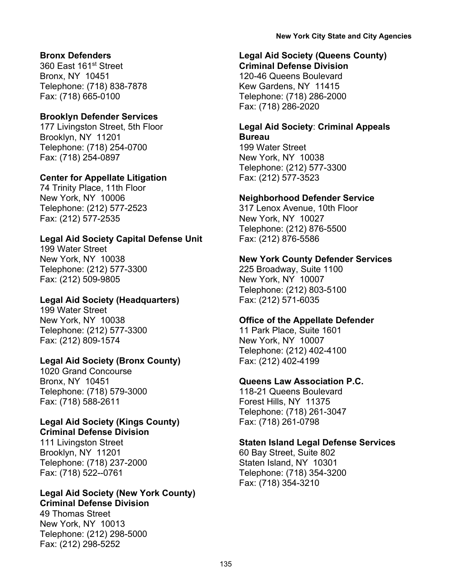#### **Bronx Defenders**

360 East 161st Street Bronx, NY 10451 Telephone: (718) 838-7878 Fax: (718) 665-0100

#### **Brooklyn Defender Services**

177 Livingston Street, 5th Floor Brooklyn, NY 11201 Telephone: (718) 254-0700 Fax: (718) 254-0897

#### **Center for Appellate Litigation**

74 Trinity Place, 11th Floor New York, NY 10006 Telephone: (212) 577-2523 Fax: (212) 577-2535

#### **Legal Aid Society Capital Defense Unit**

199 Water Street New York, NY 10038 Telephone: (212) 577-3300 Fax: (212) 509-9805

#### **Legal Aid Society (Headquarters)**

199 Water Street New York, NY 10038 Telephone: (212) 577-3300 Fax: (212) 809-1574

# **Legal Aid Society (Bronx County)**

1020 Grand Concourse Bronx, NY 10451 Telephone: (718) 579-3000 Fax: (718) 588-2611

#### **Legal Aid Society (Kings County) Criminal Defense Division**

111 Livingston Street Brooklyn, NY 11201 Telephone: (718) 237-2000 Fax: (718) 522--0761

#### **Legal Aid Society (New York County) Criminal Defense Division**

49 Thomas Street New York, NY 10013 Telephone: (212) 298-5000 Fax: (212) 298-5252

# **Legal Aid Society (Queens County)**

**Criminal Defense Division** 120-46 Queens Boulevard Kew Gardens, NY 11415 Telephone: (718) 286-2000 Fax: (718) 286-2020

# **Legal Aid Society**: **Criminal Appeals Bureau**

199 Water Street New York, NY 10038 Telephone: (212) 577-3300 Fax: (212) 577-3523

#### **Neighborhood Defender Service**

317 Lenox Avenue, 10th Floor New York, NY 10027 Telephone: (212) 876-5500 Fax: (212) 876-5586

#### **New York County Defender Services**

225 Broadway, Suite 1100 New York, NY 10007 Telephone: (212) 803-5100 Fax: (212) 571-6035

#### **Office of the Appellate Defender**

11 Park Place, Suite 1601 New York, NY 10007 Telephone: (212) 402-4100 Fax: (212) 402-4199

#### **Queens Law Association P.C.**

118-21 Queens Boulevard Forest Hills, NY 11375 Telephone: (718) 261-3047 Fax: (718) 261-0798

#### **Staten Island Legal Defense Services**

60 Bay Street, Suite 802 Staten Island, NY 10301 Telephone: (718) 354-3200 Fax: (718) 354-3210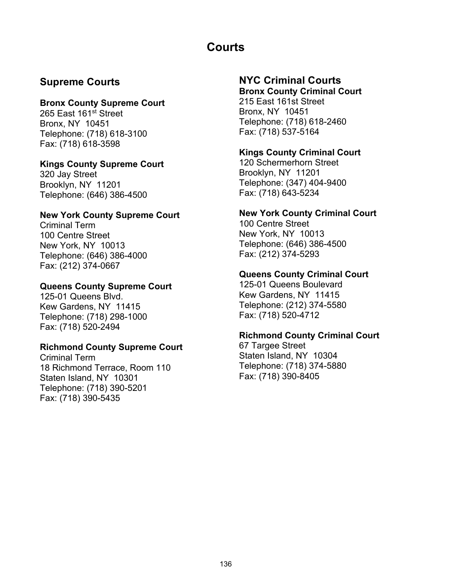# **Courts**

# **Supreme Courts**

### **Bronx County Supreme Court**

265 East 161<sup>st</sup> Street Bronx, NY 10451 Telephone: (718) 618-3100 Fax: (718) 618-3598

# **Kings County Supreme Court**

320 Jay Street Brooklyn, NY 11201 Telephone: (646) 386-4500

# **New York County Supreme Court**

Criminal Term 100 Centre Street New York, NY 10013 Telephone: (646) 386-4000 Fax: (212) 374-0667

# **Queens County Supreme Court**

125-01 Queens Blvd. Kew Gardens, NY 11415 Telephone: (718) 298-1000 Fax: (718) 520-2494

# **Richmond County Supreme Court**

Criminal Term 18 Richmond Terrace, Room 110 Staten Island, NY 10301 Telephone: (718) 390-5201 Fax: (718) 390-5435

# **NYC Criminal Courts**

**Bronx County Criminal Court** 215 East 161st Street Bronx, NY 10451 Telephone: (718) 618-2460 Fax: (718) 537-5164

# **Kings County Criminal Court**

120 Schermerhorn Street Brooklyn, NY 11201 Telephone: (347) 404-9400 Fax: (718) 643-5234

# **New York County Criminal Court**

100 Centre Street New York, NY 10013 Telephone: (646) 386-4500 Fax: (212) 374-5293

# **Queens County Criminal Court**

125-01 Queens Boulevard Kew Gardens, NY 11415 Telephone: (212) 374-5580 Fax: (718) 520-4712

# **Richmond County Criminal Court**

67 Targee Street Staten Island, NY 10304 Telephone: (718) 374-5880 Fax: (718) 390-8405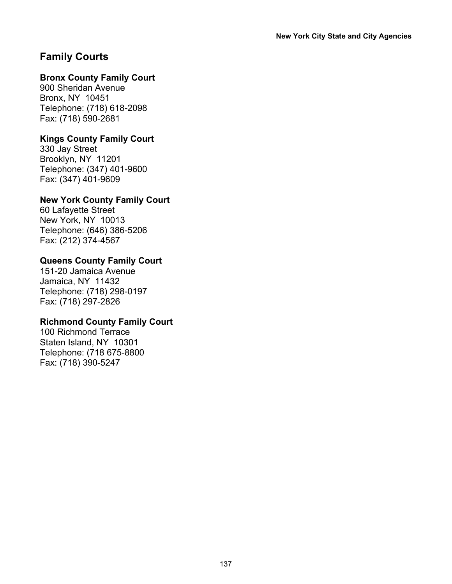# **Family Courts**

# **Bronx County Family Court**

900 Sheridan Avenue Bronx, NY 10451 Telephone: (718) 618-2098 Fax: (718) 590-2681

# **Kings County Family Court**

330 Jay Street Brooklyn, NY 11201 Telephone: (347) 401-9600 Fax: (347) 401-9609

# **New York County Family Court**

60 Lafayette Street New York, NY 10013 Telephone: (646) 386-5206 Fax: (212) 374-4567

# **Queens County Family Court**

151-20 Jamaica Avenue Jamaica, NY 11432 Telephone: (718) 298-0197 Fax: (718) 297-2826

#### **Richmond County Family Court**

100 Richmond Terrace Staten Island, NY 10301 Telephone: (718 675-8800 Fax: (718) 390-5247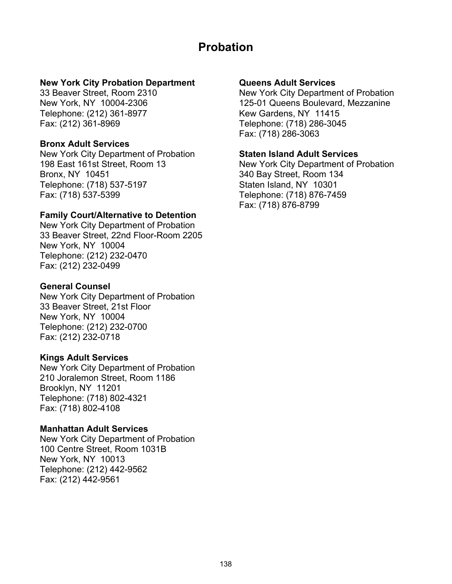# **Probation**

#### **New York City Probation Department**

33 Beaver Street, Room 2310 New York, NY 10004-2306 Telephone: (212) 361-8977 Fax: (212) 361-8969

#### **Bronx Adult Services**

New York City Department of Probation 198 East 161st Street, Room 13 Bronx, NY 10451 Telephone: (718) 537-5197 Fax: (718) 537-5399

#### **Family Court/Alternative to Detention**

New York City Department of Probation 33 Beaver Street, 22nd Floor-Room 2205 New York, NY 10004 Telephone: (212) 232-0470 Fax: (212) 232-0499

#### **General Counsel**

New York City Department of Probation 33 Beaver Street, 21st Floor New York, NY 10004 Telephone: (212) 232-0700 Fax: (212) 232-0718

#### **Kings Adult Services**

New York City Department of Probation 210 Joralemon Street, Room 1186 Brooklyn, NY 11201 Telephone: (718) 802-4321 Fax: (718) 802-4108

#### **Manhattan Adult Services**

New York City Department of Probation 100 Centre Street, Room 1031B New York, NY 10013 Telephone: (212) 442-9562 Fax: (212) 442-9561

#### **Queens Adult Services**

New York City Department of Probation 125-01 Queens Boulevard, Mezzanine Kew Gardens, NY 11415 Telephone: (718) 286-3045 Fax: (718) 286-3063

#### **Staten Island Adult Services**

New York City Department of Probation 340 Bay Street, Room 134 Staten Island, NY 10301 Telephone: (718) 876-7459 Fax: (718) 876-8799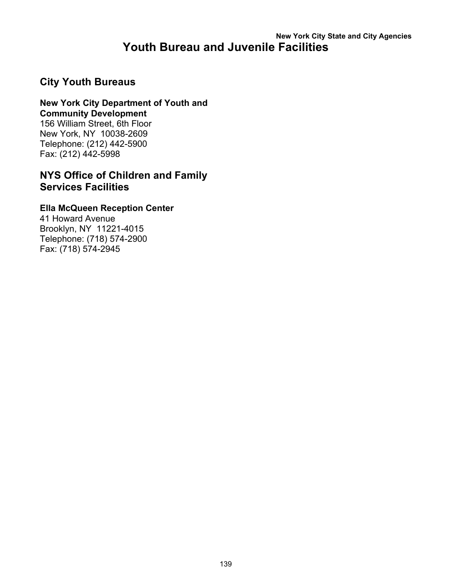# **New York City State and City Agencies Youth Bureau and Juvenile Facilities**

# **City Youth Bureaus**

#### **New York City Department of Youth and Community Development**

156 William Street, 6th Floor New York, NY 10038-2609 Telephone: (212) 442-5900 Fax: (212) 442-5998

# **NYS Office of Children and Family Services Facilities**

#### **Ella McQueen Reception Center**

41 Howard Avenue Brooklyn, NY 11221-4015 Telephone: (718) 574-2900 Fax: (718) 574-2945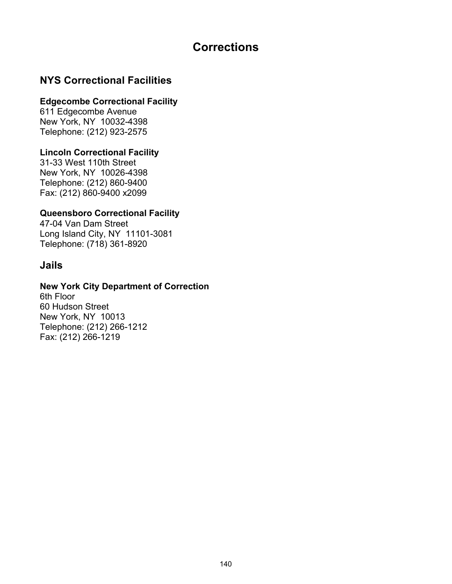# **Corrections**

# **NYS Correctional Facilities**

#### **Edgecombe Correctional Facility**

611 Edgecombe Avenue New York, NY 10032-4398 Telephone: (212) 923-2575

# **Lincoln Correctional Facility**

31-33 West 110th Street New York, NY 10026-4398 Telephone: (212) 860-9400 Fax: (212) 860-9400 x2099

# **Queensboro Correctional Facility**

47-04 Van Dam Street Long Island City, NY 11101-3081 Telephone: (718) 361-8920

# **Jails**

#### **New York City Department of Correction**

6th Floor 60 Hudson Street New York, NY 10013 Telephone: (212) 266-1212 Fax: (212) 266-1219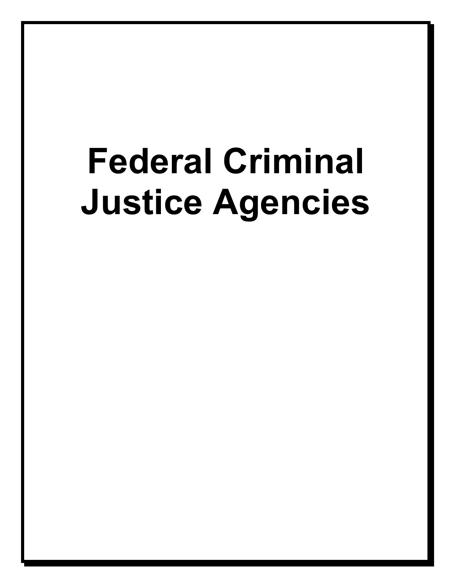# **Federal Criminal Justice Agencies**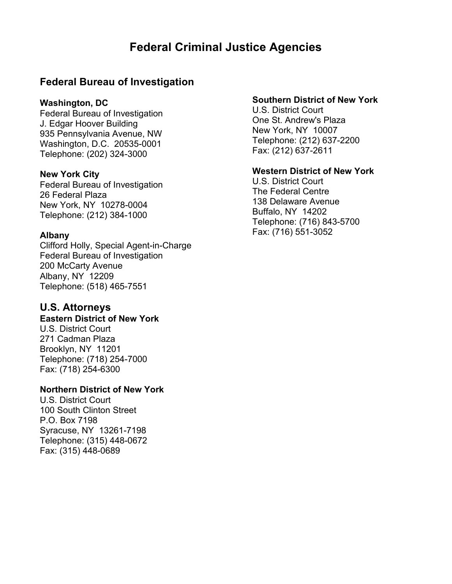# **Federal Criminal Justice Agencies**

# **Federal Bureau of Investigation**

#### **Washington, DC**

Federal Bureau of Investigation J. Edgar Hoover Building 935 Pennsylvania Avenue, NW Washington, D.C. 20535-0001 Telephone: (202) 324-3000

#### **New York City**

Federal Bureau of Investigation 26 Federal Plaza New York, NY 10278-0004 Telephone: (212) 384-1000

#### **Albany**

Clifford Holly, Special Agent-in-Charge Federal Bureau of Investigation 200 McCarty Avenue Albany, NY 12209 Telephone: (518) 465-7551

# **U.S. Attorneys**

#### **Eastern District of New York**

U.S. District Court 271 Cadman Plaza Brooklyn, NY 11201 Telephone: (718) 254-7000 Fax: (718) 254-6300

#### **Northern District of New York**

U.S. District Court 100 South Clinton Street P.O. Box 7198 Syracuse, NY 13261-7198 Telephone: (315) 448-0672 Fax: (315) 448-0689

### **Southern District of New York**

U.S. District Court One St. Andrew's Plaza New York, NY 10007 Telephone: (212) 637-2200 Fax: (212) 637-2611

#### **Western District of New York**

U.S. District Court The Federal Centre 138 Delaware Avenue Buffalo, NY 14202 Telephone: (716) 843-5700 Fax: (716) 551-3052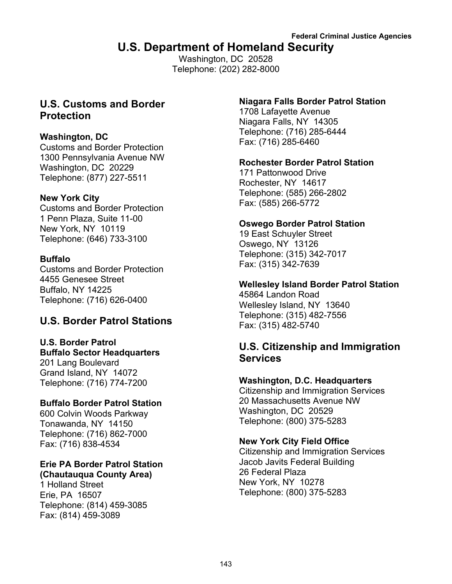# **U.S. Department of Homeland Security**

Washington, DC 20528 Telephone: (202) 282-8000

## **U.S. Customs and Border Protection**

## **Washington, DC**

Customs and Border Protection 1300 Pennsylvania Avenue NW Washington, DC 20229 Telephone: (877) 227-5511

## **New York City**

Customs and Border Protection 1 Penn Plaza, Suite 11-00 New York, NY 10119 Telephone: (646) 733-3100

## **Buffalo**

Customs and Border Protection 4455 Genesee Street Buffalo, NY 14225 Telephone: (716) 626-0400

## **U.S. Border Patrol Stations**

# **U.S. Border Patrol Buffalo Sector Headquarters**

201 Lang Boulevard Grand Island, NY 14072 Telephone: (716) 774-7200

## **Buffalo Border Patrol Station**

600 Colvin Woods Parkway Tonawanda, NY 14150 Telephone: (716) 862-7000 Fax: (716) 838-4534

## **Erie PA Border Patrol Station (Chautauqua County Area)**

1 Holland Street Erie, PA 16507 Telephone: (814) 459-3085 Fax: (814) 459-3089

## **Niagara Falls Border Patrol Station**

1708 Lafayette Avenue Niagara Falls, NY 14305 Telephone: (716) 285-6444 Fax: (716) 285-6460

## **Rochester Border Patrol Station**

171 Pattonwood Drive Rochester, NY 14617 Telephone: (585) 266-2802 Fax: (585) 266-5772

## **Oswego Border Patrol Station**

19 East Schuyler Street Oswego, NY 13126 Telephone: (315) 342-7017 Fax: (315) 342-7639

## **Wellesley Island Border Patrol Station**

45864 Landon Road Wellesley Island, NY 13640 Telephone: (315) 482-7556 Fax: (315) 482-5740

## **U.S. Citizenship and Immigration Services**

## **Washington, D.C. Headquarters**

Citizenship and Immigration Services 20 Massachusetts Avenue NW Washington, DC 20529 Telephone: (800) 375-5283

## **New York City Field Office**

Citizenship and Immigration Services Jacob Javits Federal Building 26 Federal Plaza New York, NY 10278 Telephone: (800) 375-5283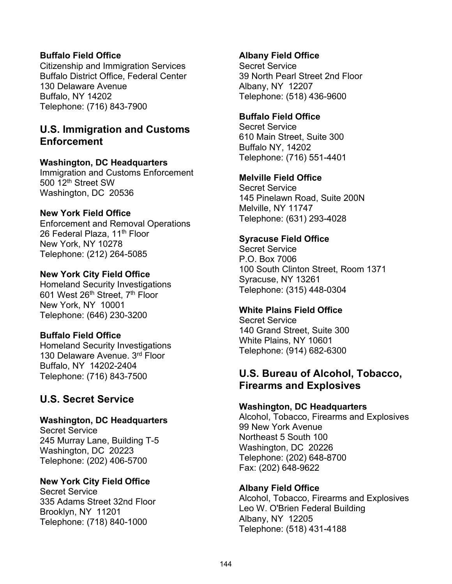## **Buffalo Field Office**

Citizenship and Immigration Services Buffalo District Office, Federal Center 130 Delaware Avenue Buffalo, NY 14202 Telephone: (716) 843-7900

## **U.S. Immigration and Customs Enforcement**

## **Washington, DC Headquarters**

Immigration and Customs Enforcement 500 12th Street SW Washington, DC 20536

## **New York Field Office**

Enforcement and Removal Operations 26 Federal Plaza, 11<sup>th</sup> Floor New York, NY 10278 Telephone: (212) 264-5085

#### **New York City Field Office**

Homeland Security Investigations 601 West 26<sup>th</sup> Street, 7<sup>th</sup> Floor New York, NY 10001 Telephone: (646) 230-3200

## **Buffalo Field Office**

Homeland Security Investigations 130 Delaware Avenue. 3rd Floor Buffalo, NY 14202-2404 Telephone: (716) 843-7500

## **U.S. Secret Service**

#### **Washington, DC Headquarters**

Secret Service 245 Murray Lane, Building T-5 Washington, DC 20223 Telephone: (202) 406-5700

#### **New York City Field Office**

Secret Service 335 Adams Street 32nd Floor Brooklyn, NY 11201 Telephone: (718) 840-1000

#### **Albany Field Office**

Secret Service 39 North Pearl Street 2nd Floor Albany, NY 12207 Telephone: (518) 436-9600

## **Buffalo Field Office**

Secret Service 610 Main Street, Suite 300 Buffalo NY, 14202 Telephone: (716) 551-4401

#### **Melville Field Office**

Secret Service 145 Pinelawn Road, Suite 200N Melville, NY 11747 Telephone: (631) 293-4028

## **Syracuse Field Office**

Secret Service P.O. Box 7006 100 South Clinton Street, Room 1371 Syracuse, NY 13261 Telephone: (315) 448-0304

#### **White Plains Field Office**

Secret Service 140 Grand Street, Suite 300 White Plains, NY 10601 Telephone: (914) 682-6300

## **U.S. Bureau of Alcohol, Tobacco, Firearms and Explosives**

#### **Washington, DC Headquarters**

Alcohol, Tobacco, Firearms and Explosives 99 New York Avenue Northeast 5 South 100 Washington, DC 20226 Telephone: (202) 648-8700 Fax: (202) 648-9622

#### **Albany Field Office**

Alcohol, Tobacco, Firearms and Explosives Leo W. O'Brien Federal Building Albany, NY 12205 Telephone: (518) 431-4188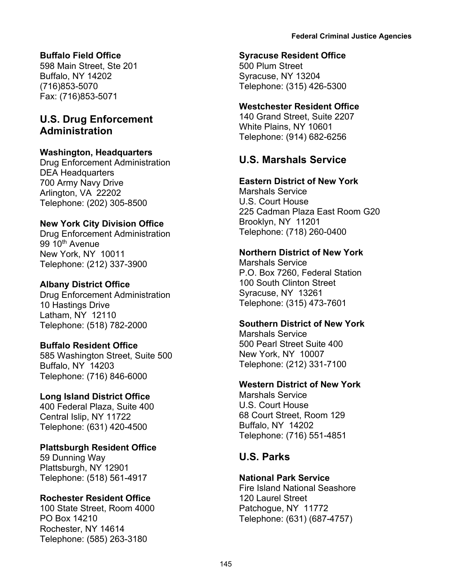## **Buffalo Field Office**

598 Main Street, Ste 201 Buffalo, NY 14202 (716)853-5070 Fax: (716)853-5071

## **U.S. Drug Enforcement Administration**

## **Washington, Headquarters**

Drug Enforcement Administration DEA Headquarters 700 Army Navy Drive Arlington, VA 22202 Telephone: (202) 305-8500

## **New York City Division Office**

Drug Enforcement Administration 99 10<sup>th</sup> Avenue New York, NY 10011 Telephone: (212) 337-3900

## **Albany District Office**

Drug Enforcement Administration 10 Hastings Drive Latham, NY 12110 Telephone: (518) 782-2000

#### **Buffalo Resident Office**

585 Washington Street, Suite 500 Buffalo, NY 14203 Telephone: (716) 846-6000

#### **Long Island District Office**

400 Federal Plaza, Suite 400 Central Islip, NY 11722 Telephone: (631) 420-4500

#### **Plattsburgh Resident Office**

59 Dunning Way Plattsburgh, NY 12901 Telephone: (518) 561-4917

#### **Rochester Resident Office**

100 State Street, Room 4000 PO Box 14210 Rochester, NY 14614 Telephone: (585) 263-3180

#### **Syracuse Resident Office**

500 Plum Street Syracuse, NY 13204 Telephone: (315) 426-5300

## **Westchester Resident Office**

140 Grand Street, Suite 2207 White Plains, NY 10601 Telephone: (914) 682-6256

## **U.S. Marshals Service**

## **Eastern District of New York**

Marshals Service U.S. Court House 225 Cadman Plaza East Room G20 Brooklyn, NY 11201 Telephone: (718) 260-0400

#### **Northern District of New York**

Marshals Service P.O. Box 7260, Federal Station 100 South Clinton Street Syracuse, NY 13261 Telephone: (315) 473-7601

#### **Southern District of New York**

Marshals Service 500 Pearl Street Suite 400 New York, NY 10007 Telephone: (212) 331-7100

#### **Western District of New York**

Marshals Service U.S. Court House 68 Court Street, Room 129 Buffalo, NY 14202 Telephone: (716) 551-4851

## **U.S. Parks**

#### **National Park Service**

Fire Island National Seashore 120 Laurel Street Patchogue, NY 11772 Telephone: (631) (687-4757)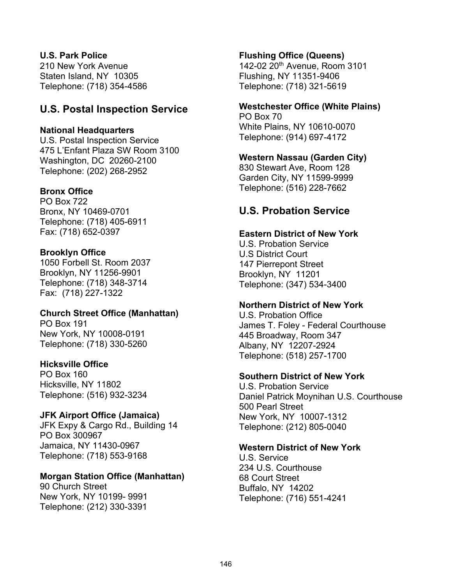## **U.S. Park Police**

210 New York Avenue Staten Island, NY 10305 Telephone: (718) 354-4586

## **U.S. Postal Inspection Service**

## **National Headquarters**

U.S. Postal Inspection Service 475 L'Enfant Plaza SW Room 3100 Washington, DC 20260-2100 Telephone: (202) 268-2952

## **Bronx Office**

PO Box 722 Bronx, NY 10469-0701 Telephone: (718) 405-6911 Fax: (718) 652-0397

## **Brooklyn Office**

1050 Forbell St. Room 2037 Brooklyn, NY 11256-9901 Telephone: (718) 348-3714 Fax: (718) 227-1322

## **Church Street Office (Manhattan)**

PO Box 191 New York, NY 10008-0191 Telephone: (718) 330-5260

## **Hicksville Office**

PO Box 160 Hicksville, NY 11802 Telephone: (516) 932-3234

## **JFK Airport Office (Jamaica)**

JFK Expy & Cargo Rd., Building 14 PO Box 300967 Jamaica, NY 11430-0967 Telephone: (718) 553-9168

## **Morgan Station Office (Manhattan)**

90 Church Street New York, NY 10199- 9991 Telephone: (212) 330-3391

## **Flushing Office (Queens)**

142-02 20th Avenue, Room 3101 Flushing, NY 11351-9406 Telephone: (718) 321-5619

## **Westchester Office (White Plains)**

PO Box 70 White Plains, NY 10610-0070 Telephone: (914) 697-4172

## **Western Nassau (Garden City)**

830 Stewart Ave, Room 128 Garden City, NY 11599-9999 Telephone: (516) 228-7662

## **U.S. Probation Service**

## **Eastern District of New York**

U.S. Probation Service U.S District Court 147 Pierrepont Street Brooklyn, NY 11201 Telephone: (347) 534-3400

## **Northern District of New York**

U.S. Probation Office James T. Foley - Federal Courthouse 445 Broadway, Room 347 Albany, NY 12207-2924 Telephone: (518) 257-1700

## **Southern District of New York**

U.S. Probation Service Daniel Patrick Moynihan U.S. Courthouse 500 Pearl Street New York, NY 10007-1312 Telephone: (212) 805-0040

## **Western District of New York**

U.S. Service 234 U.S. Courthouse 68 Court Street Buffalo, NY 14202 Telephone: (716) 551-4241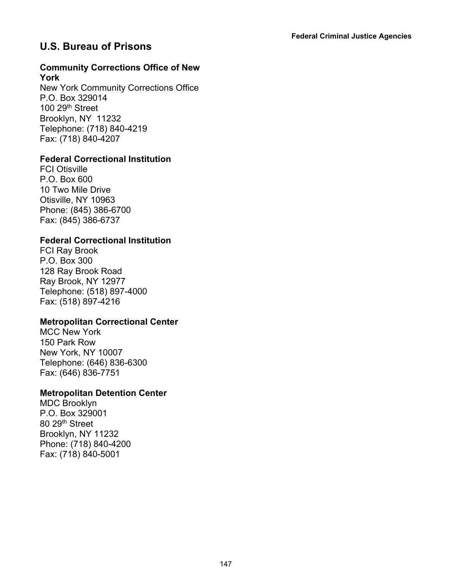## **U.S. Bureau of Prisons**

#### **Community Corrections Office of New York**

New York Community Corrections Office P.O. Box 329014 100 29th Street Brooklyn, NY 11232 Telephone: (718) 840-4219 Fax: (718) 840-4207

## **Federal Correctional Institution**

FCI Otisville P.O. Box 600 10 Two Mile Drive Otisville, NY 10963 Phone: (845) 386-6700 Fax: (845) 386-6737

## **Federal Correctional Institution**

FCI Ray Brook P.O. Box 300 128 Ray Brook Road Ray Brook, NY 12977 Telephone: (518) 897-4000 Fax: (518) 897-4216

## **Metropolitan Correctional Center**

MCC New York 150 Park Row New York, NY 10007 Telephone: (646) 836-6300 Fax: (646) 836-7751

## **Metropolitan Detention Center**

MDC Brooklyn P.O. Box 329001 80 29th Street Brooklyn, NY 11232 Phone: (718) 840-4200 Fax: (718) 840-5001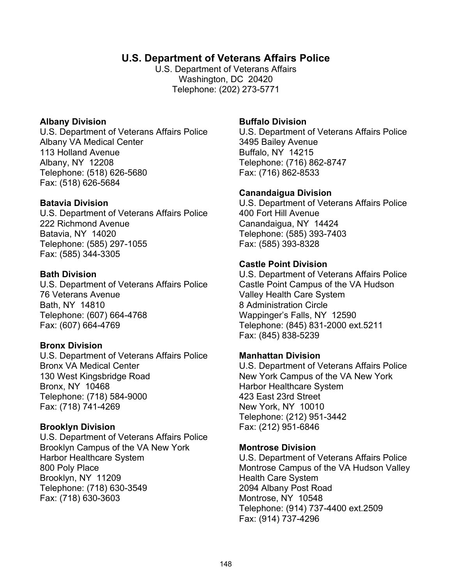## **U.S. Department of Veterans Affairs Police**

U.S. Department of Veterans Affairs Washington, DC 20420 Telephone: (202) 273-5771

## **Albany Division**

U.S. Department of Veterans Affairs Police Albany VA Medical Center 113 Holland Avenue Albany, NY 12208 Telephone: (518) 626-5680 Fax: (518) 626-5684

## **Batavia Division**

U.S. Department of Veterans Affairs Police 222 Richmond Avenue Batavia, NY 14020 Telephone: (585) 297-1055 Fax: (585) 344-3305

## **Bath Division**

U.S. Department of Veterans Affairs Police 76 Veterans Avenue Bath, NY 14810 Telephone: (607) 664-4768 Fax: (607) 664-4769

## **Bronx Division**

U.S. Department of Veterans Affairs Police Bronx VA Medical Center 130 West Kingsbridge Road Bronx, NY 10468 Telephone: (718) 584-9000 Fax: (718) 741-4269

## **Brooklyn Division**

U.S. Department of Veterans Affairs Police Brooklyn Campus of the VA New York Harbor Healthcare System 800 Poly Place Brooklyn, NY 11209 Telephone: (718) 630-3549 Fax: (718) 630-3603

## **Buffalo Division**

U.S. Department of Veterans Affairs Police 3495 Bailey Avenue Buffalo, NY 14215 Telephone: (716) 862-8747 Fax: (716) 862-8533

## **Canandaigua Division**

U.S. Department of Veterans Affairs Police 400 Fort Hill Avenue Canandaigua, NY 14424 Telephone: (585) 393-7403 Fax: (585) 393-8328

## **Castle Point Division**

U.S. Department of Veterans Affairs Police Castle Point Campus of the VA Hudson Valley Health Care System 8 Administration Circle Wappinger's Falls, NY 12590 Telephone: (845) 831-2000 ext.5211 Fax: (845) 838-5239

## **Manhattan Division**

U.S. Department of Veterans Affairs Police New York Campus of the VA New York Harbor Healthcare System 423 East 23rd Street New York, NY 10010 Telephone: (212) 951-3442 Fax: (212) 951-6846

#### **Montrose Division**

U.S. Department of Veterans Affairs Police Montrose Campus of the VA Hudson Valley Health Care System 2094 Albany Post Road Montrose, NY 10548 Telephone: (914) 737-4400 ext.2509 Fax: (914) 737-4296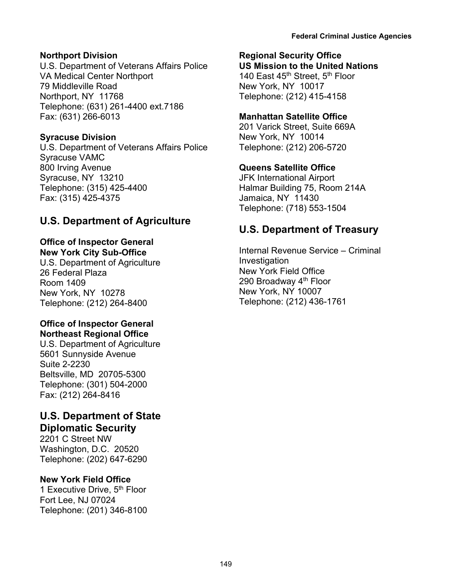## **Northport Division**

U.S. Department of Veterans Affairs Police VA Medical Center Northport 79 Middleville Road Northport, NY 11768 Telephone: (631) 261-4400 ext.7186 Fax: (631) 266-6013

## **Syracuse Division**

U.S. Department of Veterans Affairs Police Syracuse VAMC 800 Irving Avenue Syracuse, NY 13210 Telephone: (315) 425-4400 Fax: (315) 425-4375

## **U.S. Department of Agriculture**

# **Office of Inspector General**

**New York City Sub-Office** U.S. Department of Agriculture 26 Federal Plaza Room 1409 New York, NY 10278 Telephone: (212) 264-8400

## **Office of Inspector General Northeast Regional Office**

U.S. Department of Agriculture 5601 Sunnyside Avenue Suite 2-2230 Beltsville, MD 20705-5300 Telephone: (301) 504-2000 Fax: (212) 264-8416

## **U.S. Department of State Diplomatic Security**

2201 C Street NW Washington, D.C. 20520 Telephone: (202) 647-6290

## **New York Field Office**

1 Executive Drive, 5<sup>th</sup> Floor Fort Lee, NJ 07024 Telephone: (201) 346-8100

## **Regional Security Office**

**US Mission to the United Nations** 140 East 45<sup>th</sup> Street, 5<sup>th</sup> Floor New York, NY 10017 Telephone: (212) 415-4158

## **Manhattan Satellite Office**

201 Varick Street, Suite 669A New York, NY 10014 Telephone: (212) 206-5720

## **Queens Satellite Office**

JFK International Airport Halmar Building 75, Room 214A Jamaica, NY 11430 Telephone: (718) 553-1504

## **U.S. Department of Treasury**

Internal Revenue Service – Criminal **Investigation** New York Field Office 290 Broadway 4<sup>th</sup> Floor New York, NY 10007 Telephone: (212) 436-1761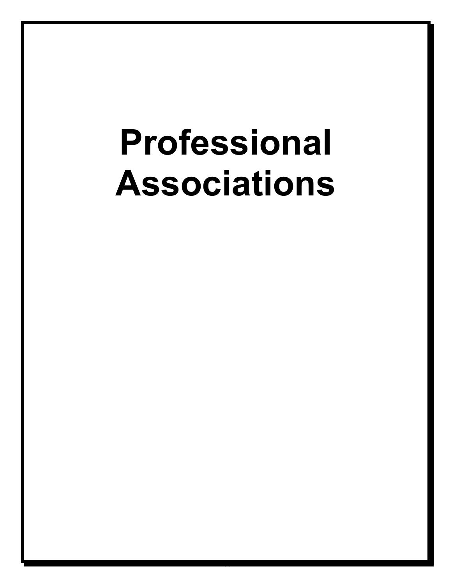# **Professional Associations**

150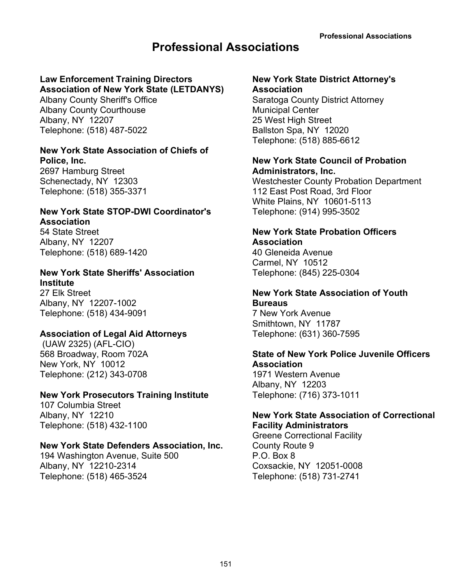# **Professional Associations**

# **Law Enforcement Training Directors**

**Association of New York State (LETDANYS)** Albany County Sheriff's Office Albany County Courthouse

Albany, NY 12207 Telephone: (518) 487-5022

## **New York State Association of Chiefs of Police, Inc.**

2697 Hamburg Street Schenectady, NY 12303 Telephone: (518) 355-3371

## **New York State STOP-DWI Coordinator's Association**

54 State Street Albany, NY 12207 Telephone: (518) 689-1420

## **New York State Sheriffs' Association Institute**

27 Elk Street Albany, NY 12207-1002 Telephone: (518) 434-9091

## **Association of Legal Aid Attorneys**

(UAW 2325) (AFL-CIO) 568 Broadway, Room 702A New York, NY 10012 Telephone: (212) 343-0708

## **New York Prosecutors Training Institute**

107 Columbia Street Albany, NY 12210 Telephone: (518) 432-1100

## **New York State Defenders Association, Inc.**

194 Washington Avenue, Suite 500 Albany, NY 12210-2314 Telephone: (518) 465-3524

#### **New York State District Attorney's Association** Saratoga County District Attorney Municipal Center

25 West High Street Ballston Spa, NY 12020 Telephone: (518) 885-6612

## **New York State Council of Probation Administrators, Inc.**

Westchester County Probation Department 112 East Post Road, 3rd Floor White Plains, NY 10601-5113 Telephone: (914) 995-3502

## **New York State Probation Officers Association**

40 Gleneida Avenue Carmel, NY 10512 Telephone: (845) 225-0304

#### **New York State Association of Youth Bureaus**

7 New York Avenue Smithtown, NY 11787 Telephone: (631) 360-7595

## **State of New York Police Juvenile Officers Association**

1971 Western Avenue Albany, NY 12203 Telephone: (716) 373-1011

## **New York State Association of Correctional Facility Administrators**

Greene Correctional Facility County Route 9 P.O. Box 8 Coxsackie, NY 12051-0008 Telephone: (518) 731-2741